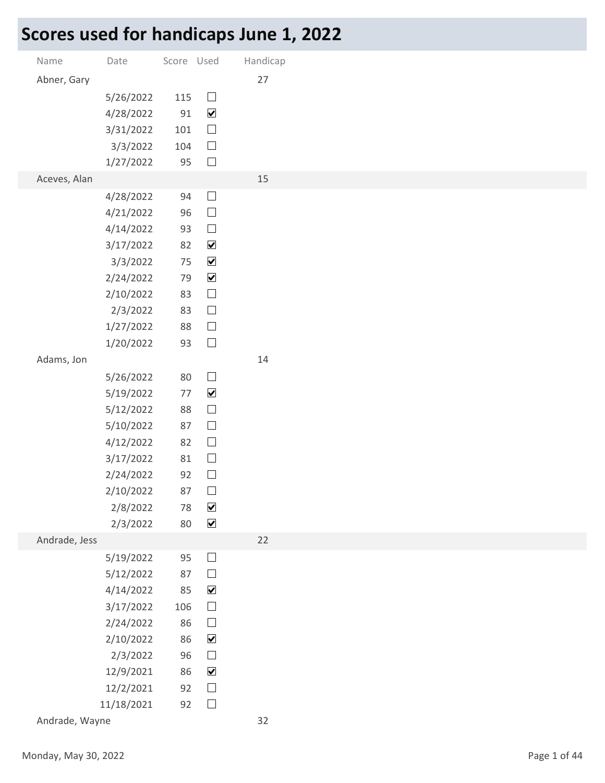## Scores used for handicaps June 1, 2022

|                      | Scores used for handicaps June 1, 2022 |            |                                              |          |
|----------------------|----------------------------------------|------------|----------------------------------------------|----------|
| Name                 | Date                                   | Score Used |                                              | Handicap |
| Abner, Gary          |                                        |            |                                              | 27       |
|                      | 5/26/2022                              | 115        | $\Box$                                       |          |
|                      | 4/28/2022                              | 91         | $\blacktriangledown$                         |          |
|                      | 3/31/2022<br>3/3/2022                  | 101<br>104 | $\overline{\phantom{a}}$<br>$\Box$           |          |
|                      | 1/27/2022                              | 95         | $\Box$                                       |          |
| Aceves, Alan         |                                        |            |                                              | 15       |
|                      | 4/28/2022                              | 94         | $\Box$                                       |          |
|                      | 4/21/2022                              | 96         | $\hfill \square$                             |          |
|                      | 4/14/2022<br>3/17/2022                 | 93<br>82   | $\Box$<br>$\blacktriangledown$               |          |
|                      | 3/3/2022                               | 75         | $\blacktriangledown$                         |          |
|                      | 2/24/2022                              | 79         | $\blacktriangledown$                         |          |
|                      | 2/10/2022                              | 83         | $\Box$                                       |          |
|                      | 2/3/2022                               | 83         | $\Box$                                       |          |
|                      | 1/27/2022<br>1/20/2022                 | 88<br>93   | $\Box$<br>$\Box$                             |          |
| Adams, Jon           |                                        |            |                                              | 14       |
|                      | 5/26/2022                              | 80         | $\Box$                                       |          |
|                      | 5/19/2022                              | 77         | $\blacktriangledown$                         |          |
|                      | 5/12/2022                              | 88         | $\Box$                                       |          |
|                      | 5/10/2022<br>4/12/2022                 | 87<br>82   | $\Box$<br>$\Box$                             |          |
|                      | 3/17/2022                              | 81         | $\Box$                                       |          |
|                      | 2/24/2022                              | 92         | $\Box$                                       |          |
|                      | 2/10/2022                              | 87         | $\Box$                                       |          |
|                      | 2/8/2022                               | 78<br>80   | $\blacktriangledown$<br>$\blacktriangledown$ |          |
| Andrade, Jess        | 2/3/2022                               |            |                                              | 22       |
|                      | 5/19/2022                              | 95         | $\Box$                                       |          |
|                      | 5/12/2022                              | 87         | $\Box$                                       |          |
|                      | 4/14/2022                              | 85         | $\blacktriangledown$                         |          |
|                      | 3/17/2022<br>2/24/2022                 | 106<br>86  | $\Box$<br>$\Box$                             |          |
|                      | 2/10/2022                              | 86         | $\blacktriangledown$                         |          |
|                      | 2/3/2022                               | 96         | $\Box$                                       |          |
|                      | 12/9/2021                              | 86         | $\blacktriangledown$                         |          |
|                      | 12/2/2021                              | 92         | $\Box$                                       |          |
| Andrade, Wayne       | 11/18/2021                             |            | 92 $\Box$                                    | 32       |
|                      |                                        |            |                                              |          |
| Monday, May 30, 2022 |                                        |            |                                              |          |
|                      |                                        |            |                                              |          |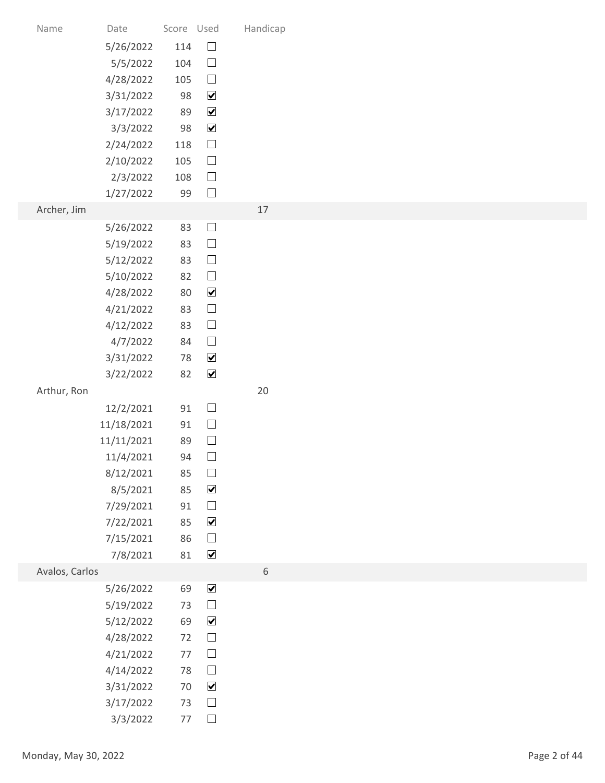| Name                 | Date                   | Score Used<br>114 | $\Box$                         | Handicap |              |
|----------------------|------------------------|-------------------|--------------------------------|----------|--------------|
|                      | 5/26/2022<br>5/5/2022  | 104               | $\Box$                         |          |              |
|                      | 4/28/2022              | 105               | $\Box$                         |          |              |
|                      | 3/31/2022              | 98                | $\blacktriangledown$           |          |              |
|                      | 3/17/2022              | 89                | $\blacktriangledown$           |          |              |
|                      | 3/3/2022               | 98                | $\blacktriangledown$           |          |              |
|                      | 2/24/2022              | 118               | $\Box$                         |          |              |
|                      | 2/10/2022<br>2/3/2022  | 105<br>108        | $\Box$<br>$\Box$               |          |              |
|                      | 1/27/2022              | 99                | $\Box$                         |          |              |
| Archer, Jim          |                        |                   |                                | $17$     |              |
|                      | 5/26/2022              | 83                | $\Box$                         |          |              |
|                      | 5/19/2022              | 83                | $\Box$                         |          |              |
|                      | 5/12/2022              | 83                | $\Box$                         |          |              |
|                      | 5/10/2022              | 82                | $\Box$                         |          |              |
|                      | 4/28/2022              | 80                | $\blacktriangledown$<br>$\Box$ |          |              |
|                      | 4/21/2022<br>4/12/2022 | 83<br>83          | $\Box$                         |          |              |
|                      | 4/7/2022               | 84                | $\Box$                         |          |              |
|                      | 3/31/2022              | 78                | $\blacktriangledown$           |          |              |
|                      | 3/22/2022              | 82                | $\blacktriangledown$           |          |              |
| Arthur, Ron          |                        |                   |                                | $20\,$   |              |
|                      | 12/2/2021              | $91\,$            | $\Box$                         |          |              |
|                      | 11/18/2021             | 91                | $\Box$                         |          |              |
|                      | 11/11/2021             | 89<br>94          | $\Box$<br>$\Box$               |          |              |
|                      | 11/4/2021<br>8/12/2021 | 85                | $\Box$                         |          |              |
|                      | 8/5/2021               | 85                | $\blacktriangledown$           |          |              |
|                      | 7/29/2021              | $91\,$            | $\Box$                         |          |              |
|                      | 7/22/2021              | 85                | $\blacktriangledown$           |          |              |
|                      | 7/15/2021              | 86                | $\Box$                         |          |              |
|                      | 7/8/2021               | 81                | $\blacktriangledown$           |          |              |
| Avalos, Carlos       | 5/26/2022              | 69                | $\blacktriangledown$           | 6        |              |
|                      | 5/19/2022              | 73                | $\Box$                         |          |              |
|                      | 5/12/2022              | 69                | $\blacktriangledown$           |          |              |
|                      | 4/28/2022              | 72                | $\Box$                         |          |              |
|                      | 4/21/2022              | 77                | $\Box$                         |          |              |
|                      | 4/14/2022              | 78                | $\Box$                         |          |              |
|                      | 3/31/2022              | 70                | $\blacktriangledown$           |          |              |
|                      | 3/17/2022              |                   | 73 $\Box$<br>77 $\square$      |          |              |
|                      | 3/3/2022               |                   |                                |          |              |
| Monday, May 30, 2022 |                        |                   |                                |          | Page 2 of 44 |
|                      |                        |                   |                                |          |              |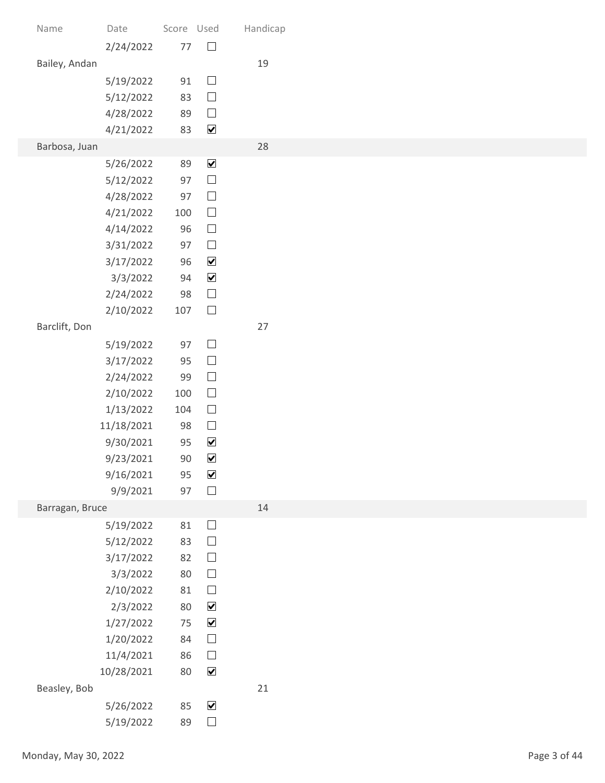| Name                 | Date                   | Score Used   |                                              | Handicap |
|----------------------|------------------------|--------------|----------------------------------------------|----------|
|                      | 2/24/2022              | 77           | $\Box$                                       |          |
| Bailey, Andan        | 5/19/2022              | 91           | $\Box$                                       | 19       |
|                      | 5/12/2022              | 83           | $\Box$                                       |          |
|                      | 4/28/2022              | 89           | $\Box$                                       |          |
| Barbosa, Juan        | 4/21/2022              | 83           | $\blacktriangledown$                         | 28       |
|                      | 5/26/2022              | 89           | $\blacktriangledown$                         |          |
|                      | 5/12/2022              | 97           | $\Box$                                       |          |
|                      | 4/28/2022              | 97           | $\Box$<br>$\Box$                             |          |
|                      | 4/21/2022<br>4/14/2022 | 100<br>96    | $\overline{\phantom{a}}$                     |          |
|                      | 3/31/2022              | 97           | $\Box$                                       |          |
|                      | 3/17/2022              | 96           | $\blacktriangledown$                         |          |
|                      | 3/3/2022<br>2/24/2022  | $94\,$<br>98 | $\blacktriangledown$<br>$\Box$               |          |
|                      | 2/10/2022              | 107          | $\Box$                                       |          |
| Barclift, Don        |                        |              |                                              | 27       |
|                      | 5/19/2022              | 97           | $\Box$                                       |          |
|                      | 3/17/2022<br>2/24/2022 | 95<br>99     | $\Box$<br>$\Box$                             |          |
|                      | 2/10/2022              | 100          | $\Box$                                       |          |
|                      | 1/13/2022              | 104          | $\Box$                                       |          |
|                      | 11/18/2021             | 98           | $\Box$                                       |          |
|                      | 9/30/2021<br>9/23/2021 | 95<br>$90\,$ | $\blacktriangledown$<br>$\blacktriangledown$ |          |
|                      | 9/16/2021              | 95           | $\blacktriangledown$                         |          |
|                      | 9/9/2021               | 97           | $\Box$                                       |          |
| Barragan, Bruce      |                        |              |                                              | 14       |
|                      | 5/19/2022<br>5/12/2022 | 81<br>83     | $\Box$<br>$\Box$                             |          |
|                      | 3/17/2022              | 82           | $\Box$                                       |          |
|                      | 3/3/2022               | $80\,$       | $\Box$                                       |          |
|                      | 2/10/2022<br>2/3/2022  | 81<br>$80\,$ | $\Box$<br>$\blacktriangledown$               |          |
|                      | 1/27/2022              | 75           | $\blacktriangledown$                         |          |
|                      | 1/20/2022              | 84           | $\Box$                                       |          |
|                      | 11/4/2021              | 86           | $\Box$                                       |          |
| Beasley, Bob         | 10/28/2021             | 80           | $\blacktriangledown$                         | 21       |
|                      | 5/26/2022              | 85           | $\blacktriangledown$                         |          |
|                      | 5/19/2022              | 89           | $\Box$                                       |          |
| Monday, May 30, 2022 |                        |              |                                              |          |
|                      |                        |              |                                              |          |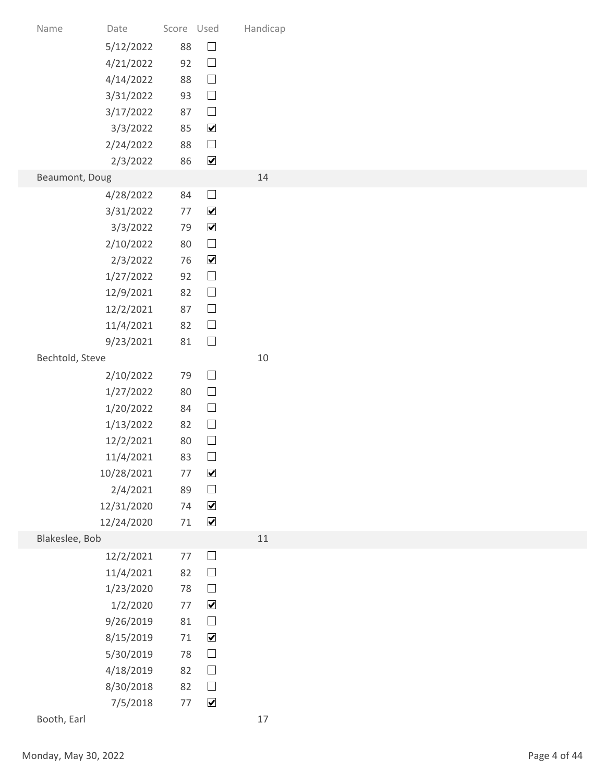| Date<br>Name<br>5/12/2022<br>4/21/2022<br>4/14/2022<br>3/31/2022<br>3/17/2022<br>3/3/2022<br>2/24/2022<br>2/3/2022<br>Beaumont, Doug<br>4/28/2022<br>3/31/2022<br>3/3/2022<br>2/10/2022<br>2/3/2022<br>1/27/2022<br>12/9/2021<br>12/2/2021<br>11/4/2021<br>9/23/2021<br>Bechtold, Steve<br>2/10/2022<br>1/27/2022<br>1/20/2022<br>1/13/2022<br>12/2/2021<br>11/4/2021<br>10/28/2021<br>2/4/2021<br>12/31/2020<br>12/24/2020<br>Blakeslee, Bob<br>12/2/2021<br>11/4/2021<br>1/23/2020<br>1/2/2020<br>9/26/2019<br>8/15/2019<br>5/30/2019<br>4/18/2019<br>8/30/2018<br>7/5/2018<br>Booth, Earl |  |            |                                                 |          |
|----------------------------------------------------------------------------------------------------------------------------------------------------------------------------------------------------------------------------------------------------------------------------------------------------------------------------------------------------------------------------------------------------------------------------------------------------------------------------------------------------------------------------------------------------------------------------------------------|--|------------|-------------------------------------------------|----------|
|                                                                                                                                                                                                                                                                                                                                                                                                                                                                                                                                                                                              |  |            |                                                 |          |
|                                                                                                                                                                                                                                                                                                                                                                                                                                                                                                                                                                                              |  |            |                                                 |          |
|                                                                                                                                                                                                                                                                                                                                                                                                                                                                                                                                                                                              |  |            |                                                 |          |
|                                                                                                                                                                                                                                                                                                                                                                                                                                                                                                                                                                                              |  |            |                                                 |          |
|                                                                                                                                                                                                                                                                                                                                                                                                                                                                                                                                                                                              |  |            |                                                 |          |
|                                                                                                                                                                                                                                                                                                                                                                                                                                                                                                                                                                                              |  | Score Used |                                                 | Handicap |
|                                                                                                                                                                                                                                                                                                                                                                                                                                                                                                                                                                                              |  | 88         | $\Box$                                          |          |
|                                                                                                                                                                                                                                                                                                                                                                                                                                                                                                                                                                                              |  | 92         | $\Box$<br>$\Box$                                |          |
|                                                                                                                                                                                                                                                                                                                                                                                                                                                                                                                                                                                              |  | 88<br>93   | $\Box$                                          |          |
|                                                                                                                                                                                                                                                                                                                                                                                                                                                                                                                                                                                              |  | 87         | $\Box$                                          |          |
|                                                                                                                                                                                                                                                                                                                                                                                                                                                                                                                                                                                              |  | 85         | $\blacktriangledown$                            |          |
|                                                                                                                                                                                                                                                                                                                                                                                                                                                                                                                                                                                              |  | 88<br>86   | $\Box$<br>$\blacktriangledown$                  |          |
|                                                                                                                                                                                                                                                                                                                                                                                                                                                                                                                                                                                              |  |            |                                                 | 14       |
|                                                                                                                                                                                                                                                                                                                                                                                                                                                                                                                                                                                              |  | 84         | $\Box$                                          |          |
|                                                                                                                                                                                                                                                                                                                                                                                                                                                                                                                                                                                              |  | 77<br>79   | $\blacktriangledown$<br>$\blacktriangledown$    |          |
|                                                                                                                                                                                                                                                                                                                                                                                                                                                                                                                                                                                              |  | 80         | $\Box$                                          |          |
|                                                                                                                                                                                                                                                                                                                                                                                                                                                                                                                                                                                              |  | 76         | $\blacktriangledown$                            |          |
|                                                                                                                                                                                                                                                                                                                                                                                                                                                                                                                                                                                              |  | 92<br>82   | $\Box$<br>$\Box$                                |          |
|                                                                                                                                                                                                                                                                                                                                                                                                                                                                                                                                                                                              |  | 87         | $\Box$                                          |          |
|                                                                                                                                                                                                                                                                                                                                                                                                                                                                                                                                                                                              |  | 82         | $\Box$                                          |          |
|                                                                                                                                                                                                                                                                                                                                                                                                                                                                                                                                                                                              |  | 81         | $\Box$                                          |          |
|                                                                                                                                                                                                                                                                                                                                                                                                                                                                                                                                                                                              |  | 79         | $\Box$                                          | $10\,$   |
|                                                                                                                                                                                                                                                                                                                                                                                                                                                                                                                                                                                              |  | 80         | $\Box$                                          |          |
|                                                                                                                                                                                                                                                                                                                                                                                                                                                                                                                                                                                              |  | 84         | $\Box$                                          |          |
|                                                                                                                                                                                                                                                                                                                                                                                                                                                                                                                                                                                              |  | 82         | $\Box$                                          |          |
|                                                                                                                                                                                                                                                                                                                                                                                                                                                                                                                                                                                              |  | 80<br>83   | $\Box$<br>$\Box$                                |          |
|                                                                                                                                                                                                                                                                                                                                                                                                                                                                                                                                                                                              |  | 77         | $\blacktriangledown$                            |          |
|                                                                                                                                                                                                                                                                                                                                                                                                                                                                                                                                                                                              |  | 89         | $\hfill \square$                                |          |
|                                                                                                                                                                                                                                                                                                                                                                                                                                                                                                                                                                                              |  | 74         | $\blacktriangledown$<br>$\overline{\mathbf{v}}$ |          |
|                                                                                                                                                                                                                                                                                                                                                                                                                                                                                                                                                                                              |  | 71         |                                                 | $11$     |
|                                                                                                                                                                                                                                                                                                                                                                                                                                                                                                                                                                                              |  | $77\,$     | $\Box$                                          |          |
|                                                                                                                                                                                                                                                                                                                                                                                                                                                                                                                                                                                              |  | 82         | $\Box$                                          |          |
|                                                                                                                                                                                                                                                                                                                                                                                                                                                                                                                                                                                              |  | 78<br>77   | $\Box$<br>$\blacktriangledown$                  |          |
|                                                                                                                                                                                                                                                                                                                                                                                                                                                                                                                                                                                              |  | $81\,$     | $\Box$                                          |          |
|                                                                                                                                                                                                                                                                                                                                                                                                                                                                                                                                                                                              |  | 71         | $\blacktriangledown$                            |          |
|                                                                                                                                                                                                                                                                                                                                                                                                                                                                                                                                                                                              |  | 78         | $\Box$                                          |          |
|                                                                                                                                                                                                                                                                                                                                                                                                                                                                                                                                                                                              |  | 82<br>82   | $\Box$<br>$\Box$                                |          |
|                                                                                                                                                                                                                                                                                                                                                                                                                                                                                                                                                                                              |  | 77         | $\blacktriangledown$                            |          |
|                                                                                                                                                                                                                                                                                                                                                                                                                                                                                                                                                                                              |  |            |                                                 | $17\,$   |
| Monday, May 30, 2022                                                                                                                                                                                                                                                                                                                                                                                                                                                                                                                                                                         |  |            |                                                 |          |
|                                                                                                                                                                                                                                                                                                                                                                                                                                                                                                                                                                                              |  |            |                                                 |          |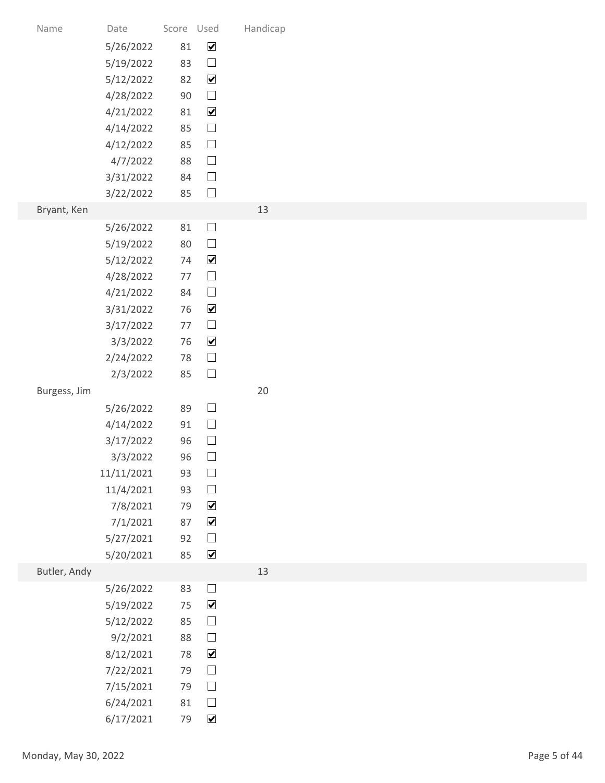| Name                 | Date                   | Score Used |                                | Handicap |              |
|----------------------|------------------------|------------|--------------------------------|----------|--------------|
|                      | 5/26/2022              | 81         | $\overline{\mathbf{v}}$        |          |              |
|                      | 5/19/2022              | 83         | $\Box$                         |          |              |
|                      | 5/12/2022              | 82         | $\blacktriangledown$           |          |              |
|                      | 4/28/2022              | 90         | $\hfill \square$               |          |              |
|                      | 4/21/2022<br>4/14/2022 | 81<br>85   | $\blacktriangledown$<br>$\Box$ |          |              |
|                      | 4/12/2022              | 85         | $\Box$                         |          |              |
|                      | 4/7/2022               | 88         | $\Box$                         |          |              |
|                      | 3/31/2022              | 84         | $\Box$                         |          |              |
|                      | 3/22/2022              | 85         | $\Box$                         |          |              |
| Bryant, Ken          |                        |            |                                | 13       |              |
|                      | 5/26/2022              | 81         | $\Box$                         |          |              |
|                      | 5/19/2022<br>5/12/2022 | 80<br>74   | $\Box$<br>$\blacktriangledown$ |          |              |
|                      | 4/28/2022              | $77\,$     | $\Box$                         |          |              |
|                      | 4/21/2022              | 84         | $\Box$                         |          |              |
|                      | 3/31/2022              | 76         | $\blacktriangledown$           |          |              |
|                      | 3/17/2022              | $77$       | $\Box$                         |          |              |
|                      | 3/3/2022               | 76         | $\blacktriangledown$           |          |              |
|                      | 2/24/2022              | 78         | $\Box$                         |          |              |
|                      | 2/3/2022               | 85         | $\Box$                         |          |              |
| Burgess, Jim         |                        |            |                                | $20\,$   |              |
|                      | 5/26/2022<br>4/14/2022 | 89<br>91   | $\Box$<br>$\Box$               |          |              |
|                      | 3/17/2022              | 96         | $\Box$                         |          |              |
|                      | 3/3/2022               | 96         | $\Box$                         |          |              |
|                      | 11/11/2021             | 93         | $\Box$                         |          |              |
|                      | 11/4/2021              | 93         | $\Box$                         |          |              |
|                      | 7/8/2021               | 79         | $\blacktriangledown$           |          |              |
|                      | 7/1/2021               | 87         | $\blacktriangledown$           |          |              |
|                      | 5/27/2021<br>5/20/2021 | 92<br>85   | $\Box$<br>$\blacktriangledown$ |          |              |
| Butler, Andy         |                        |            |                                | 13       |              |
|                      | 5/26/2022              | 83         | $\Box$                         |          |              |
|                      | 5/19/2022              | 75         | $\blacktriangledown$           |          |              |
|                      | 5/12/2022              | 85         | $\Box$                         |          |              |
|                      | 9/2/2021               | 88         | $\Box$                         |          |              |
|                      | 8/12/2021              | 78         | $\blacktriangledown$           |          |              |
|                      | 7/22/2021              | 79         | $\Box$                         |          |              |
|                      | 7/15/2021              | 79         | $\Box$                         |          |              |
|                      | 6/24/2021<br>6/17/2021 | 81<br>79   | $\Box$<br>$\blacktriangledown$ |          |              |
|                      |                        |            |                                |          |              |
| Monday, May 30, 2022 |                        |            |                                |          | Page 5 of 44 |
|                      |                        |            |                                |          |              |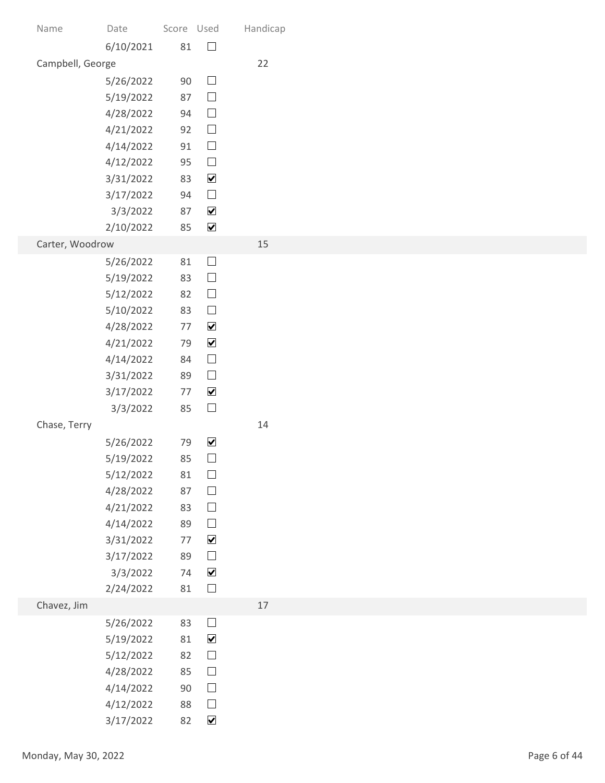| Name                 | Date<br>6/10/2021      | Score Used<br>81 | $\Box$                         | Handicap |
|----------------------|------------------------|------------------|--------------------------------|----------|
| Campbell, George     |                        |                  |                                | 22       |
|                      | 5/26/2022              | $90\,$           | $\Box$                         |          |
|                      | 5/19/2022              | 87               | $\Box$                         |          |
|                      | 4/28/2022<br>4/21/2022 | 94<br>92         | $\Box$<br>$\Box$               |          |
|                      | 4/14/2022              | 91               | $\Box$                         |          |
|                      | 4/12/2022              | 95               | $\Box$                         |          |
|                      | 3/31/2022              | 83               | $\blacktriangledown$           |          |
|                      | 3/17/2022<br>3/3/2022  | 94<br>87         | $\Box$<br>$\blacktriangledown$ |          |
|                      | 2/10/2022              | 85               | $\blacktriangledown$           |          |
| Carter, Woodrow      |                        |                  |                                | 15       |
|                      | 5/26/2022              | 81               | $\Box$                         |          |
|                      | 5/19/2022<br>5/12/2022 | 83<br>82         | $\Box$<br>$\Box$               |          |
|                      | 5/10/2022              | 83               | $\Box$                         |          |
|                      | 4/28/2022              | 77               | $\blacktriangledown$           |          |
|                      | 4/21/2022              | 79               | $\blacktriangledown$           |          |
|                      | 4/14/2022<br>3/31/2022 | 84<br>89         | $\hfill \square$<br>$\Box$     |          |
|                      | 3/17/2022              | 77               | $\blacktriangledown$           |          |
|                      | 3/3/2022               | 85               | $\Box$                         |          |
| Chase, Terry         |                        |                  |                                | 14       |
|                      | 5/26/2022<br>5/19/2022 | 79<br>85         | $\blacktriangledown$<br>$\Box$ |          |
|                      | 5/12/2022              | 81               | $\Box$                         |          |
|                      | 4/28/2022              | 87               | $\Box$                         |          |
|                      | 4/21/2022              | 83               | $\Box$                         |          |
|                      | 4/14/2022<br>3/31/2022 | 89<br>$77$       | $\Box$<br>$\blacktriangledown$ |          |
|                      | 3/17/2022              | 89               | $\Box$                         |          |
|                      | 3/3/2022               | 74               | $\blacktriangledown$           |          |
|                      | 2/24/2022              | 81               | $\Box$                         |          |
| Chavez, Jim          | 5/26/2022              | 83               | $\Box$                         | 17       |
|                      | 5/19/2022              | 81               | $\blacktriangledown$           |          |
|                      | 5/12/2022              | 82               | $\Box$                         |          |
|                      | 4/28/2022              | 85               | $\Box$                         |          |
|                      | 4/14/2022<br>4/12/2022 | $90\,$<br>88     | $\Box$<br>$\Box$               |          |
|                      | 3/17/2022              | 82               | $\blacktriangledown$           |          |
|                      |                        |                  |                                |          |
| Monday, May 30, 2022 |                        |                  |                                |          |
|                      |                        |                  |                                |          |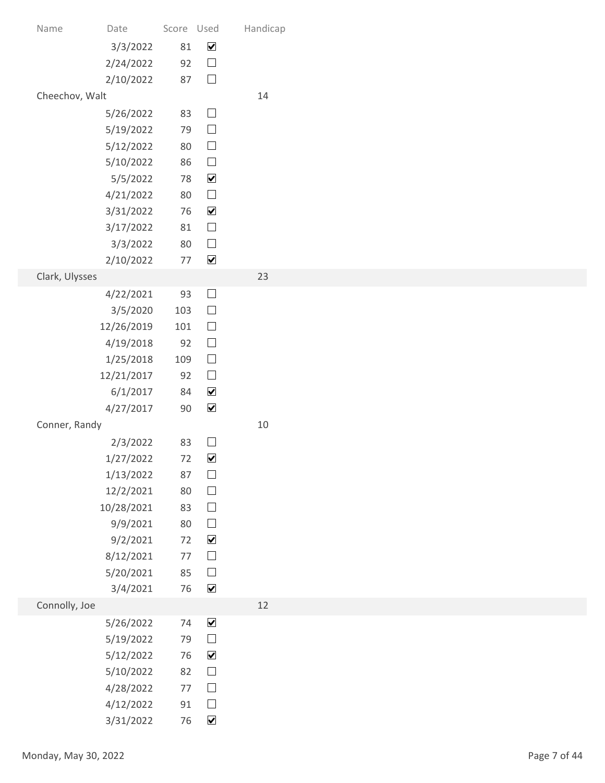| Date       |                                                                                                                                                                                                                                                                                                                     |                      | Handicap                                                                                                                                                                                                                                                                                                                                                                                                                                                                                                                                                         |
|------------|---------------------------------------------------------------------------------------------------------------------------------------------------------------------------------------------------------------------------------------------------------------------------------------------------------------------|----------------------|------------------------------------------------------------------------------------------------------------------------------------------------------------------------------------------------------------------------------------------------------------------------------------------------------------------------------------------------------------------------------------------------------------------------------------------------------------------------------------------------------------------------------------------------------------------|
|            |                                                                                                                                                                                                                                                                                                                     |                      |                                                                                                                                                                                                                                                                                                                                                                                                                                                                                                                                                                  |
| 2/10/2022  |                                                                                                                                                                                                                                                                                                                     | $\Box$               |                                                                                                                                                                                                                                                                                                                                                                                                                                                                                                                                                                  |
|            |                                                                                                                                                                                                                                                                                                                     |                      | 14                                                                                                                                                                                                                                                                                                                                                                                                                                                                                                                                                               |
| 5/26/2022  |                                                                                                                                                                                                                                                                                                                     |                      |                                                                                                                                                                                                                                                                                                                                                                                                                                                                                                                                                                  |
|            |                                                                                                                                                                                                                                                                                                                     |                      |                                                                                                                                                                                                                                                                                                                                                                                                                                                                                                                                                                  |
| 5/10/2022  |                                                                                                                                                                                                                                                                                                                     | $\Box$               |                                                                                                                                                                                                                                                                                                                                                                                                                                                                                                                                                                  |
| 5/5/2022   |                                                                                                                                                                                                                                                                                                                     | $\blacktriangledown$ |                                                                                                                                                                                                                                                                                                                                                                                                                                                                                                                                                                  |
|            |                                                                                                                                                                                                                                                                                                                     |                      |                                                                                                                                                                                                                                                                                                                                                                                                                                                                                                                                                                  |
| 3/17/2022  | 81                                                                                                                                                                                                                                                                                                                  | $\Box$               |                                                                                                                                                                                                                                                                                                                                                                                                                                                                                                                                                                  |
| 3/3/2022   |                                                                                                                                                                                                                                                                                                                     | $\Box$               |                                                                                                                                                                                                                                                                                                                                                                                                                                                                                                                                                                  |
| 2/10/2022  |                                                                                                                                                                                                                                                                                                                     |                      |                                                                                                                                                                                                                                                                                                                                                                                                                                                                                                                                                                  |
|            |                                                                                                                                                                                                                                                                                                                     |                      | 23                                                                                                                                                                                                                                                                                                                                                                                                                                                                                                                                                               |
| 3/5/2020   |                                                                                                                                                                                                                                                                                                                     | $\Box$               |                                                                                                                                                                                                                                                                                                                                                                                                                                                                                                                                                                  |
| 12/26/2019 |                                                                                                                                                                                                                                                                                                                     | $\Box$               |                                                                                                                                                                                                                                                                                                                                                                                                                                                                                                                                                                  |
| 4/19/2018  |                                                                                                                                                                                                                                                                                                                     |                      |                                                                                                                                                                                                                                                                                                                                                                                                                                                                                                                                                                  |
|            |                                                                                                                                                                                                                                                                                                                     |                      |                                                                                                                                                                                                                                                                                                                                                                                                                                                                                                                                                                  |
| 6/1/2017   |                                                                                                                                                                                                                                                                                                                     | $\blacktriangledown$ |                                                                                                                                                                                                                                                                                                                                                                                                                                                                                                                                                                  |
| 4/27/2017  |                                                                                                                                                                                                                                                                                                                     | $\blacktriangledown$ |                                                                                                                                                                                                                                                                                                                                                                                                                                                                                                                                                                  |
|            |                                                                                                                                                                                                                                                                                                                     |                      | $10\,$                                                                                                                                                                                                                                                                                                                                                                                                                                                                                                                                                           |
|            |                                                                                                                                                                                                                                                                                                                     |                      |                                                                                                                                                                                                                                                                                                                                                                                                                                                                                                                                                                  |
| 1/13/2022  | 87                                                                                                                                                                                                                                                                                                                  | $\Box$               |                                                                                                                                                                                                                                                                                                                                                                                                                                                                                                                                                                  |
| 12/2/2021  |                                                                                                                                                                                                                                                                                                                     | $\Box$               |                                                                                                                                                                                                                                                                                                                                                                                                                                                                                                                                                                  |
| 10/28/2021 |                                                                                                                                                                                                                                                                                                                     |                      |                                                                                                                                                                                                                                                                                                                                                                                                                                                                                                                                                                  |
|            |                                                                                                                                                                                                                                                                                                                     |                      |                                                                                                                                                                                                                                                                                                                                                                                                                                                                                                                                                                  |
| 8/12/2021  | $77\,$                                                                                                                                                                                                                                                                                                              | $\Box$               |                                                                                                                                                                                                                                                                                                                                                                                                                                                                                                                                                                  |
| 5/20/2021  |                                                                                                                                                                                                                                                                                                                     | $\Box$               |                                                                                                                                                                                                                                                                                                                                                                                                                                                                                                                                                                  |
|            |                                                                                                                                                                                                                                                                                                                     |                      | 12                                                                                                                                                                                                                                                                                                                                                                                                                                                                                                                                                               |
|            |                                                                                                                                                                                                                                                                                                                     |                      |                                                                                                                                                                                                                                                                                                                                                                                                                                                                                                                                                                  |
| 5/19/2022  | 79                                                                                                                                                                                                                                                                                                                  | $\Box$               |                                                                                                                                                                                                                                                                                                                                                                                                                                                                                                                                                                  |
| 5/12/2022  |                                                                                                                                                                                                                                                                                                                     | $\blacktriangledown$ |                                                                                                                                                                                                                                                                                                                                                                                                                                                                                                                                                                  |
| 5/10/2022  | 82                                                                                                                                                                                                                                                                                                                  |                      |                                                                                                                                                                                                                                                                                                                                                                                                                                                                                                                                                                  |
|            |                                                                                                                                                                                                                                                                                                                     | $\Box$               |                                                                                                                                                                                                                                                                                                                                                                                                                                                                                                                                                                  |
| 3/31/2022  |                                                                                                                                                                                                                                                                                                                     | $\blacktriangledown$ |                                                                                                                                                                                                                                                                                                                                                                                                                                                                                                                                                                  |
|            |                                                                                                                                                                                                                                                                                                                     |                      |                                                                                                                                                                                                                                                                                                                                                                                                                                                                                                                                                                  |
|            |                                                                                                                                                                                                                                                                                                                     |                      |                                                                                                                                                                                                                                                                                                                                                                                                                                                                                                                                                                  |
|            | 3/3/2022<br>2/24/2022<br>Cheechov, Walt<br>5/19/2022<br>5/12/2022<br>4/21/2022<br>3/31/2022<br>Clark, Ulysses<br>4/22/2021<br>1/25/2018<br>12/21/2017<br>Conner, Randy<br>2/3/2022<br>1/27/2022<br>9/9/2021<br>9/2/2021<br>3/4/2021<br>Connolly, Joe<br>5/26/2022<br>4/28/2022<br>4/12/2022<br>Monday, May 30, 2022 |                      | Score Used<br>$\overline{\mathbf{v}}$<br>81<br>$\Box$<br>92<br>87<br>$\Box$<br>83<br>$\Box$<br>79<br>$\Box$<br>80<br>86<br>78<br>$\Box$<br>80<br>$\blacktriangledown$<br>76<br>80<br>$\blacktriangledown$<br>77<br>$\Box$<br>93<br>103<br>101<br>$\Box$<br>92<br>$\Box$<br>109<br>$\Box$<br>92<br>84<br>$90\,$<br>$\Box$<br>83<br>$\blacktriangledown$<br>72<br>$80\,$<br>$\hfill \square$<br>83<br>$\Box$<br>80<br>$\blacktriangledown$<br>72<br>85<br>$\blacktriangledown$<br>76<br>$\blacktriangledown$<br>74<br>76<br>$\Box$<br>$\Box$<br>$77\,$<br>91<br>76 |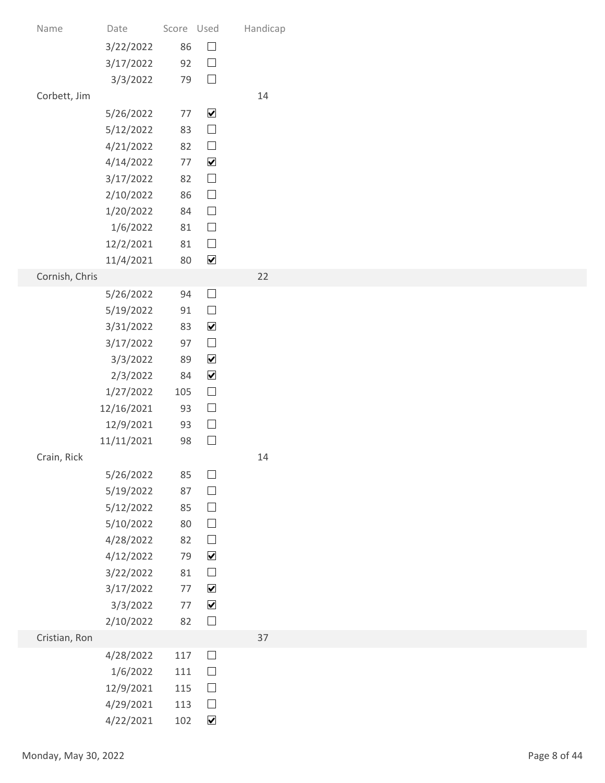| Name           | Date                    | Score Used   | $\Box$                         | Handicap |
|----------------|-------------------------|--------------|--------------------------------|----------|
|                | 3/22/2022<br>3/17/2022  | 86<br>92     | $\Box$                         |          |
|                | 3/3/2022                | 79           | $\Box$                         |          |
| Corbett, Jim   |                         |              |                                | 14       |
|                | 5/26/2022               | 77           | $\blacktriangledown$           |          |
|                | 5/12/2022<br>4/21/2022  | 83<br>82     | $\Box$<br>$\Box$               |          |
|                | 4/14/2022               | 77           | $\blacktriangledown$           |          |
|                | 3/17/2022               | 82           | $\Box$                         |          |
|                | 2/10/2022               | 86           | $\Box$                         |          |
|                | 1/20/2022<br>1/6/2022   | 84<br>81     | $\Box$<br>$\Box$               |          |
|                | 12/2/2021               | 81           | $\Box$                         |          |
|                | 11/4/2021               | 80           | $\blacktriangledown$           |          |
| Cornish, Chris |                         |              |                                | $22$     |
|                | 5/26/2022<br>5/19/2022  | 94<br>91     | $\Box$<br>$\Box$               |          |
|                | 3/31/2022               | 83           | $\blacktriangledown$           |          |
|                | 3/17/2022               | 97           | $\Box$                         |          |
|                | 3/3/2022                | 89           | $\blacktriangledown$           |          |
|                | 2/3/2022                | 84           | $\blacktriangledown$<br>$\Box$ |          |
|                | 1/27/2022<br>12/16/2021 | 105<br>93    | $\Box$                         |          |
|                | 12/9/2021               | 93           | $\Box$                         |          |
|                | 11/11/2021              | 98           | $\Box$                         |          |
| Crain, Rick    |                         |              |                                | 14       |
|                | 5/26/2022<br>5/19/2022  | 85<br>87     | $\Box$<br>$\Box$               |          |
|                | 5/12/2022               | 85           | $\Box$                         |          |
|                | 5/10/2022               | 80           | $\Box$                         |          |
|                | 4/28/2022               | 82           | $\Box$                         |          |
|                | 4/12/2022<br>3/22/2022  | 79<br>$81\,$ | $\blacktriangledown$<br>$\Box$ |          |
|                | 3/17/2022               | 77           | $\blacktriangledown$           |          |
|                | 3/3/2022                | 77           | $\blacktriangledown$           |          |
|                | 2/10/2022               | 82           | $\Box$                         |          |
| Cristian, Ron  | 4/28/2022               | $117\,$      | $\Box$                         | 37       |
|                | 1/6/2022                | 111          | $\Box$                         |          |
|                | 12/9/2021               | 115          | $\Box$                         |          |
|                | 4/29/2021               | 113          | $\Box$                         |          |
|                | 4/22/2021               | 102          | $\blacktriangledown$           |          |
|                | Monday, May 30, 2022    |              |                                |          |
|                |                         |              |                                |          |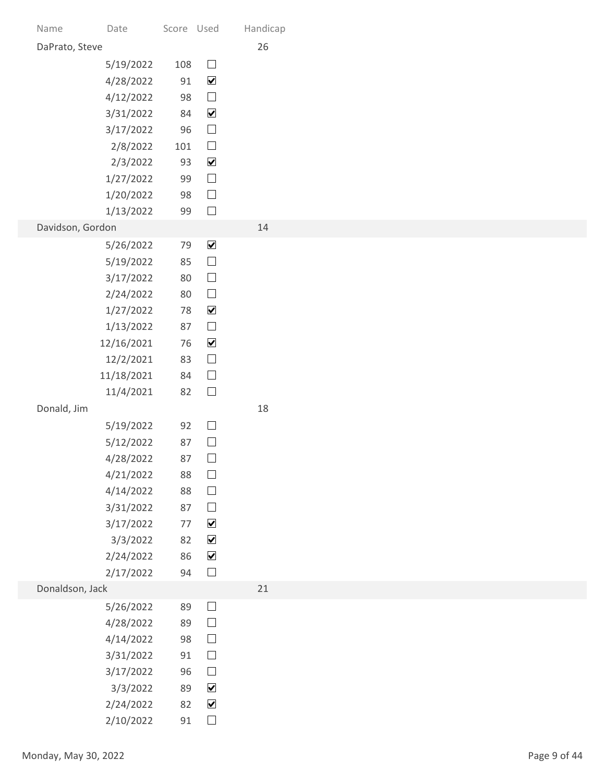| Name           | Date                    | Score Used |                                              | Handicap |
|----------------|-------------------------|------------|----------------------------------------------|----------|
| DaPrato, Steve |                         |            |                                              | 26       |
|                | 5/19/2022               | 108        | $\Box$<br>$\blacktriangledown$               |          |
|                | 4/28/2022<br>4/12/2022  | 91<br>98   | $\Box$                                       |          |
|                | 3/31/2022               | 84         | $\blacktriangledown$                         |          |
|                | 3/17/2022               | 96         | $\Box$                                       |          |
|                | 2/8/2022                | 101        | $\Box$                                       |          |
|                | 2/3/2022<br>1/27/2022   | 93<br>99   | $\blacktriangledown$<br>$\Box$               |          |
|                | 1/20/2022               | 98         | $\Box$                                       |          |
|                | 1/13/2022               | 99         | $\Box$                                       |          |
|                | Davidson, Gordon        |            |                                              | 14       |
|                | 5/26/2022<br>5/19/2022  | 79<br>85   | $\blacktriangledown$<br>$\Box$               |          |
|                | 3/17/2022               | 80         | $\Box$                                       |          |
|                | 2/24/2022               | 80         | $\Box$                                       |          |
|                | 1/27/2022               | 78         | $\blacktriangledown$                         |          |
|                | 1/13/2022               | 87         | $\hfill \square$<br>$\blacktriangledown$     |          |
|                | 12/16/2021<br>12/2/2021 | 76<br>83   | $\Box$                                       |          |
|                | 11/18/2021              | 84         | $\Box$                                       |          |
|                | 11/4/2021               | 82         | $\Box$                                       |          |
| Donald, Jim    |                         |            |                                              | 18       |
|                | 5/19/2022               | 92         | $\Box$<br>$\Box$                             |          |
|                | 5/12/2022<br>4/28/2022  | 87<br>87   | $\Box$                                       |          |
|                | 4/21/2022               | 88         | $\Box$                                       |          |
|                | 4/14/2022               | 88         | $\Box$                                       |          |
|                | 3/31/2022               | 87         | $\hfill \square$                             |          |
|                | 3/17/2022<br>3/3/2022   | 77<br>82   | $\blacktriangledown$<br>$\blacktriangledown$ |          |
|                | 2/24/2022               | 86         | $\blacktriangledown$                         |          |
|                | 2/17/2022               | 94         | $\hfill \square$                             |          |
|                | Donaldson, Jack         |            |                                              | 21       |
|                | 5/26/2022               | 89         | $\Box$                                       |          |
|                | 4/28/2022<br>4/14/2022  | 89<br>98   | $\Box$<br>$\Box$                             |          |
|                | 3/31/2022               | 91         | $\Box$                                       |          |
|                | 3/17/2022               | 96         | $\Box$                                       |          |
|                | 3/3/2022                | 89         | $\blacktriangledown$                         |          |
|                | 2/24/2022<br>2/10/2022  | 82<br>91   | $\blacktriangledown$<br>$\hfill\Box$         |          |
|                |                         |            |                                              |          |
|                | Monday, May 30, 2022    |            |                                              |          |
|                |                         |            |                                              |          |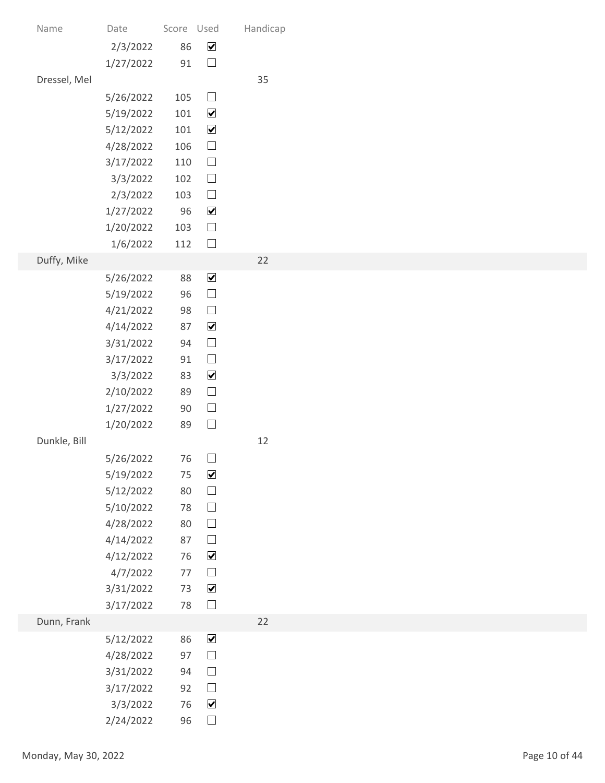|           |                                                                                                                                                                                                                                            |                                                                | Handicap                                                                                                                                                                                                                                                                                                                                                                                                                                                      |
|-----------|--------------------------------------------------------------------------------------------------------------------------------------------------------------------------------------------------------------------------------------------|----------------------------------------------------------------|---------------------------------------------------------------------------------------------------------------------------------------------------------------------------------------------------------------------------------------------------------------------------------------------------------------------------------------------------------------------------------------------------------------------------------------------------------------|
| 2/3/2022  | 86                                                                                                                                                                                                                                         | $\blacktriangledown$                                           |                                                                                                                                                                                                                                                                                                                                                                                                                                                               |
| 1/27/2022 | $91\,$                                                                                                                                                                                                                                     | $\Box$                                                         |                                                                                                                                                                                                                                                                                                                                                                                                                                                               |
|           |                                                                                                                                                                                                                                            |                                                                | 35                                                                                                                                                                                                                                                                                                                                                                                                                                                            |
| 5/19/2022 |                                                                                                                                                                                                                                            | $\blacktriangledown$                                           |                                                                                                                                                                                                                                                                                                                                                                                                                                                               |
| 5/12/2022 |                                                                                                                                                                                                                                            | $\blacktriangledown$                                           |                                                                                                                                                                                                                                                                                                                                                                                                                                                               |
|           |                                                                                                                                                                                                                                            |                                                                |                                                                                                                                                                                                                                                                                                                                                                                                                                                               |
| 3/3/2022  |                                                                                                                                                                                                                                            | $\Box$                                                         |                                                                                                                                                                                                                                                                                                                                                                                                                                                               |
| 2/3/2022  |                                                                                                                                                                                                                                            | $\hfill \square$                                               |                                                                                                                                                                                                                                                                                                                                                                                                                                                               |
|           |                                                                                                                                                                                                                                            |                                                                |                                                                                                                                                                                                                                                                                                                                                                                                                                                               |
| 1/6/2022  |                                                                                                                                                                                                                                            | $\Box$                                                         |                                                                                                                                                                                                                                                                                                                                                                                                                                                               |
|           |                                                                                                                                                                                                                                            |                                                                | 22                                                                                                                                                                                                                                                                                                                                                                                                                                                            |
|           |                                                                                                                                                                                                                                            |                                                                |                                                                                                                                                                                                                                                                                                                                                                                                                                                               |
| 4/21/2022 | 98                                                                                                                                                                                                                                         | $\Box$                                                         |                                                                                                                                                                                                                                                                                                                                                                                                                                                               |
| 4/14/2022 | 87                                                                                                                                                                                                                                         | $\blacktriangledown$                                           |                                                                                                                                                                                                                                                                                                                                                                                                                                                               |
|           |                                                                                                                                                                                                                                            |                                                                |                                                                                                                                                                                                                                                                                                                                                                                                                                                               |
| 3/3/2022  | 83                                                                                                                                                                                                                                         | $\blacktriangledown$                                           |                                                                                                                                                                                                                                                                                                                                                                                                                                                               |
| 2/10/2022 | 89                                                                                                                                                                                                                                         | $\hfill \square$                                               |                                                                                                                                                                                                                                                                                                                                                                                                                                                               |
| 1/27/2022 | $90\,$                                                                                                                                                                                                                                     |                                                                |                                                                                                                                                                                                                                                                                                                                                                                                                                                               |
|           |                                                                                                                                                                                                                                            |                                                                | 12                                                                                                                                                                                                                                                                                                                                                                                                                                                            |
| 5/26/2022 |                                                                                                                                                                                                                                            | $\Box$                                                         |                                                                                                                                                                                                                                                                                                                                                                                                                                                               |
| 5/19/2022 |                                                                                                                                                                                                                                            | $\blacktriangledown$                                           |                                                                                                                                                                                                                                                                                                                                                                                                                                                               |
|           |                                                                                                                                                                                                                                            |                                                                |                                                                                                                                                                                                                                                                                                                                                                                                                                                               |
| 4/28/2022 | 80                                                                                                                                                                                                                                         | $\hfill \square$                                               |                                                                                                                                                                                                                                                                                                                                                                                                                                                               |
| 4/14/2022 | 87                                                                                                                                                                                                                                         | $\Box$                                                         |                                                                                                                                                                                                                                                                                                                                                                                                                                                               |
|           |                                                                                                                                                                                                                                            |                                                                |                                                                                                                                                                                                                                                                                                                                                                                                                                                               |
| 3/31/2022 |                                                                                                                                                                                                                                            | $\blacktriangledown$                                           |                                                                                                                                                                                                                                                                                                                                                                                                                                                               |
| 3/17/2022 | $78\,$                                                                                                                                                                                                                                     | $\Box$                                                         |                                                                                                                                                                                                                                                                                                                                                                                                                                                               |
|           |                                                                                                                                                                                                                                            |                                                                | 22                                                                                                                                                                                                                                                                                                                                                                                                                                                            |
| 4/28/2022 | 97                                                                                                                                                                                                                                         | $\Box$                                                         |                                                                                                                                                                                                                                                                                                                                                                                                                                                               |
| 3/31/2022 | 94                                                                                                                                                                                                                                         | $\Box$                                                         |                                                                                                                                                                                                                                                                                                                                                                                                                                                               |
| 3/17/2022 |                                                                                                                                                                                                                                            |                                                                |                                                                                                                                                                                                                                                                                                                                                                                                                                                               |
| 2/24/2022 |                                                                                                                                                                                                                                            | $\hfill \square$                                               |                                                                                                                                                                                                                                                                                                                                                                                                                                                               |
|           |                                                                                                                                                                                                                                            |                                                                |                                                                                                                                                                                                                                                                                                                                                                                                                                                               |
|           |                                                                                                                                                                                                                                            |                                                                |                                                                                                                                                                                                                                                                                                                                                                                                                                                               |
|           | Date<br>5/26/2022<br>4/28/2022<br>3/17/2022<br>1/27/2022<br>1/20/2022<br>5/26/2022<br>5/19/2022<br>3/31/2022<br>3/17/2022<br>1/20/2022<br>5/12/2022<br>5/10/2022<br>4/12/2022<br>4/7/2022<br>5/12/2022<br>3/3/2022<br>Monday, May 30, 2022 | 106<br>96<br>103<br>88<br>96<br>94<br>$91\,$<br>89<br>80<br>78 | Score Used<br>$\Box$<br>105<br>101<br>101<br>$\hfill \square$<br>$\hfill \square$<br>110<br>102<br>103<br>$\blacktriangledown$<br>$\Box$<br>112<br>$\blacktriangledown$<br>$\hfill \square$<br>$\Box$<br>$\hfill \square$<br>$\hfill \square$<br>$\hfill \square$<br>76<br>75<br>$\Box$<br>$\hfill \square$<br>$\blacktriangledown$<br>76<br>$\hfill \square$<br>$77$<br>73<br>$\blacktriangledown$<br>86<br>$\Box$<br>92<br>$\blacktriangledown$<br>76<br>96 |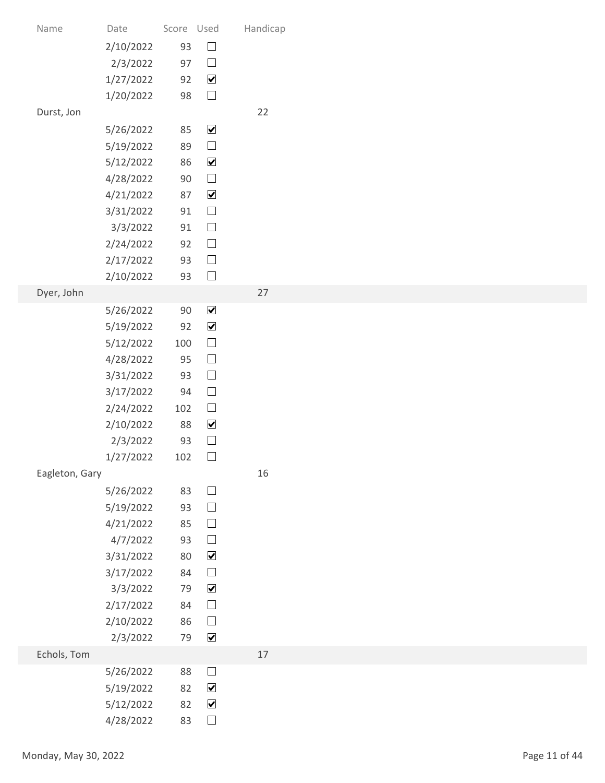| Name                 | Date                   | Score Used |                                              | Handicap |               |
|----------------------|------------------------|------------|----------------------------------------------|----------|---------------|
|                      | 2/10/2022              | 93         | $\hfill \square$                             |          |               |
|                      | 2/3/2022               | 97         | $\Box$                                       |          |               |
|                      | 1/27/2022              | 92         | $\blacktriangledown$                         |          |               |
|                      | 1/20/2022              | 98         | $\Box$                                       |          |               |
| Durst, Jon           |                        | 85         | $\blacktriangledown$                         | 22       |               |
|                      | 5/26/2022<br>5/19/2022 | 89         | $\hfill \square$                             |          |               |
|                      | 5/12/2022              | 86         | $\blacktriangledown$                         |          |               |
|                      | 4/28/2022              | 90         | $\Box$                                       |          |               |
|                      | 4/21/2022              | 87         | $\blacktriangledown$                         |          |               |
|                      | 3/31/2022              | 91         | $\Box$                                       |          |               |
|                      | 3/3/2022               | 91         | $\Box$                                       |          |               |
|                      | 2/24/2022              | 92         | $\hfill \square$                             |          |               |
|                      | 2/17/2022<br>2/10/2022 | 93<br>93   | $\hfill \square$<br>$\hfill \square$         |          |               |
| Dyer, John           |                        |            |                                              | 27       |               |
|                      | 5/26/2022              | $90\,$     | $\blacktriangledown$                         |          |               |
|                      | 5/19/2022              | 92         | $\blacktriangledown$                         |          |               |
|                      | 5/12/2022              | 100        | $\hfill \square$                             |          |               |
|                      | 4/28/2022              | 95         | $\hfill \square$                             |          |               |
|                      | 3/31/2022              | 93         | $\hfill \square$                             |          |               |
|                      | 3/17/2022              | 94         | $\Box$                                       |          |               |
|                      | 2/24/2022<br>2/10/2022 | 102<br>88  | $\hfill \square$<br>$\blacktriangledown$     |          |               |
|                      | 2/3/2022               | 93         | $\hfill \square$                             |          |               |
|                      | 1/27/2022              | 102        | $\Box$                                       |          |               |
| Eagleton, Gary       |                        |            |                                              | 16       |               |
|                      | 5/26/2022              | 83         | $\hfill \square$                             |          |               |
|                      | 5/19/2022              | 93         | $\hfill \square$                             |          |               |
|                      | 4/21/2022              | 85         | $\hfill \square$                             |          |               |
|                      | 4/7/2022               | 93         | $\hfill \square$                             |          |               |
|                      | 3/31/2022<br>3/17/2022 | 80<br>84   | $\blacktriangledown$<br>$\hfill \square$     |          |               |
|                      | 3/3/2022               | 79         | $\blacktriangledown$                         |          |               |
|                      | 2/17/2022              | 84         | $\hfill \square$                             |          |               |
|                      | 2/10/2022              | 86         | $\hfill \square$                             |          |               |
|                      | 2/3/2022               | 79         | $\blacktriangledown$                         |          |               |
| Echols, Tom          |                        |            |                                              | $17$     |               |
|                      | 5/26/2022              | 88         | $\begin{array}{c} \hline \end{array}$        |          |               |
|                      | 5/19/2022              | 82         | $\blacktriangledown$<br>$\blacktriangledown$ |          |               |
|                      | 5/12/2022<br>4/28/2022 | 82<br>83   | $\Box$                                       |          |               |
|                      |                        |            |                                              |          |               |
| Monday, May 30, 2022 |                        |            |                                              |          | Page 11 of 44 |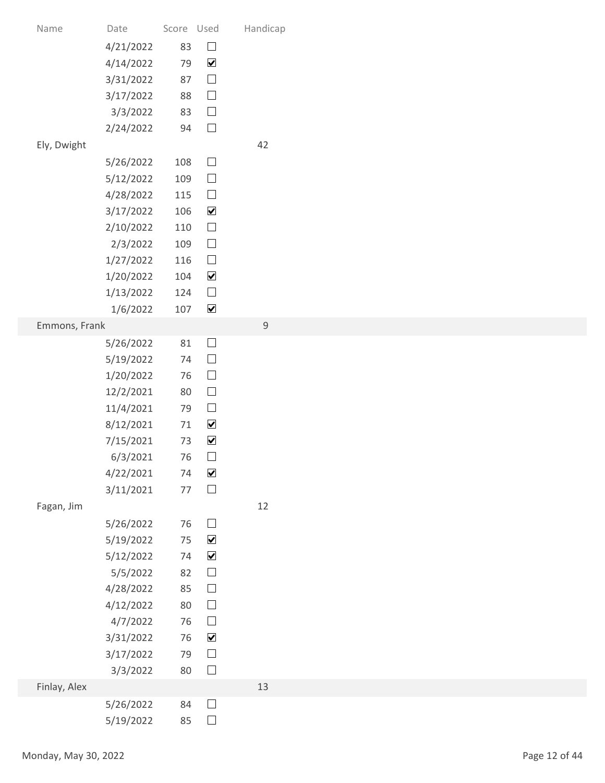| Name                 | Date                   | Score Used |                      | Handicap    |               |
|----------------------|------------------------|------------|----------------------|-------------|---------------|
|                      | 4/21/2022              | 83         | $\hfill \square$     |             |               |
|                      | 4/14/2022              | 79         | $\blacktriangledown$ |             |               |
|                      | 3/31/2022              | 87         | $\hfill \square$     |             |               |
|                      | 3/17/2022              | 88         | $\hfill \square$     |             |               |
|                      | 3/3/2022               | 83         | $\hfill \square$     |             |               |
|                      | 2/24/2022              | 94         | $\hfill \square$     |             |               |
| Ely, Dwight          |                        |            |                      | 42          |               |
|                      | 5/26/2022              | 108        | $\Box$<br>$\Box$     |             |               |
|                      | 5/12/2022<br>4/28/2022 | 109<br>115 | $\hfill \square$     |             |               |
|                      | 3/17/2022              | 106        | $\blacktriangledown$ |             |               |
|                      | 2/10/2022              | 110        | $\Box$               |             |               |
|                      | 2/3/2022               | 109        | $\hfill \square$     |             |               |
|                      | 1/27/2022              | 116        | $\hfill \square$     |             |               |
|                      | 1/20/2022              | 104        | $\blacktriangledown$ |             |               |
|                      | 1/13/2022              | 124        | $\hfill \square$     |             |               |
|                      | 1/6/2022               | 107        | $\blacktriangledown$ |             |               |
| Emmons, Frank        |                        | 81         | $\Box$               | $\mathsf 9$ |               |
|                      | 5/26/2022<br>5/19/2022 | 74         | $\hfill \square$     |             |               |
|                      | 1/20/2022              | 76         | $\hfill \square$     |             |               |
|                      | 12/2/2021              | 80         | $\hfill \square$     |             |               |
|                      | 11/4/2021              | 79         | $\hfill \square$     |             |               |
|                      | 8/12/2021              | 71         | $\blacktriangledown$ |             |               |
|                      | 7/15/2021              | 73         | $\blacktriangledown$ |             |               |
|                      | 6/3/2021               | 76         | $\Box$               |             |               |
|                      | 4/22/2021              | 74         | $\blacktriangledown$ |             |               |
|                      | 3/11/2021              | 77         | $\hfill \square$     |             |               |
| Fagan, Jim           |                        | 76         | $\Box$               | 12          |               |
|                      | 5/26/2022<br>5/19/2022 | 75         | $\blacktriangledown$ |             |               |
|                      | 5/12/2022              | 74         | $\blacktriangledown$ |             |               |
|                      | 5/5/2022               | 82         | $\hfill \square$     |             |               |
|                      | 4/28/2022              | 85         | $\hfill \square$     |             |               |
|                      | 4/12/2022              | 80         | $\hfill \square$     |             |               |
|                      | 4/7/2022               | 76         | $\hfill \square$     |             |               |
|                      | 3/31/2022              | 76         | $\blacktriangledown$ |             |               |
|                      | 3/17/2022              | 79         | $\hfill \square$     |             |               |
| Finlay, Alex         | 3/3/2022               | 80         | $\Box$               | 13          |               |
|                      | 5/26/2022              | 84         | $\Box$               |             |               |
|                      | 5/19/2022              | 85         | $\Box$               |             |               |
|                      |                        |            |                      |             |               |
| Monday, May 30, 2022 |                        |            |                      |             | Page 12 of 44 |
|                      |                        |            |                      |             |               |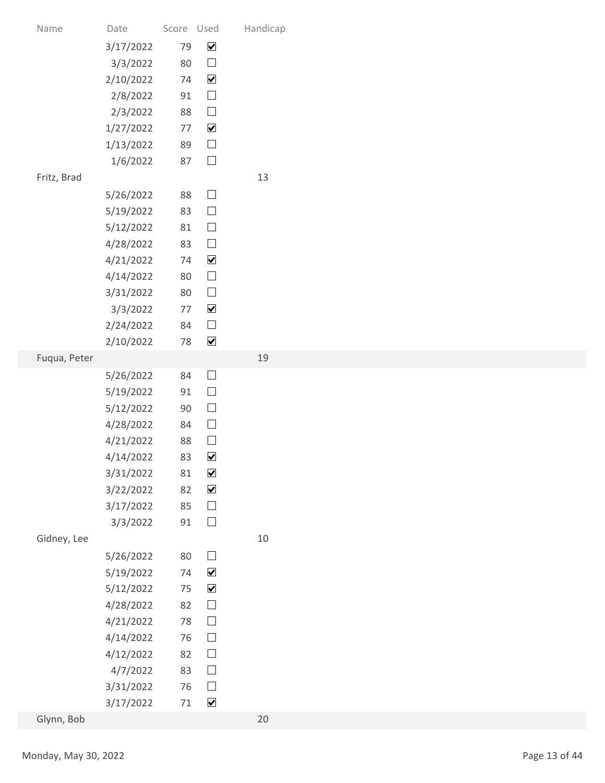| Name         | Date                   | Score Used   |                                          | Handicap |               |
|--------------|------------------------|--------------|------------------------------------------|----------|---------------|
|              | 3/17/2022              | 79           | $\blacktriangledown$                     |          |               |
|              | 3/3/2022               | 80           | $\Box$                                   |          |               |
|              | 2/10/2022<br>2/8/2022  | 74<br>91     | $\blacktriangledown$<br>$\hfill \square$ |          |               |
|              | 2/3/2022               | 88           | $\hfill \square$                         |          |               |
|              | 1/27/2022              | $77$         | $\blacktriangledown$                     |          |               |
|              | 1/13/2022              | 89           | $\hfill \square$                         |          |               |
|              | 1/6/2022               | 87           | $\hfill \square$                         |          |               |
| Fritz, Brad  |                        |              |                                          | 13       |               |
|              | 5/26/2022              | 88           | $\Box$                                   |          |               |
|              | 5/19/2022              | 83           | $\Box$                                   |          |               |
|              | 5/12/2022              | 81           | $\Box$<br>$\hfill \square$               |          |               |
|              | 4/28/2022<br>4/21/2022 | 83<br>74     | $\blacktriangledown$                     |          |               |
|              | 4/14/2022              | 80           | $\hfill \square$                         |          |               |
|              | 3/31/2022              | 80           | $\hfill \square$                         |          |               |
|              | 3/3/2022               | 77           | $\blacktriangledown$                     |          |               |
|              | 2/24/2022              | 84           | $\hfill \square$                         |          |               |
|              | 2/10/2022              | $78\,$       | $\blacktriangledown$                     |          |               |
| Fuqua, Peter |                        |              |                                          | 19       |               |
|              | 5/26/2022              | 84           | $\Box$<br>$\hfill \square$               |          |               |
|              | 5/19/2022<br>5/12/2022 | 91<br>$90\,$ | $\hfill \square$                         |          |               |
|              | 4/28/2022              | 84           | $\hfill \square$                         |          |               |
|              | 4/21/2022              | 88           | $\hfill \square$                         |          |               |
|              | 4/14/2022              | 83           | $\blacktriangledown$                     |          |               |
|              | 3/31/2022              | $81\,$       | $\blacktriangledown$                     |          |               |
|              | 3/22/2022              | 82           | $\blacktriangledown$                     |          |               |
|              | 3/17/2022              | 85           | $\hfill \square$                         |          |               |
| Gidney, Lee  | 3/3/2022               | 91           | $\hfill \square$                         | $10\,$   |               |
|              | 5/26/2022              | 80           | $\hfill \square$                         |          |               |
|              | 5/19/2022              | 74           | $\blacktriangledown$                     |          |               |
|              | 5/12/2022              | 75           | $\blacktriangledown$                     |          |               |
|              | 4/28/2022              | 82           | $\hfill \square$                         |          |               |
|              | 4/21/2022              | 78           | $\hfill \square$                         |          |               |
|              | 4/14/2022              | 76           | $\hfill \square$                         |          |               |
|              | 4/12/2022              | 82           | $\Box$                                   |          |               |
|              | 4/7/2022<br>3/31/2022  | 83<br>76     | $\Box$<br>$\Box$                         |          |               |
|              | 3/17/2022              | 71           | $\blacktriangledown$                     |          |               |
| Glynn, Bob   |                        |              |                                          | 20       |               |
|              |                        |              |                                          |          |               |
|              | Monday, May 30, 2022   |              |                                          |          | Page 13 of 44 |
|              |                        |              |                                          |          |               |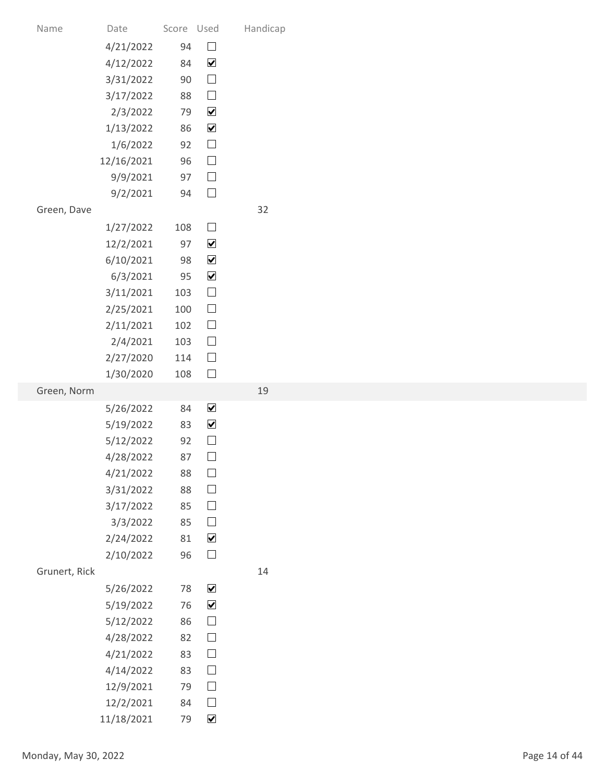| Score Used<br>Handicap<br>Date<br>Name<br>$\hfill \square$<br>94<br>4/21/2022<br>$\blacktriangledown$<br>4/12/2022<br>84<br>$\hfill \square$<br>3/31/2022<br>$90\,$<br>$\hfill \square$<br>3/17/2022<br>88<br>$\blacktriangledown$<br>2/3/2022<br>79<br>$\blacktriangledown$<br>86<br>1/13/2022<br>$\hfill \square$<br>92<br>1/6/2022<br>$\hfill \square$<br>96<br>12/16/2021<br>$\hfill \square$<br>97<br>9/9/2021<br>$\hfill \square$<br>9/2/2021<br>94<br>32<br>Green, Dave<br>$\Box$<br>1/27/2022<br>108<br>$\blacktriangledown$<br>12/2/2021<br>97<br>$\blacktriangledown$<br>6/10/2021<br>98<br>$\blacktriangledown$<br>6/3/2021<br>95<br>$\hfill \square$<br>3/11/2021<br>103<br>$\Box$<br>2/25/2021<br>100<br>$\hfill \square$<br>2/11/2021<br>102<br>$\hfill \square$<br>2/4/2021<br>103<br>$\hfill \square$<br>2/27/2020<br>114<br>$\Box$<br>1/30/2020<br>108<br>Green, Norm<br>19<br>$\blacktriangledown$<br>84<br>5/26/2022<br>$\blacktriangledown$<br>5/19/2022<br>83<br>$\Box$<br>5/12/2022<br>92<br>$\hfill \square$<br>87<br>4/28/2022<br>$\hfill \square$<br>4/21/2022<br>88<br>$\hfill \square$<br>3/31/2022<br>88<br>$\hfill \square$<br>3/17/2022<br>85<br>$\hfill \square$<br>85<br>3/3/2022<br>$\blacktriangledown$<br>2/24/2022<br>$81\,$<br>$\hfill \square$<br>2/10/2022<br>96<br>Grunert, Rick<br>14<br>$\blacktriangledown$<br>78<br>5/26/2022<br>$\blacktriangledown$<br>5/19/2022<br>76<br>$\hfill \square$<br>5/12/2022<br>86<br>$\hfill \square$<br>4/28/2022<br>82<br>$\Box$<br>83<br>4/21/2022<br>$\Box$<br>4/14/2022<br>83<br>$\Box$<br>12/9/2021<br>79<br>$\hfill \square$<br>12/2/2021<br>84<br>$\blacktriangledown$<br>79<br>11/18/2021<br>Page 14 of 44<br>Monday, May 30, 2022 |  |  |  |
|-----------------------------------------------------------------------------------------------------------------------------------------------------------------------------------------------------------------------------------------------------------------------------------------------------------------------------------------------------------------------------------------------------------------------------------------------------------------------------------------------------------------------------------------------------------------------------------------------------------------------------------------------------------------------------------------------------------------------------------------------------------------------------------------------------------------------------------------------------------------------------------------------------------------------------------------------------------------------------------------------------------------------------------------------------------------------------------------------------------------------------------------------------------------------------------------------------------------------------------------------------------------------------------------------------------------------------------------------------------------------------------------------------------------------------------------------------------------------------------------------------------------------------------------------------------------------------------------------------------------------------------------------------------------------------------------------------------------------|--|--|--|
|                                                                                                                                                                                                                                                                                                                                                                                                                                                                                                                                                                                                                                                                                                                                                                                                                                                                                                                                                                                                                                                                                                                                                                                                                                                                                                                                                                                                                                                                                                                                                                                                                                                                                                                       |  |  |  |
|                                                                                                                                                                                                                                                                                                                                                                                                                                                                                                                                                                                                                                                                                                                                                                                                                                                                                                                                                                                                                                                                                                                                                                                                                                                                                                                                                                                                                                                                                                                                                                                                                                                                                                                       |  |  |  |
|                                                                                                                                                                                                                                                                                                                                                                                                                                                                                                                                                                                                                                                                                                                                                                                                                                                                                                                                                                                                                                                                                                                                                                                                                                                                                                                                                                                                                                                                                                                                                                                                                                                                                                                       |  |  |  |
|                                                                                                                                                                                                                                                                                                                                                                                                                                                                                                                                                                                                                                                                                                                                                                                                                                                                                                                                                                                                                                                                                                                                                                                                                                                                                                                                                                                                                                                                                                                                                                                                                                                                                                                       |  |  |  |
|                                                                                                                                                                                                                                                                                                                                                                                                                                                                                                                                                                                                                                                                                                                                                                                                                                                                                                                                                                                                                                                                                                                                                                                                                                                                                                                                                                                                                                                                                                                                                                                                                                                                                                                       |  |  |  |
|                                                                                                                                                                                                                                                                                                                                                                                                                                                                                                                                                                                                                                                                                                                                                                                                                                                                                                                                                                                                                                                                                                                                                                                                                                                                                                                                                                                                                                                                                                                                                                                                                                                                                                                       |  |  |  |
|                                                                                                                                                                                                                                                                                                                                                                                                                                                                                                                                                                                                                                                                                                                                                                                                                                                                                                                                                                                                                                                                                                                                                                                                                                                                                                                                                                                                                                                                                                                                                                                                                                                                                                                       |  |  |  |
|                                                                                                                                                                                                                                                                                                                                                                                                                                                                                                                                                                                                                                                                                                                                                                                                                                                                                                                                                                                                                                                                                                                                                                                                                                                                                                                                                                                                                                                                                                                                                                                                                                                                                                                       |  |  |  |
|                                                                                                                                                                                                                                                                                                                                                                                                                                                                                                                                                                                                                                                                                                                                                                                                                                                                                                                                                                                                                                                                                                                                                                                                                                                                                                                                                                                                                                                                                                                                                                                                                                                                                                                       |  |  |  |
|                                                                                                                                                                                                                                                                                                                                                                                                                                                                                                                                                                                                                                                                                                                                                                                                                                                                                                                                                                                                                                                                                                                                                                                                                                                                                                                                                                                                                                                                                                                                                                                                                                                                                                                       |  |  |  |
|                                                                                                                                                                                                                                                                                                                                                                                                                                                                                                                                                                                                                                                                                                                                                                                                                                                                                                                                                                                                                                                                                                                                                                                                                                                                                                                                                                                                                                                                                                                                                                                                                                                                                                                       |  |  |  |
|                                                                                                                                                                                                                                                                                                                                                                                                                                                                                                                                                                                                                                                                                                                                                                                                                                                                                                                                                                                                                                                                                                                                                                                                                                                                                                                                                                                                                                                                                                                                                                                                                                                                                                                       |  |  |  |
|                                                                                                                                                                                                                                                                                                                                                                                                                                                                                                                                                                                                                                                                                                                                                                                                                                                                                                                                                                                                                                                                                                                                                                                                                                                                                                                                                                                                                                                                                                                                                                                                                                                                                                                       |  |  |  |
|                                                                                                                                                                                                                                                                                                                                                                                                                                                                                                                                                                                                                                                                                                                                                                                                                                                                                                                                                                                                                                                                                                                                                                                                                                                                                                                                                                                                                                                                                                                                                                                                                                                                                                                       |  |  |  |
|                                                                                                                                                                                                                                                                                                                                                                                                                                                                                                                                                                                                                                                                                                                                                                                                                                                                                                                                                                                                                                                                                                                                                                                                                                                                                                                                                                                                                                                                                                                                                                                                                                                                                                                       |  |  |  |
|                                                                                                                                                                                                                                                                                                                                                                                                                                                                                                                                                                                                                                                                                                                                                                                                                                                                                                                                                                                                                                                                                                                                                                                                                                                                                                                                                                                                                                                                                                                                                                                                                                                                                                                       |  |  |  |
|                                                                                                                                                                                                                                                                                                                                                                                                                                                                                                                                                                                                                                                                                                                                                                                                                                                                                                                                                                                                                                                                                                                                                                                                                                                                                                                                                                                                                                                                                                                                                                                                                                                                                                                       |  |  |  |
|                                                                                                                                                                                                                                                                                                                                                                                                                                                                                                                                                                                                                                                                                                                                                                                                                                                                                                                                                                                                                                                                                                                                                                                                                                                                                                                                                                                                                                                                                                                                                                                                                                                                                                                       |  |  |  |
|                                                                                                                                                                                                                                                                                                                                                                                                                                                                                                                                                                                                                                                                                                                                                                                                                                                                                                                                                                                                                                                                                                                                                                                                                                                                                                                                                                                                                                                                                                                                                                                                                                                                                                                       |  |  |  |
|                                                                                                                                                                                                                                                                                                                                                                                                                                                                                                                                                                                                                                                                                                                                                                                                                                                                                                                                                                                                                                                                                                                                                                                                                                                                                                                                                                                                                                                                                                                                                                                                                                                                                                                       |  |  |  |
|                                                                                                                                                                                                                                                                                                                                                                                                                                                                                                                                                                                                                                                                                                                                                                                                                                                                                                                                                                                                                                                                                                                                                                                                                                                                                                                                                                                                                                                                                                                                                                                                                                                                                                                       |  |  |  |
|                                                                                                                                                                                                                                                                                                                                                                                                                                                                                                                                                                                                                                                                                                                                                                                                                                                                                                                                                                                                                                                                                                                                                                                                                                                                                                                                                                                                                                                                                                                                                                                                                                                                                                                       |  |  |  |
|                                                                                                                                                                                                                                                                                                                                                                                                                                                                                                                                                                                                                                                                                                                                                                                                                                                                                                                                                                                                                                                                                                                                                                                                                                                                                                                                                                                                                                                                                                                                                                                                                                                                                                                       |  |  |  |
|                                                                                                                                                                                                                                                                                                                                                                                                                                                                                                                                                                                                                                                                                                                                                                                                                                                                                                                                                                                                                                                                                                                                                                                                                                                                                                                                                                                                                                                                                                                                                                                                                                                                                                                       |  |  |  |
|                                                                                                                                                                                                                                                                                                                                                                                                                                                                                                                                                                                                                                                                                                                                                                                                                                                                                                                                                                                                                                                                                                                                                                                                                                                                                                                                                                                                                                                                                                                                                                                                                                                                                                                       |  |  |  |
|                                                                                                                                                                                                                                                                                                                                                                                                                                                                                                                                                                                                                                                                                                                                                                                                                                                                                                                                                                                                                                                                                                                                                                                                                                                                                                                                                                                                                                                                                                                                                                                                                                                                                                                       |  |  |  |
|                                                                                                                                                                                                                                                                                                                                                                                                                                                                                                                                                                                                                                                                                                                                                                                                                                                                                                                                                                                                                                                                                                                                                                                                                                                                                                                                                                                                                                                                                                                                                                                                                                                                                                                       |  |  |  |
|                                                                                                                                                                                                                                                                                                                                                                                                                                                                                                                                                                                                                                                                                                                                                                                                                                                                                                                                                                                                                                                                                                                                                                                                                                                                                                                                                                                                                                                                                                                                                                                                                                                                                                                       |  |  |  |
|                                                                                                                                                                                                                                                                                                                                                                                                                                                                                                                                                                                                                                                                                                                                                                                                                                                                                                                                                                                                                                                                                                                                                                                                                                                                                                                                                                                                                                                                                                                                                                                                                                                                                                                       |  |  |  |
|                                                                                                                                                                                                                                                                                                                                                                                                                                                                                                                                                                                                                                                                                                                                                                                                                                                                                                                                                                                                                                                                                                                                                                                                                                                                                                                                                                                                                                                                                                                                                                                                                                                                                                                       |  |  |  |
|                                                                                                                                                                                                                                                                                                                                                                                                                                                                                                                                                                                                                                                                                                                                                                                                                                                                                                                                                                                                                                                                                                                                                                                                                                                                                                                                                                                                                                                                                                                                                                                                                                                                                                                       |  |  |  |
|                                                                                                                                                                                                                                                                                                                                                                                                                                                                                                                                                                                                                                                                                                                                                                                                                                                                                                                                                                                                                                                                                                                                                                                                                                                                                                                                                                                                                                                                                                                                                                                                                                                                                                                       |  |  |  |
|                                                                                                                                                                                                                                                                                                                                                                                                                                                                                                                                                                                                                                                                                                                                                                                                                                                                                                                                                                                                                                                                                                                                                                                                                                                                                                                                                                                                                                                                                                                                                                                                                                                                                                                       |  |  |  |
|                                                                                                                                                                                                                                                                                                                                                                                                                                                                                                                                                                                                                                                                                                                                                                                                                                                                                                                                                                                                                                                                                                                                                                                                                                                                                                                                                                                                                                                                                                                                                                                                                                                                                                                       |  |  |  |
|                                                                                                                                                                                                                                                                                                                                                                                                                                                                                                                                                                                                                                                                                                                                                                                                                                                                                                                                                                                                                                                                                                                                                                                                                                                                                                                                                                                                                                                                                                                                                                                                                                                                                                                       |  |  |  |
|                                                                                                                                                                                                                                                                                                                                                                                                                                                                                                                                                                                                                                                                                                                                                                                                                                                                                                                                                                                                                                                                                                                                                                                                                                                                                                                                                                                                                                                                                                                                                                                                                                                                                                                       |  |  |  |
|                                                                                                                                                                                                                                                                                                                                                                                                                                                                                                                                                                                                                                                                                                                                                                                                                                                                                                                                                                                                                                                                                                                                                                                                                                                                                                                                                                                                                                                                                                                                                                                                                                                                                                                       |  |  |  |
|                                                                                                                                                                                                                                                                                                                                                                                                                                                                                                                                                                                                                                                                                                                                                                                                                                                                                                                                                                                                                                                                                                                                                                                                                                                                                                                                                                                                                                                                                                                                                                                                                                                                                                                       |  |  |  |
|                                                                                                                                                                                                                                                                                                                                                                                                                                                                                                                                                                                                                                                                                                                                                                                                                                                                                                                                                                                                                                                                                                                                                                                                                                                                                                                                                                                                                                                                                                                                                                                                                                                                                                                       |  |  |  |
|                                                                                                                                                                                                                                                                                                                                                                                                                                                                                                                                                                                                                                                                                                                                                                                                                                                                                                                                                                                                                                                                                                                                                                                                                                                                                                                                                                                                                                                                                                                                                                                                                                                                                                                       |  |  |  |
|                                                                                                                                                                                                                                                                                                                                                                                                                                                                                                                                                                                                                                                                                                                                                                                                                                                                                                                                                                                                                                                                                                                                                                                                                                                                                                                                                                                                                                                                                                                                                                                                                                                                                                                       |  |  |  |
|                                                                                                                                                                                                                                                                                                                                                                                                                                                                                                                                                                                                                                                                                                                                                                                                                                                                                                                                                                                                                                                                                                                                                                                                                                                                                                                                                                                                                                                                                                                                                                                                                                                                                                                       |  |  |  |
|                                                                                                                                                                                                                                                                                                                                                                                                                                                                                                                                                                                                                                                                                                                                                                                                                                                                                                                                                                                                                                                                                                                                                                                                                                                                                                                                                                                                                                                                                                                                                                                                                                                                                                                       |  |  |  |
|                                                                                                                                                                                                                                                                                                                                                                                                                                                                                                                                                                                                                                                                                                                                                                                                                                                                                                                                                                                                                                                                                                                                                                                                                                                                                                                                                                                                                                                                                                                                                                                                                                                                                                                       |  |  |  |
|                                                                                                                                                                                                                                                                                                                                                                                                                                                                                                                                                                                                                                                                                                                                                                                                                                                                                                                                                                                                                                                                                                                                                                                                                                                                                                                                                                                                                                                                                                                                                                                                                                                                                                                       |  |  |  |
|                                                                                                                                                                                                                                                                                                                                                                                                                                                                                                                                                                                                                                                                                                                                                                                                                                                                                                                                                                                                                                                                                                                                                                                                                                                                                                                                                                                                                                                                                                                                                                                                                                                                                                                       |  |  |  |
|                                                                                                                                                                                                                                                                                                                                                                                                                                                                                                                                                                                                                                                                                                                                                                                                                                                                                                                                                                                                                                                                                                                                                                                                                                                                                                                                                                                                                                                                                                                                                                                                                                                                                                                       |  |  |  |
|                                                                                                                                                                                                                                                                                                                                                                                                                                                                                                                                                                                                                                                                                                                                                                                                                                                                                                                                                                                                                                                                                                                                                                                                                                                                                                                                                                                                                                                                                                                                                                                                                                                                                                                       |  |  |  |
|                                                                                                                                                                                                                                                                                                                                                                                                                                                                                                                                                                                                                                                                                                                                                                                                                                                                                                                                                                                                                                                                                                                                                                                                                                                                                                                                                                                                                                                                                                                                                                                                                                                                                                                       |  |  |  |
|                                                                                                                                                                                                                                                                                                                                                                                                                                                                                                                                                                                                                                                                                                                                                                                                                                                                                                                                                                                                                                                                                                                                                                                                                                                                                                                                                                                                                                                                                                                                                                                                                                                                                                                       |  |  |  |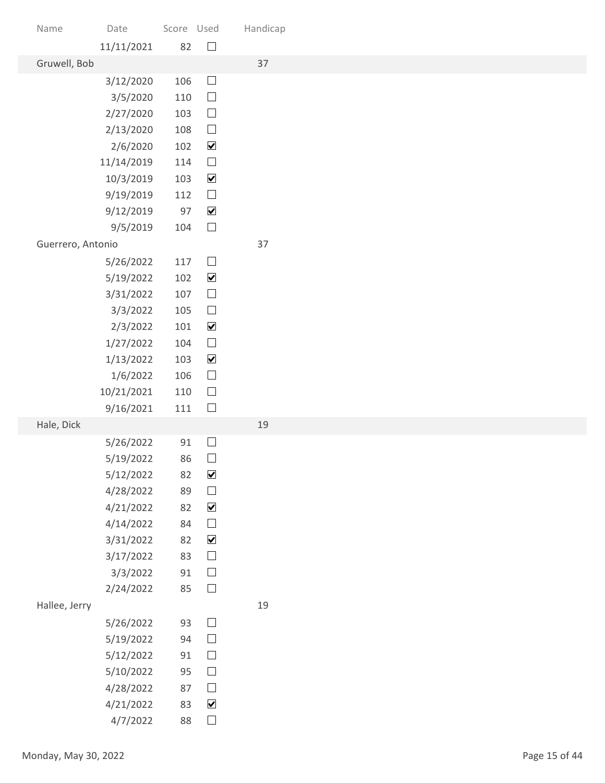| Name                 | Date                   | Score Used |                                          | Handicap |               |
|----------------------|------------------------|------------|------------------------------------------|----------|---------------|
| Gruwell, Bob         | 11/11/2021             | 82         | $\Box$                                   | 37       |               |
|                      | 3/12/2020              | 106        | $\Box$                                   |          |               |
|                      | 3/5/2020               | 110        | $\Box$                                   |          |               |
|                      | 2/27/2020              | 103        | $\hfill \square$                         |          |               |
|                      | 2/13/2020              | 108        | $\Box$                                   |          |               |
|                      | 2/6/2020               | 102        | $\blacktriangledown$                     |          |               |
|                      | 11/14/2019             | 114        | $\hfill \square$                         |          |               |
|                      | 10/3/2019              | 103        | $\blacktriangledown$                     |          |               |
|                      | 9/19/2019<br>9/12/2019 | 112<br>97  | $\hfill \square$<br>$\blacktriangledown$ |          |               |
|                      | 9/5/2019               | 104        | $\Box$                                   |          |               |
| Guerrero, Antonio    |                        |            |                                          | 37       |               |
|                      | 5/26/2022              | 117        | $\hfill \square$                         |          |               |
|                      | 5/19/2022              | 102        | $\blacktriangledown$                     |          |               |
|                      | 3/31/2022              | 107        | $\hfill \square$                         |          |               |
|                      | 3/3/2022               | 105        | $\hfill \square$                         |          |               |
|                      | 2/3/2022               | 101        | $\blacktriangledown$                     |          |               |
|                      | 1/27/2022              | 104        | $\hfill \square$                         |          |               |
|                      | 1/13/2022              | 103<br>106 | $\blacktriangledown$<br>$\hfill \square$ |          |               |
|                      | 1/6/2022<br>10/21/2021 | 110        | $\Box$                                   |          |               |
|                      | 9/16/2021              | 111        | $\hfill \square$                         |          |               |
| Hale, Dick           |                        |            |                                          | 19       |               |
|                      | 5/26/2022              | 91         | $\hfill \square$                         |          |               |
|                      | 5/19/2022              | 86         | $\hfill \square$                         |          |               |
|                      | 5/12/2022              | 82         | $\blacktriangledown$                     |          |               |
|                      | 4/28/2022              | 89         | $\Box$                                   |          |               |
|                      | 4/21/2022              | 82         | $\blacktriangledown$<br>$\hfill \square$ |          |               |
|                      | 4/14/2022<br>3/31/2022 | 84<br>82   | $\blacktriangledown$                     |          |               |
|                      | 3/17/2022              | 83         | $\hfill \square$                         |          |               |
|                      | 3/3/2022               | $91\,$     | $\hfill \square$                         |          |               |
|                      | 2/24/2022              | 85         | $\hfill \square$                         |          |               |
| Hallee, Jerry        |                        |            |                                          | 19       |               |
|                      | 5/26/2022              | 93         | $\hfill \square$                         |          |               |
|                      | 5/19/2022              | 94         | $\hfill \square$                         |          |               |
|                      | 5/12/2022              | 91         | $\Box$                                   |          |               |
|                      | 5/10/2022              | 95         | $\Box$                                   |          |               |
|                      | 4/28/2022              | 87         | $\Box$<br>$\blacktriangledown$           |          |               |
|                      | 4/21/2022<br>4/7/2022  | 83<br>88   | $\hfill \square$                         |          |               |
|                      |                        |            |                                          |          |               |
| Monday, May 30, 2022 |                        |            |                                          |          | Page 15 of 44 |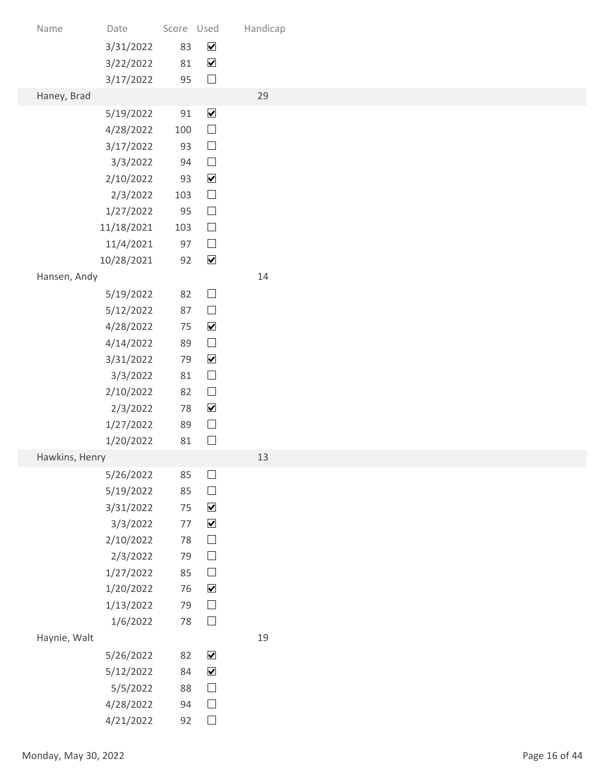| Name                 | Date                   | Score Used   |                                              | Handicap |               |
|----------------------|------------------------|--------------|----------------------------------------------|----------|---------------|
|                      | 3/31/2022              | 83           | $\blacktriangledown$                         |          |               |
|                      | 3/22/2022              | 81           | $\blacktriangledown$                         |          |               |
| Haney, Brad          | 3/17/2022              | 95           | $\Box$                                       | 29       |               |
|                      | 5/19/2022              | 91           | $\blacktriangledown$                         |          |               |
|                      | 4/28/2022              | 100          | $\hfill \square$                             |          |               |
|                      | 3/17/2022              | 93           | $\hfill \square$                             |          |               |
|                      | 3/3/2022               | 94           | $\hfill \square$                             |          |               |
|                      | 2/10/2022              | 93<br>103    | $\blacktriangledown$<br>$\hfill \square$     |          |               |
|                      | 2/3/2022<br>1/27/2022  | 95           | $\hfill \square$                             |          |               |
|                      | 11/18/2021             | 103          | $\Box$                                       |          |               |
|                      | 11/4/2021              | 97           | $\Box$                                       |          |               |
|                      | 10/28/2021             | 92           | $\blacktriangledown$                         |          |               |
| Hansen, Andy         |                        |              |                                              | 14       |               |
|                      | 5/19/2022<br>5/12/2022 | 82<br>87     | $\hfill \square$<br>$\hfill \square$         |          |               |
|                      | 4/28/2022              | 75           | $\blacktriangledown$                         |          |               |
|                      | 4/14/2022              | 89           | $\hfill \square$                             |          |               |
|                      | 3/31/2022              | 79           | $\blacktriangledown$                         |          |               |
|                      | 3/3/2022               | 81           | $\hfill \square$                             |          |               |
|                      | 2/10/2022              | 82           | $\hfill \square$<br>$\blacktriangledown$     |          |               |
|                      | 2/3/2022<br>1/27/2022  | $78\,$<br>89 | $\Box$                                       |          |               |
|                      | 1/20/2022              | $81\,$       | $\hfill \square$                             |          |               |
| Hawkins, Henry       |                        |              |                                              | 13       |               |
|                      | 5/26/2022              | 85           | $\hfill \square$                             |          |               |
|                      | 5/19/2022              | 85           | $\hfill \square$                             |          |               |
|                      | 3/31/2022<br>3/3/2022  | 75<br>77     | $\blacktriangledown$<br>$\blacktriangledown$ |          |               |
|                      | 2/10/2022              | 78           | $\hfill \square$                             |          |               |
|                      | 2/3/2022               | 79           | $\hfill \square$                             |          |               |
|                      | 1/27/2022              | 85           | $\hfill \square$                             |          |               |
|                      | 1/20/2022              | 76           | $\blacktriangledown$                         |          |               |
|                      | 1/13/2022<br>1/6/2022  | 79<br>78     | $\hfill \square$<br>$\hfill \square$         |          |               |
| Haynie, Walt         |                        |              |                                              | 19       |               |
|                      | 5/26/2022              | 82           | $\blacktriangledown$                         |          |               |
|                      | 5/12/2022              | 84           | $\blacktriangledown$                         |          |               |
|                      | 5/5/2022               | 88           | $\Box$                                       |          |               |
|                      | 4/28/2022              | 94           | $\Box$                                       |          |               |
|                      | 4/21/2022              | 92           | $\hfill \square$                             |          |               |
| Monday, May 30, 2022 |                        |              |                                              |          | Page 16 of 44 |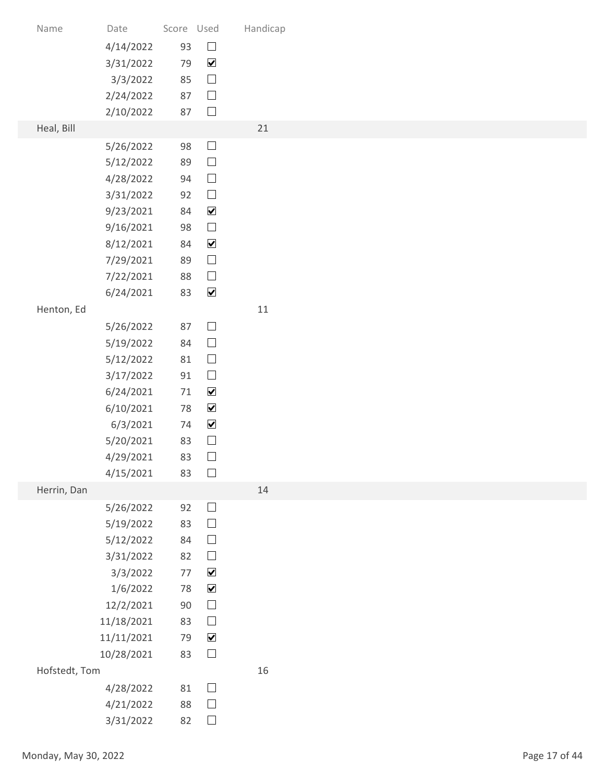| Score Used<br>Handicap<br>Date<br>Name<br>$\hfill \square$<br>93<br>4/14/2022<br>$\blacktriangledown$<br>3/31/2022<br>79<br>$\hfill \square$<br>85<br>3/3/2022<br>$\hfill \square$<br>2/24/2022<br>87<br>$\Box$<br>87<br>2/10/2022<br>Heal, Bill<br>21<br>$\Box$<br>5/26/2022<br>98<br>$\hfill \square$<br>89<br>5/12/2022<br>$\Box$<br>94<br>4/28/2022<br>$\Box$<br>92<br>3/31/2022<br>$\blacktriangledown$<br>84<br>9/23/2021<br>$\Box$<br>9/16/2021<br>98<br>$\blacktriangledown$<br>8/12/2021<br>84<br>$\hfill \square$<br>7/29/2021<br>89<br>$\hfill \square$<br>7/22/2021<br>88<br>$\blacktriangledown$<br>6/24/2021<br>83<br>11<br>Henton, Ed<br>$\hfill \square$<br>87<br>5/26/2022<br>$\Box$<br>5/19/2022<br>84<br>$\hfill \square$<br>5/12/2022<br>81<br>$\hfill \square$<br>3/17/2022<br>91<br>$\blacktriangledown$<br>6/24/2021<br>71<br>$\blacktriangledown$<br>6/10/2021<br>78<br>$\blacktriangledown$<br>6/3/2021<br>74<br>$\Box$<br>5/20/2021<br>83<br>$\hfill \square$<br>4/29/2021<br>83<br>$\Box$<br>4/15/2021<br>83<br>Herrin, Dan<br>14<br>$\hfill \square$<br>5/26/2022<br>92<br>$\hfill \square$<br>5/19/2022<br>83<br>$\hfill \square$<br>5/12/2022<br>84<br>$\hfill \square$<br>3/31/2022<br>82<br>$\blacktriangledown$<br>3/3/2022<br>$77$<br>$\blacktriangledown$<br>1/6/2022<br>78<br>$\hfill \square$<br>12/2/2021<br>90<br>$\hfill \square$<br>11/18/2021<br>83<br>$\blacktriangledown$<br>11/11/2021<br>79<br>$\Box$<br>83<br>10/28/2021<br>Hofstedt, Tom<br>16<br>$\Box$<br>81<br>4/28/2022<br>$\Box$<br>4/21/2022<br>88<br>$\hfill \square$<br>3/31/2022<br>82<br>Page 17 of 44 |  |  |  |  |
|------------------------------------------------------------------------------------------------------------------------------------------------------------------------------------------------------------------------------------------------------------------------------------------------------------------------------------------------------------------------------------------------------------------------------------------------------------------------------------------------------------------------------------------------------------------------------------------------------------------------------------------------------------------------------------------------------------------------------------------------------------------------------------------------------------------------------------------------------------------------------------------------------------------------------------------------------------------------------------------------------------------------------------------------------------------------------------------------------------------------------------------------------------------------------------------------------------------------------------------------------------------------------------------------------------------------------------------------------------------------------------------------------------------------------------------------------------------------------------------------------------------------------------------------------------------------------------------------------------------|--|--|--|--|
|                                                                                                                                                                                                                                                                                                                                                                                                                                                                                                                                                                                                                                                                                                                                                                                                                                                                                                                                                                                                                                                                                                                                                                                                                                                                                                                                                                                                                                                                                                                                                                                                                  |  |  |  |  |
|                                                                                                                                                                                                                                                                                                                                                                                                                                                                                                                                                                                                                                                                                                                                                                                                                                                                                                                                                                                                                                                                                                                                                                                                                                                                                                                                                                                                                                                                                                                                                                                                                  |  |  |  |  |
|                                                                                                                                                                                                                                                                                                                                                                                                                                                                                                                                                                                                                                                                                                                                                                                                                                                                                                                                                                                                                                                                                                                                                                                                                                                                                                                                                                                                                                                                                                                                                                                                                  |  |  |  |  |
|                                                                                                                                                                                                                                                                                                                                                                                                                                                                                                                                                                                                                                                                                                                                                                                                                                                                                                                                                                                                                                                                                                                                                                                                                                                                                                                                                                                                                                                                                                                                                                                                                  |  |  |  |  |
|                                                                                                                                                                                                                                                                                                                                                                                                                                                                                                                                                                                                                                                                                                                                                                                                                                                                                                                                                                                                                                                                                                                                                                                                                                                                                                                                                                                                                                                                                                                                                                                                                  |  |  |  |  |
| Monday, May 30, 2022                                                                                                                                                                                                                                                                                                                                                                                                                                                                                                                                                                                                                                                                                                                                                                                                                                                                                                                                                                                                                                                                                                                                                                                                                                                                                                                                                                                                                                                                                                                                                                                             |  |  |  |  |
|                                                                                                                                                                                                                                                                                                                                                                                                                                                                                                                                                                                                                                                                                                                                                                                                                                                                                                                                                                                                                                                                                                                                                                                                                                                                                                                                                                                                                                                                                                                                                                                                                  |  |  |  |  |
|                                                                                                                                                                                                                                                                                                                                                                                                                                                                                                                                                                                                                                                                                                                                                                                                                                                                                                                                                                                                                                                                                                                                                                                                                                                                                                                                                                                                                                                                                                                                                                                                                  |  |  |  |  |
|                                                                                                                                                                                                                                                                                                                                                                                                                                                                                                                                                                                                                                                                                                                                                                                                                                                                                                                                                                                                                                                                                                                                                                                                                                                                                                                                                                                                                                                                                                                                                                                                                  |  |  |  |  |
|                                                                                                                                                                                                                                                                                                                                                                                                                                                                                                                                                                                                                                                                                                                                                                                                                                                                                                                                                                                                                                                                                                                                                                                                                                                                                                                                                                                                                                                                                                                                                                                                                  |  |  |  |  |
|                                                                                                                                                                                                                                                                                                                                                                                                                                                                                                                                                                                                                                                                                                                                                                                                                                                                                                                                                                                                                                                                                                                                                                                                                                                                                                                                                                                                                                                                                                                                                                                                                  |  |  |  |  |
|                                                                                                                                                                                                                                                                                                                                                                                                                                                                                                                                                                                                                                                                                                                                                                                                                                                                                                                                                                                                                                                                                                                                                                                                                                                                                                                                                                                                                                                                                                                                                                                                                  |  |  |  |  |
|                                                                                                                                                                                                                                                                                                                                                                                                                                                                                                                                                                                                                                                                                                                                                                                                                                                                                                                                                                                                                                                                                                                                                                                                                                                                                                                                                                                                                                                                                                                                                                                                                  |  |  |  |  |
|                                                                                                                                                                                                                                                                                                                                                                                                                                                                                                                                                                                                                                                                                                                                                                                                                                                                                                                                                                                                                                                                                                                                                                                                                                                                                                                                                                                                                                                                                                                                                                                                                  |  |  |  |  |
|                                                                                                                                                                                                                                                                                                                                                                                                                                                                                                                                                                                                                                                                                                                                                                                                                                                                                                                                                                                                                                                                                                                                                                                                                                                                                                                                                                                                                                                                                                                                                                                                                  |  |  |  |  |
|                                                                                                                                                                                                                                                                                                                                                                                                                                                                                                                                                                                                                                                                                                                                                                                                                                                                                                                                                                                                                                                                                                                                                                                                                                                                                                                                                                                                                                                                                                                                                                                                                  |  |  |  |  |
|                                                                                                                                                                                                                                                                                                                                                                                                                                                                                                                                                                                                                                                                                                                                                                                                                                                                                                                                                                                                                                                                                                                                                                                                                                                                                                                                                                                                                                                                                                                                                                                                                  |  |  |  |  |
|                                                                                                                                                                                                                                                                                                                                                                                                                                                                                                                                                                                                                                                                                                                                                                                                                                                                                                                                                                                                                                                                                                                                                                                                                                                                                                                                                                                                                                                                                                                                                                                                                  |  |  |  |  |
|                                                                                                                                                                                                                                                                                                                                                                                                                                                                                                                                                                                                                                                                                                                                                                                                                                                                                                                                                                                                                                                                                                                                                                                                                                                                                                                                                                                                                                                                                                                                                                                                                  |  |  |  |  |
|                                                                                                                                                                                                                                                                                                                                                                                                                                                                                                                                                                                                                                                                                                                                                                                                                                                                                                                                                                                                                                                                                                                                                                                                                                                                                                                                                                                                                                                                                                                                                                                                                  |  |  |  |  |
|                                                                                                                                                                                                                                                                                                                                                                                                                                                                                                                                                                                                                                                                                                                                                                                                                                                                                                                                                                                                                                                                                                                                                                                                                                                                                                                                                                                                                                                                                                                                                                                                                  |  |  |  |  |
|                                                                                                                                                                                                                                                                                                                                                                                                                                                                                                                                                                                                                                                                                                                                                                                                                                                                                                                                                                                                                                                                                                                                                                                                                                                                                                                                                                                                                                                                                                                                                                                                                  |  |  |  |  |
|                                                                                                                                                                                                                                                                                                                                                                                                                                                                                                                                                                                                                                                                                                                                                                                                                                                                                                                                                                                                                                                                                                                                                                                                                                                                                                                                                                                                                                                                                                                                                                                                                  |  |  |  |  |
|                                                                                                                                                                                                                                                                                                                                                                                                                                                                                                                                                                                                                                                                                                                                                                                                                                                                                                                                                                                                                                                                                                                                                                                                                                                                                                                                                                                                                                                                                                                                                                                                                  |  |  |  |  |
|                                                                                                                                                                                                                                                                                                                                                                                                                                                                                                                                                                                                                                                                                                                                                                                                                                                                                                                                                                                                                                                                                                                                                                                                                                                                                                                                                                                                                                                                                                                                                                                                                  |  |  |  |  |
|                                                                                                                                                                                                                                                                                                                                                                                                                                                                                                                                                                                                                                                                                                                                                                                                                                                                                                                                                                                                                                                                                                                                                                                                                                                                                                                                                                                                                                                                                                                                                                                                                  |  |  |  |  |
|                                                                                                                                                                                                                                                                                                                                                                                                                                                                                                                                                                                                                                                                                                                                                                                                                                                                                                                                                                                                                                                                                                                                                                                                                                                                                                                                                                                                                                                                                                                                                                                                                  |  |  |  |  |
|                                                                                                                                                                                                                                                                                                                                                                                                                                                                                                                                                                                                                                                                                                                                                                                                                                                                                                                                                                                                                                                                                                                                                                                                                                                                                                                                                                                                                                                                                                                                                                                                                  |  |  |  |  |
|                                                                                                                                                                                                                                                                                                                                                                                                                                                                                                                                                                                                                                                                                                                                                                                                                                                                                                                                                                                                                                                                                                                                                                                                                                                                                                                                                                                                                                                                                                                                                                                                                  |  |  |  |  |
|                                                                                                                                                                                                                                                                                                                                                                                                                                                                                                                                                                                                                                                                                                                                                                                                                                                                                                                                                                                                                                                                                                                                                                                                                                                                                                                                                                                                                                                                                                                                                                                                                  |  |  |  |  |
|                                                                                                                                                                                                                                                                                                                                                                                                                                                                                                                                                                                                                                                                                                                                                                                                                                                                                                                                                                                                                                                                                                                                                                                                                                                                                                                                                                                                                                                                                                                                                                                                                  |  |  |  |  |
|                                                                                                                                                                                                                                                                                                                                                                                                                                                                                                                                                                                                                                                                                                                                                                                                                                                                                                                                                                                                                                                                                                                                                                                                                                                                                                                                                                                                                                                                                                                                                                                                                  |  |  |  |  |
|                                                                                                                                                                                                                                                                                                                                                                                                                                                                                                                                                                                                                                                                                                                                                                                                                                                                                                                                                                                                                                                                                                                                                                                                                                                                                                                                                                                                                                                                                                                                                                                                                  |  |  |  |  |
|                                                                                                                                                                                                                                                                                                                                                                                                                                                                                                                                                                                                                                                                                                                                                                                                                                                                                                                                                                                                                                                                                                                                                                                                                                                                                                                                                                                                                                                                                                                                                                                                                  |  |  |  |  |
|                                                                                                                                                                                                                                                                                                                                                                                                                                                                                                                                                                                                                                                                                                                                                                                                                                                                                                                                                                                                                                                                                                                                                                                                                                                                                                                                                                                                                                                                                                                                                                                                                  |  |  |  |  |
|                                                                                                                                                                                                                                                                                                                                                                                                                                                                                                                                                                                                                                                                                                                                                                                                                                                                                                                                                                                                                                                                                                                                                                                                                                                                                                                                                                                                                                                                                                                                                                                                                  |  |  |  |  |
|                                                                                                                                                                                                                                                                                                                                                                                                                                                                                                                                                                                                                                                                                                                                                                                                                                                                                                                                                                                                                                                                                                                                                                                                                                                                                                                                                                                                                                                                                                                                                                                                                  |  |  |  |  |
|                                                                                                                                                                                                                                                                                                                                                                                                                                                                                                                                                                                                                                                                                                                                                                                                                                                                                                                                                                                                                                                                                                                                                                                                                                                                                                                                                                                                                                                                                                                                                                                                                  |  |  |  |  |
|                                                                                                                                                                                                                                                                                                                                                                                                                                                                                                                                                                                                                                                                                                                                                                                                                                                                                                                                                                                                                                                                                                                                                                                                                                                                                                                                                                                                                                                                                                                                                                                                                  |  |  |  |  |
|                                                                                                                                                                                                                                                                                                                                                                                                                                                                                                                                                                                                                                                                                                                                                                                                                                                                                                                                                                                                                                                                                                                                                                                                                                                                                                                                                                                                                                                                                                                                                                                                                  |  |  |  |  |
|                                                                                                                                                                                                                                                                                                                                                                                                                                                                                                                                                                                                                                                                                                                                                                                                                                                                                                                                                                                                                                                                                                                                                                                                                                                                                                                                                                                                                                                                                                                                                                                                                  |  |  |  |  |
|                                                                                                                                                                                                                                                                                                                                                                                                                                                                                                                                                                                                                                                                                                                                                                                                                                                                                                                                                                                                                                                                                                                                                                                                                                                                                                                                                                                                                                                                                                                                                                                                                  |  |  |  |  |
|                                                                                                                                                                                                                                                                                                                                                                                                                                                                                                                                                                                                                                                                                                                                                                                                                                                                                                                                                                                                                                                                                                                                                                                                                                                                                                                                                                                                                                                                                                                                                                                                                  |  |  |  |  |
|                                                                                                                                                                                                                                                                                                                                                                                                                                                                                                                                                                                                                                                                                                                                                                                                                                                                                                                                                                                                                                                                                                                                                                                                                                                                                                                                                                                                                                                                                                                                                                                                                  |  |  |  |  |
|                                                                                                                                                                                                                                                                                                                                                                                                                                                                                                                                                                                                                                                                                                                                                                                                                                                                                                                                                                                                                                                                                                                                                                                                                                                                                                                                                                                                                                                                                                                                                                                                                  |  |  |  |  |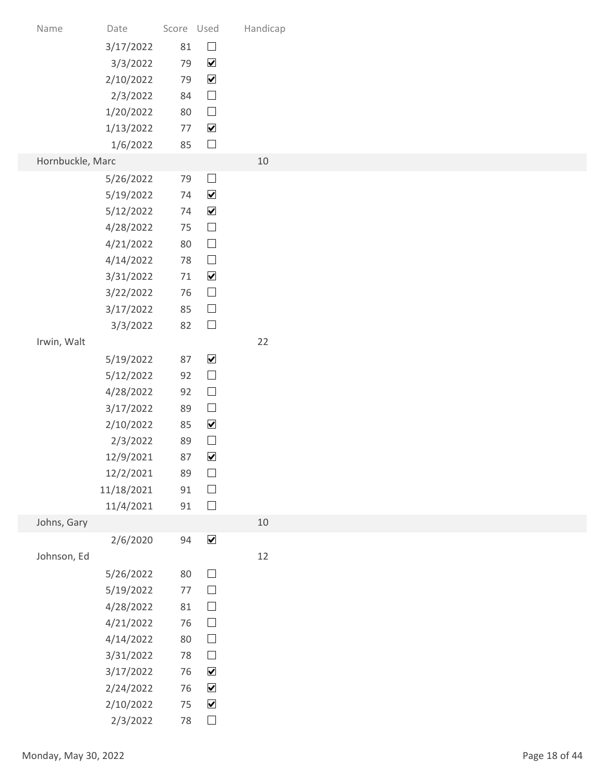| Name                 | Date                   | Score Used |                                              | Handicap |               |
|----------------------|------------------------|------------|----------------------------------------------|----------|---------------|
|                      | 3/17/2022<br>3/3/2022  | 81<br>79   | $\hfill \square$<br>$\blacktriangledown$     |          |               |
|                      | 2/10/2022              | 79         | $\blacktriangledown$                         |          |               |
|                      | 2/3/2022               | 84         | $\hfill \square$                             |          |               |
|                      | 1/20/2022              | 80         | $\hfill \square$                             |          |               |
|                      | 1/13/2022              | 77         | $\blacktriangledown$                         |          |               |
|                      | 1/6/2022               | 85         | $\Box$                                       |          |               |
| Hornbuckle, Marc     |                        |            |                                              | 10       |               |
|                      | 5/26/2022              | 79         | $\Box$                                       |          |               |
|                      | 5/19/2022              | 74<br>74   | $\blacktriangledown$<br>$\blacktriangledown$ |          |               |
|                      | 5/12/2022<br>4/28/2022 | 75         | $\Box$                                       |          |               |
|                      | 4/21/2022              | 80         | $\hfill \square$                             |          |               |
|                      | 4/14/2022              | 78         | $\hfill \square$                             |          |               |
|                      | 3/31/2022              | 71         | $\blacktriangledown$                         |          |               |
|                      | 3/22/2022              | 76         | $\hfill \square$                             |          |               |
|                      | 3/17/2022              | 85         | $\Box$                                       |          |               |
|                      | 3/3/2022               | 82         | $\Box$                                       |          |               |
| Irwin, Walt          |                        |            |                                              | 22       |               |
|                      | 5/19/2022<br>5/12/2022 | 87<br>92   | $\blacktriangledown$<br>$\hfill \square$     |          |               |
|                      | 4/28/2022              | 92         | $\hfill \square$                             |          |               |
|                      | 3/17/2022              | 89         | $\hfill \square$                             |          |               |
|                      | 2/10/2022              | 85         | $\blacktriangledown$                         |          |               |
|                      | 2/3/2022               | 89         | $\hfill \square$                             |          |               |
|                      | 12/9/2021              | 87         | $\blacktriangledown$                         |          |               |
|                      | 12/2/2021              | 89         | $\Box$                                       |          |               |
|                      | 11/18/2021             | 91         | $\hfill \square$<br>$\Box$                   |          |               |
| Johns, Gary          | 11/4/2021              | 91         |                                              | 10       |               |
|                      | 2/6/2020               | 94         | $\blacktriangledown$                         |          |               |
| Johnson, Ed          |                        |            |                                              | $12$     |               |
|                      | 5/26/2022              | 80         | $\hfill \square$                             |          |               |
|                      | 5/19/2022              | 77         | $\hfill \square$                             |          |               |
|                      | 4/28/2022              | 81         | $\hfill \square$                             |          |               |
|                      | 4/21/2022              | 76         | $\hfill \square$                             |          |               |
|                      | 4/14/2022              | 80         | $\Box$                                       |          |               |
|                      | 3/31/2022              | 78         | $\Box$<br>$\blacktriangledown$               |          |               |
|                      | 3/17/2022<br>2/24/2022 | 76<br>76   | $\blacktriangledown$                         |          |               |
|                      | 2/10/2022              | 75         | $\blacktriangledown$                         |          |               |
|                      | 2/3/2022               | 78         | $\hfill \square$                             |          |               |
|                      |                        |            |                                              |          |               |
| Monday, May 30, 2022 |                        |            |                                              |          | Page 18 of 44 |
|                      |                        |            |                                              |          |               |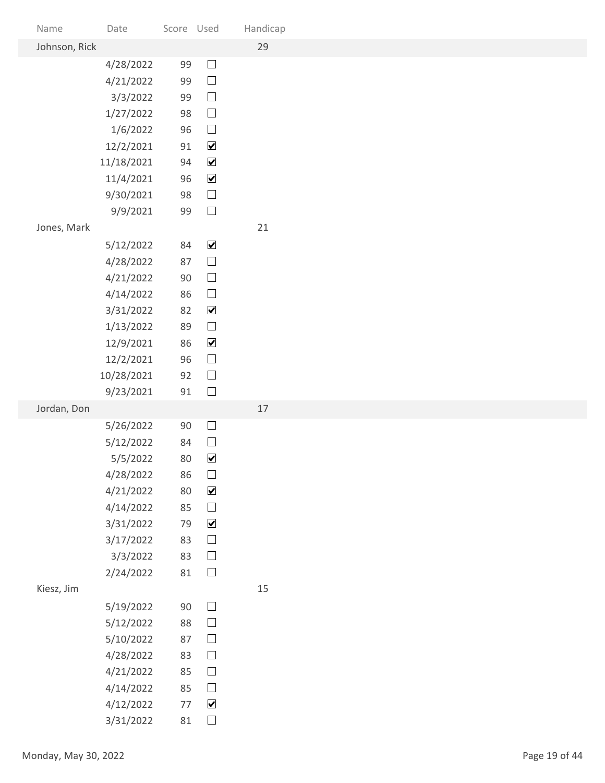| Name                 | Date                   | Score Used |                                      | Handicap |               |
|----------------------|------------------------|------------|--------------------------------------|----------|---------------|
| Johnson, Rick        |                        |            |                                      | 29       |               |
|                      | 4/28/2022<br>4/21/2022 | 99<br>99   | $\Box$<br>$\hfill \square$           |          |               |
|                      | 3/3/2022               | 99         | $\hfill \square$                     |          |               |
|                      | 1/27/2022              | 98         | $\hfill \square$                     |          |               |
|                      | 1/6/2022               | 96         | $\Box$                               |          |               |
|                      | 12/2/2021              | 91         | $\blacktriangledown$                 |          |               |
|                      | 11/18/2021             | 94         | $\blacktriangledown$                 |          |               |
|                      | 11/4/2021              | 96         | $\blacktriangledown$                 |          |               |
|                      | 9/30/2021              | 98         | $\hfill \square$<br>$\Box$           |          |               |
| Jones, Mark          | 9/9/2021               | 99         |                                      | 21       |               |
|                      | 5/12/2022              | 84         | $\blacktriangledown$                 |          |               |
|                      | 4/28/2022              | 87         | $\hfill \square$                     |          |               |
|                      | 4/21/2022              | 90         | $\hfill \square$                     |          |               |
|                      | 4/14/2022              | 86         | $\hfill \square$                     |          |               |
|                      | 3/31/2022              | 82         | $\blacktriangledown$                 |          |               |
|                      | 1/13/2022              | 89         | $\Box$                               |          |               |
|                      | 12/9/2021              | 86         | $\blacktriangledown$                 |          |               |
|                      | 12/2/2021              | 96         | $\hfill \square$                     |          |               |
|                      | 10/28/2021             | 92<br>91   | $\Box$<br>$\hfill \square$           |          |               |
| Jordan, Don          | 9/23/2021              |            |                                      | $17$     |               |
|                      | 5/26/2022              | $90\,$     | $\hfill \square$                     |          |               |
|                      | 5/12/2022              | 84         | $\Box$                               |          |               |
|                      | 5/5/2022               | 80         | $\blacktriangledown$                 |          |               |
|                      | 4/28/2022              | 86         | $\hfill \square$                     |          |               |
|                      | 4/21/2022              | 80         | $\blacktriangledown$                 |          |               |
|                      | 4/14/2022              | 85         | $\hfill \square$                     |          |               |
|                      | 3/31/2022              | 79         | $\blacktriangledown$                 |          |               |
|                      | 3/17/2022<br>3/3/2022  | 83<br>83   | $\hfill \square$<br>$\hfill \square$ |          |               |
|                      | 2/24/2022              | $81\,$     | $\hfill \square$                     |          |               |
| Kiesz, Jim           |                        |            |                                      | 15       |               |
|                      | 5/19/2022              | 90         | $\Box$                               |          |               |
|                      | 5/12/2022              | 88         | $\hfill \square$                     |          |               |
|                      | 5/10/2022              | 87         | $\Box$                               |          |               |
|                      | 4/28/2022              | 83         | $\Box$                               |          |               |
|                      | 4/21/2022              | 85         | $\Box$                               |          |               |
|                      | 4/14/2022              | 85         | $\Box$                               |          |               |
|                      | 4/12/2022              | 77         | $\blacktriangledown$                 |          |               |
|                      | 3/31/2022              | 81         | $\hfill \square$                     |          |               |
| Monday, May 30, 2022 |                        |            |                                      |          | Page 19 of 44 |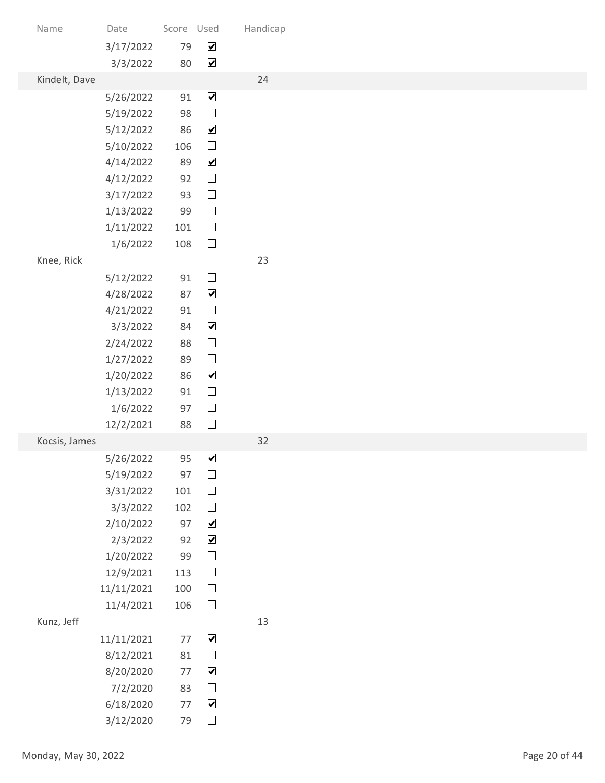| Name                 | Date                   | Score Used |                                              | Handicap |               |
|----------------------|------------------------|------------|----------------------------------------------|----------|---------------|
|                      | 3/17/2022              | 79         | $\blacktriangledown$                         |          |               |
| Kindelt, Dave        | 3/3/2022               | 80         | $\blacktriangledown$                         | 24       |               |
|                      | 5/26/2022              | 91         | $\blacktriangledown$                         |          |               |
|                      | 5/19/2022              | 98         | $\hfill \square$                             |          |               |
|                      | 5/12/2022              | 86         | $\blacktriangledown$                         |          |               |
|                      | 5/10/2022              | 106<br>89  | $\hfill \square$<br>$\blacktriangledown$     |          |               |
|                      | 4/14/2022<br>4/12/2022 | 92         | $\Box$                                       |          |               |
|                      | 3/17/2022              | 93         | $\hfill \square$                             |          |               |
|                      | 1/13/2022              | 99         | $\hfill \square$                             |          |               |
|                      | 1/11/2022              | 101        | $\Box$                                       |          |               |
| Knee, Rick           | 1/6/2022               | 108        | $\Box$                                       | 23       |               |
|                      | 5/12/2022              | $91\,$     | $\hfill \square$                             |          |               |
|                      | 4/28/2022              | 87         | $\blacktriangledown$                         |          |               |
|                      | 4/21/2022              | $91\,$     | $\hfill \square$                             |          |               |
|                      | 3/3/2022               | 84         | $\blacktriangledown$                         |          |               |
|                      | 2/24/2022              | 88         | $\hfill \square$<br>$\hfill \square$         |          |               |
|                      | 1/27/2022<br>1/20/2022 | 89<br>86   | $\blacktriangledown$                         |          |               |
|                      | 1/13/2022              | 91         | $\Box$                                       |          |               |
|                      | 1/6/2022               | 97         | $\Box$                                       |          |               |
|                      | 12/2/2021              | 88         | $\Box$                                       |          |               |
| Kocsis, James        | 5/26/2022              | 95         | $\blacktriangledown$                         | 32       |               |
|                      | 5/19/2022              | 97         | $\hfill \square$                             |          |               |
|                      | 3/31/2022              | 101        | $\hfill \square$                             |          |               |
|                      | 3/3/2022               | 102        | $\hfill \square$                             |          |               |
|                      | 2/10/2022              | 97<br>92   | $\blacktriangledown$<br>$\blacktriangledown$ |          |               |
|                      | 2/3/2022<br>1/20/2022  | 99         | $\hfill \square$                             |          |               |
|                      | 12/9/2021              | 113        | $\hfill \square$                             |          |               |
|                      | 11/11/2021             | 100        | $\Box$                                       |          |               |
|                      | 11/4/2021              | 106        | $\hfill \square$                             |          |               |
| Kunz, Jeff           | 11/11/2021             | 77         | $\blacktriangledown$                         | 13       |               |
|                      | 8/12/2021              | 81         | $\Box$                                       |          |               |
|                      | 8/20/2020              | 77         | $\blacktriangledown$                         |          |               |
|                      | 7/2/2020               | 83         | $\Box$                                       |          |               |
|                      | 6/18/2020              | 77         | $\blacktriangledown$                         |          |               |
|                      | 3/12/2020              | 79         | $\hfill \square$                             |          |               |
| Monday, May 30, 2022 |                        |            |                                              |          | Page 20 of 44 |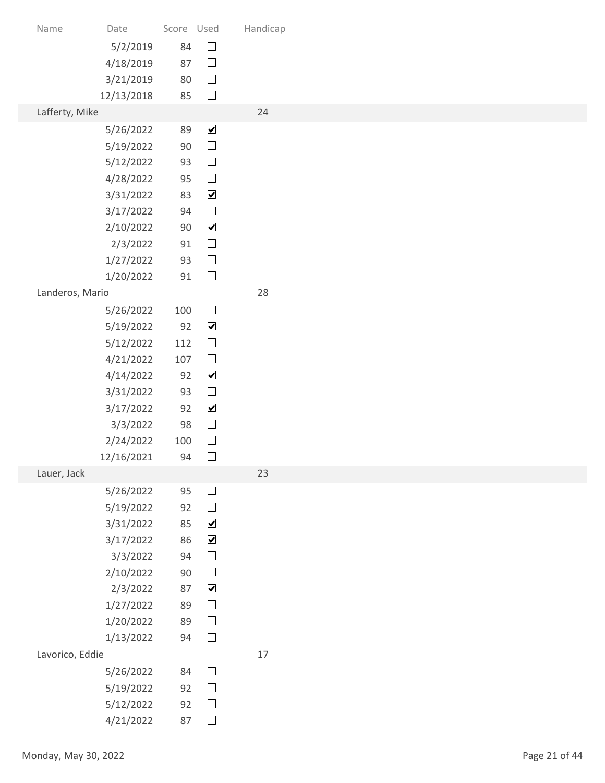| Name                 | Date                   | Score Used |                                          | Handicap |               |
|----------------------|------------------------|------------|------------------------------------------|----------|---------------|
|                      | 5/2/2019               | 84         | $\hfill \square$                         |          |               |
|                      | 4/18/2019              | 87         | $\Box$                                   |          |               |
|                      | 3/21/2019              | 80         | $\Box$                                   |          |               |
|                      | 12/13/2018             | 85         | $\Box$                                   |          |               |
| Lafferty, Mike       |                        |            |                                          | 24       |               |
|                      | 5/26/2022<br>5/19/2022 | 89<br>90   | $\blacktriangledown$<br>$\hfill \square$ |          |               |
|                      | 5/12/2022              | 93         | $\Box$                                   |          |               |
|                      | 4/28/2022              | 95         | $\Box$                                   |          |               |
|                      | 3/31/2022              | 83         | $\blacktriangledown$                     |          |               |
|                      | 3/17/2022              | 94         | $\hfill \square$                         |          |               |
|                      | 2/10/2022              | 90         | $\blacktriangledown$                     |          |               |
|                      | 2/3/2022<br>1/27/2022  | 91<br>93   | $\hfill \square$<br>$\hfill \square$     |          |               |
|                      | 1/20/2022              | 91         | $\hfill \square$                         |          |               |
| Landeros, Mario      |                        |            |                                          | 28       |               |
|                      | 5/26/2022              | 100        | $\hfill \square$                         |          |               |
|                      | 5/19/2022              | 92         | $\blacktriangledown$                     |          |               |
|                      | 5/12/2022              | 112        | $\Box$                                   |          |               |
|                      | 4/21/2022              | 107        | $\hfill \square$                         |          |               |
|                      | 4/14/2022              | 92         | $\blacktriangledown$                     |          |               |
|                      | 3/31/2022              | 93         | $\hfill \square$                         |          |               |
|                      | 3/17/2022<br>3/3/2022  | 92<br>98   | $\blacktriangledown$<br>$\Box$           |          |               |
|                      | 2/24/2022              | 100        | $\hfill \square$                         |          |               |
|                      | 12/16/2021             | 94         | $\Box$                                   |          |               |
| Lauer, Jack          |                        |            |                                          | 23       |               |
|                      | 5/26/2022              | 95         | $\hfill \square$                         |          |               |
|                      | 5/19/2022              | 92         | $\hfill \square$                         |          |               |
|                      | 3/31/2022              | 85         | $\blacktriangledown$                     |          |               |
|                      | 3/17/2022<br>3/3/2022  | 86<br>94   | $\blacktriangledown$<br>$\hfill \square$ |          |               |
|                      | 2/10/2022              | $90\,$     | $\hfill \square$                         |          |               |
|                      | 2/3/2022               | 87         | $\blacktriangledown$                     |          |               |
|                      | 1/27/2022              | 89         | $\hfill \square$                         |          |               |
|                      | 1/20/2022              | 89         | $\hfill \square$                         |          |               |
|                      | 1/13/2022              | 94         | $\hfill \square$                         |          |               |
| Lavorico, Eddie      |                        |            |                                          | $17$     |               |
|                      | 5/26/2022              | 84<br>92   | $\Box$<br>$\Box$                         |          |               |
|                      | 5/19/2022<br>5/12/2022 | 92         | $\Box$                                   |          |               |
|                      | 4/21/2022              | 87         | $\hfill \square$                         |          |               |
|                      |                        |            |                                          |          |               |
| Monday, May 30, 2022 |                        |            |                                          |          | Page 21 of 44 |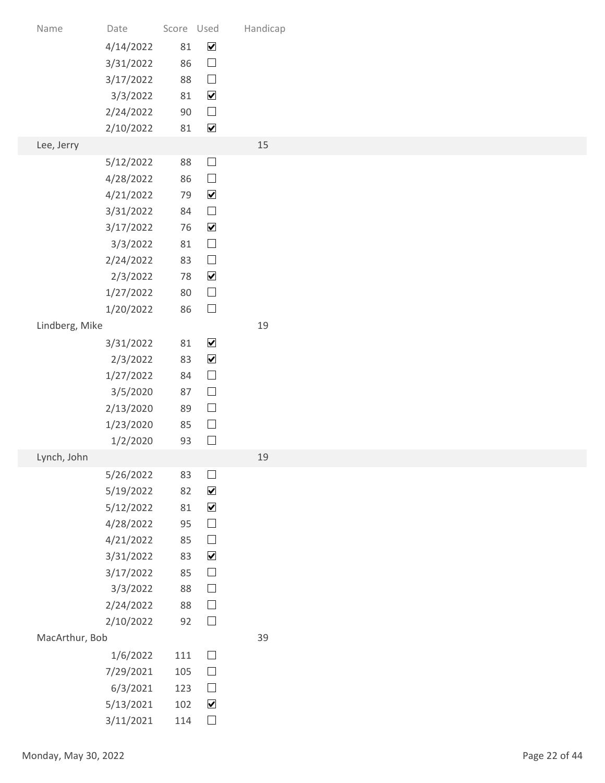| 3/31/2022                         | 86                                                                                                                                                                                                                                                                                                                                                     | $\hfill \square$                                                                                                        |                                                                                                                                                                                                                                                                                                                                                                                                                                                                                                               |                      |
|-----------------------------------|--------------------------------------------------------------------------------------------------------------------------------------------------------------------------------------------------------------------------------------------------------------------------------------------------------------------------------------------------------|-------------------------------------------------------------------------------------------------------------------------|---------------------------------------------------------------------------------------------------------------------------------------------------------------------------------------------------------------------------------------------------------------------------------------------------------------------------------------------------------------------------------------------------------------------------------------------------------------------------------------------------------------|----------------------|
| 3/17/2022                         | 88                                                                                                                                                                                                                                                                                                                                                     | $\hfill \square$                                                                                                        |                                                                                                                                                                                                                                                                                                                                                                                                                                                                                                               |                      |
|                                   |                                                                                                                                                                                                                                                                                                                                                        |                                                                                                                         |                                                                                                                                                                                                                                                                                                                                                                                                                                                                                                               |                      |
|                                   |                                                                                                                                                                                                                                                                                                                                                        |                                                                                                                         |                                                                                                                                                                                                                                                                                                                                                                                                                                                                                                               |                      |
|                                   |                                                                                                                                                                                                                                                                                                                                                        |                                                                                                                         | 15                                                                                                                                                                                                                                                                                                                                                                                                                                                                                                            |                      |
| 5/12/2022                         | 88                                                                                                                                                                                                                                                                                                                                                     | $\hfill \square$                                                                                                        |                                                                                                                                                                                                                                                                                                                                                                                                                                                                                                               |                      |
| 4/28/2022                         | 86                                                                                                                                                                                                                                                                                                                                                     | $\hfill \square$                                                                                                        |                                                                                                                                                                                                                                                                                                                                                                                                                                                                                                               |                      |
| 4/21/2022                         | 79                                                                                                                                                                                                                                                                                                                                                     | $\blacktriangledown$                                                                                                    |                                                                                                                                                                                                                                                                                                                                                                                                                                                                                                               |                      |
|                                   |                                                                                                                                                                                                                                                                                                                                                        |                                                                                                                         |                                                                                                                                                                                                                                                                                                                                                                                                                                                                                                               |                      |
|                                   |                                                                                                                                                                                                                                                                                                                                                        |                                                                                                                         |                                                                                                                                                                                                                                                                                                                                                                                                                                                                                                               |                      |
|                                   |                                                                                                                                                                                                                                                                                                                                                        |                                                                                                                         |                                                                                                                                                                                                                                                                                                                                                                                                                                                                                                               |                      |
|                                   | 78                                                                                                                                                                                                                                                                                                                                                     | $\blacktriangledown$                                                                                                    |                                                                                                                                                                                                                                                                                                                                                                                                                                                                                                               |                      |
| 1/27/2022                         | 80                                                                                                                                                                                                                                                                                                                                                     | $\hfill \square$                                                                                                        |                                                                                                                                                                                                                                                                                                                                                                                                                                                                                                               |                      |
| 1/20/2022                         | 86                                                                                                                                                                                                                                                                                                                                                     |                                                                                                                         |                                                                                                                                                                                                                                                                                                                                                                                                                                                                                                               |                      |
|                                   |                                                                                                                                                                                                                                                                                                                                                        |                                                                                                                         |                                                                                                                                                                                                                                                                                                                                                                                                                                                                                                               |                      |
|                                   |                                                                                                                                                                                                                                                                                                                                                        |                                                                                                                         |                                                                                                                                                                                                                                                                                                                                                                                                                                                                                                               |                      |
|                                   |                                                                                                                                                                                                                                                                                                                                                        |                                                                                                                         |                                                                                                                                                                                                                                                                                                                                                                                                                                                                                                               |                      |
| 3/5/2020                          | 87                                                                                                                                                                                                                                                                                                                                                     | $\hfill \square$                                                                                                        |                                                                                                                                                                                                                                                                                                                                                                                                                                                                                                               |                      |
| 2/13/2020                         | 89                                                                                                                                                                                                                                                                                                                                                     | $\hfill \square$                                                                                                        |                                                                                                                                                                                                                                                                                                                                                                                                                                                                                                               |                      |
| 1/23/2020                         | 85                                                                                                                                                                                                                                                                                                                                                     |                                                                                                                         |                                                                                                                                                                                                                                                                                                                                                                                                                                                                                                               |                      |
|                                   |                                                                                                                                                                                                                                                                                                                                                        |                                                                                                                         |                                                                                                                                                                                                                                                                                                                                                                                                                                                                                                               |                      |
|                                   |                                                                                                                                                                                                                                                                                                                                                        |                                                                                                                         |                                                                                                                                                                                                                                                                                                                                                                                                                                                                                                               |                      |
|                                   |                                                                                                                                                                                                                                                                                                                                                        |                                                                                                                         |                                                                                                                                                                                                                                                                                                                                                                                                                                                                                                               |                      |
| 5/12/2022                         | 81                                                                                                                                                                                                                                                                                                                                                     | $\blacktriangledown$                                                                                                    |                                                                                                                                                                                                                                                                                                                                                                                                                                                                                                               |                      |
| 4/28/2022                         | 95                                                                                                                                                                                                                                                                                                                                                     | $\hfill \square$                                                                                                        |                                                                                                                                                                                                                                                                                                                                                                                                                                                                                                               |                      |
| 4/21/2022                         | 85                                                                                                                                                                                                                                                                                                                                                     |                                                                                                                         |                                                                                                                                                                                                                                                                                                                                                                                                                                                                                                               |                      |
|                                   |                                                                                                                                                                                                                                                                                                                                                        |                                                                                                                         |                                                                                                                                                                                                                                                                                                                                                                                                                                                                                                               |                      |
|                                   |                                                                                                                                                                                                                                                                                                                                                        |                                                                                                                         |                                                                                                                                                                                                                                                                                                                                                                                                                                                                                                               |                      |
| 2/24/2022                         | 88                                                                                                                                                                                                                                                                                                                                                     | $\hfill \square$                                                                                                        |                                                                                                                                                                                                                                                                                                                                                                                                                                                                                                               |                      |
| 2/10/2022                         | 92                                                                                                                                                                                                                                                                                                                                                     | $\Box$                                                                                                                  |                                                                                                                                                                                                                                                                                                                                                                                                                                                                                                               |                      |
|                                   |                                                                                                                                                                                                                                                                                                                                                        |                                                                                                                         | 39                                                                                                                                                                                                                                                                                                                                                                                                                                                                                                            |                      |
|                                   |                                                                                                                                                                                                                                                                                                                                                        |                                                                                                                         |                                                                                                                                                                                                                                                                                                                                                                                                                                                                                                               |                      |
|                                   |                                                                                                                                                                                                                                                                                                                                                        |                                                                                                                         |                                                                                                                                                                                                                                                                                                                                                                                                                                                                                                               |                      |
|                                   |                                                                                                                                                                                                                                                                                                                                                        |                                                                                                                         |                                                                                                                                                                                                                                                                                                                                                                                                                                                                                                               |                      |
| 3/11/2021                         | 114                                                                                                                                                                                                                                                                                                                                                    | $\Box$                                                                                                                  |                                                                                                                                                                                                                                                                                                                                                                                                                                                                                                               |                      |
|                                   |                                                                                                                                                                                                                                                                                                                                                        |                                                                                                                         |                                                                                                                                                                                                                                                                                                                                                                                                                                                                                                               |                      |
|                                   |                                                                                                                                                                                                                                                                                                                                                        |                                                                                                                         |                                                                                                                                                                                                                                                                                                                                                                                                                                                                                                               | Page 22 of 44        |
| Name<br>Lee, Jerry<br>Lynch, John | Date<br>4/14/2022<br>3/3/2022<br>2/24/2022<br>2/10/2022<br>3/31/2022<br>3/17/2022<br>3/3/2022<br>2/24/2022<br>2/3/2022<br>Lindberg, Mike<br>3/31/2022<br>2/3/2022<br>1/27/2022<br>1/2/2020<br>5/26/2022<br>5/19/2022<br>3/31/2022<br>3/17/2022<br>3/3/2022<br>MacArthur, Bob<br>1/6/2022<br>7/29/2021<br>6/3/2021<br>5/13/2021<br>Monday, May 30, 2022 | 81<br>81<br>90<br>81<br>84<br>76<br>81<br>83<br>81<br>83<br>84<br>93<br>83<br>82<br>83<br>85<br>88<br>111<br>105<br>123 | Score Used<br>$\blacktriangledown$<br>$\blacktriangledown$<br>$\hfill \square$<br>$\blacktriangledown$<br>$\Box$<br>$\blacktriangledown$<br>$\hfill \square$<br>$\hfill \square$<br>$\hfill \square$<br>$\blacktriangledown$<br>$\blacktriangledown$<br>$\hfill \square$<br>$\hfill \square$<br>$\hfill \square$<br>$\Box$<br>$\blacktriangledown$<br>$\hfill \square$<br>$\blacktriangledown$<br>$\hfill \square$<br>$\hfill \square$<br>$\hfill \square$<br>$\Box$<br>$\Box$<br>$\blacktriangledown$<br>102 | Handicap<br>19<br>19 |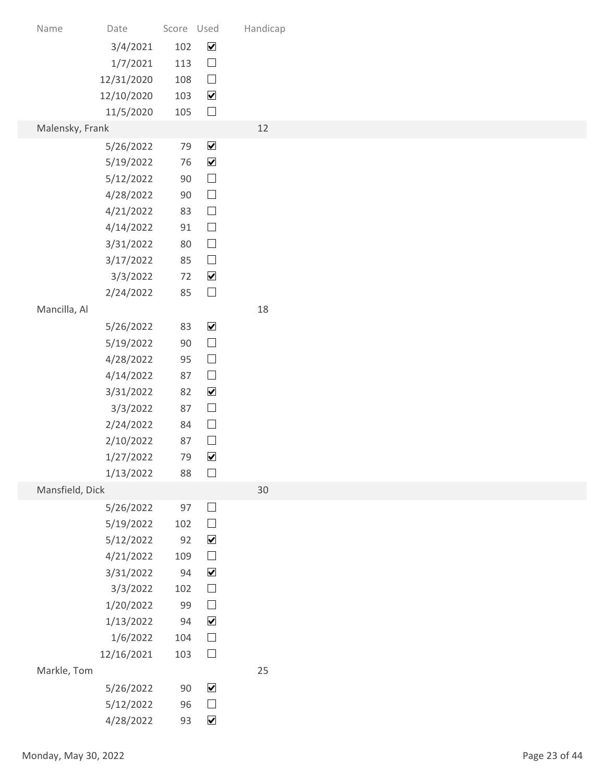| Name            | Date                    | Score Used |                                             | Handicap |
|-----------------|-------------------------|------------|---------------------------------------------|----------|
|                 | 3/4/2021<br>1/7/2021    | 102<br>113 | $\overline{\mathbf{v}}$<br>$\hfill \square$ |          |
|                 | 12/31/2020              | 108        | $\hfill \square$                            |          |
|                 | 12/10/2020<br>11/5/2020 | 103<br>105 | $\blacktriangledown$<br>$\Box$              |          |
| Malensky, Frank |                         |            |                                             | 12       |
|                 | 5/26/2022               | 79         | $\blacktriangledown$                        |          |
|                 | 5/19/2022<br>5/12/2022  | 76<br>90   | $\blacktriangledown$<br>$\Box$              |          |
|                 | 4/28/2022               | 90         | $\hfill \square$                            |          |
|                 | 4/21/2022               | 83         | $\Box$                                      |          |
|                 | 4/14/2022<br>3/31/2022  | 91<br>80   | $\Box$<br>$\hfill \square$                  |          |
|                 | 3/17/2022               | 85         | $\hfill \square$                            |          |
|                 | 3/3/2022                | 72         | $\blacktriangledown$                        |          |
| Mancilla, Al    | 2/24/2022               | 85         | $\hfill \square$                            | 18       |
|                 | 5/26/2022               | 83         | $\blacktriangledown$                        |          |
|                 | 5/19/2022               | 90         | $\hfill \square$                            |          |
|                 | 4/28/2022<br>4/14/2022  | 95<br>87   | $\hfill \square$<br>$\hfill \square$        |          |
|                 | 3/31/2022               | 82         | $\blacktriangledown$                        |          |
|                 | 3/3/2022                | 87         | $\hfill \square$                            |          |
|                 | 2/24/2022<br>2/10/2022  | 84<br>87   | $\hfill \square$<br>$\hfill \square$        |          |
|                 | 1/27/2022               | 79         | $\blacktriangledown$                        |          |
|                 | 1/13/2022               | 88         | $\Box$                                      |          |
| Mansfield, Dick | 5/26/2022               | 97         | $\hfill \square$                            | 30       |
|                 | 5/19/2022               | 102        | $\hfill \square$                            |          |
|                 | 5/12/2022               | 92         | $\blacktriangledown$<br>$\hfill \square$    |          |
|                 | 4/21/2022<br>3/31/2022  | 109<br>94  | $\blacktriangledown$                        |          |
|                 | 3/3/2022                | 102        | $\hfill \square$                            |          |
|                 | 1/20/2022<br>1/13/2022  | 99<br>94   | $\hfill \square$<br>$\blacktriangledown$    |          |
|                 | 1/6/2022                | 104        | $\hfill \square$                            |          |
|                 | 12/16/2021              | 103        | $\Box$                                      |          |
| Markle, Tom     | 5/26/2022               | 90         | $\blacktriangledown$                        | 25       |
|                 | 5/12/2022               | 96         | $\Box$                                      |          |
|                 | 4/28/2022               | 93         | $\overline{\mathbf{v}}$                     |          |
|                 | Monday, May 30, 2022    |            |                                             |          |
|                 |                         |            |                                             |          |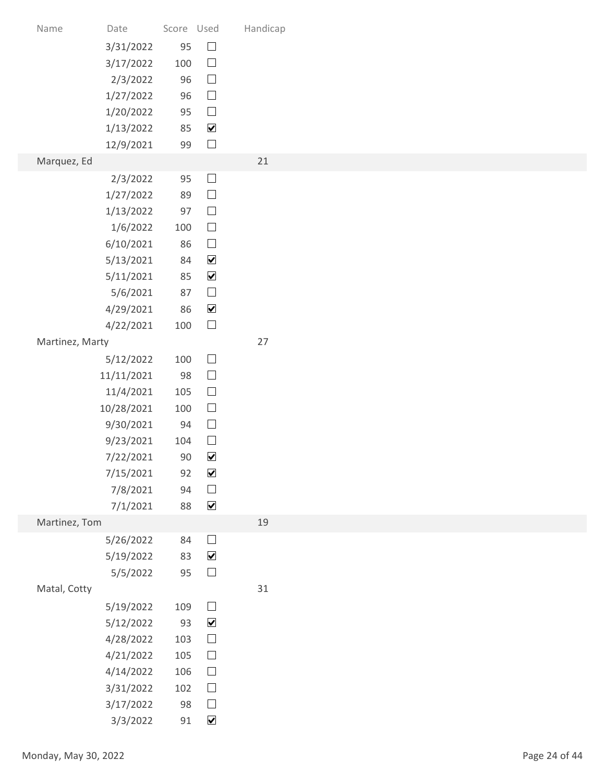| Name                 | Date                   | Score Used |                                | Handicap |               |
|----------------------|------------------------|------------|--------------------------------|----------|---------------|
|                      | 3/31/2022              | 95         | $\hfill \square$               |          |               |
|                      | 3/17/2022              | 100        | $\Box$                         |          |               |
|                      | 2/3/2022<br>1/27/2022  | 96<br>96   | $\hfill \square$<br>$\Box$     |          |               |
|                      | 1/20/2022              | 95         | $\hfill \square$               |          |               |
|                      | 1/13/2022              | 85         | $\blacktriangledown$           |          |               |
|                      | 12/9/2021              | 99         | $\Box$                         |          |               |
| Marquez, Ed          |                        |            |                                | 21       |               |
|                      | 2/3/2022               | 95         | $\Box$                         |          |               |
|                      | 1/27/2022              | 89         | $\Box$                         |          |               |
|                      | 1/13/2022              | 97         | $\hfill \square$               |          |               |
|                      | 1/6/2022               | 100        | $\Box$                         |          |               |
|                      | 6/10/2021              | 86         | $\hfill \square$               |          |               |
|                      | 5/13/2021              | 84         | $\blacktriangledown$           |          |               |
|                      | 5/11/2021              | 85         | $\blacktriangledown$           |          |               |
|                      | 5/6/2021               | 87         | $\hfill \square$               |          |               |
|                      | 4/29/2021              | 86         | $\blacktriangledown$<br>$\Box$ |          |               |
| Martinez, Marty      | 4/22/2021              | 100        |                                | 27       |               |
|                      | 5/12/2022              | 100        | $\hfill \square$               |          |               |
|                      | 11/11/2021             | 98         | $\Box$                         |          |               |
|                      | 11/4/2021              | 105        | $\hfill \square$               |          |               |
|                      | 10/28/2021             | 100        | $\hfill \square$               |          |               |
|                      | 9/30/2021              | 94         | $\hfill \square$               |          |               |
|                      | 9/23/2021              | 104        | $\hfill \square$               |          |               |
|                      | 7/22/2021              | 90         | $\blacktriangledown$           |          |               |
|                      | 7/15/2021              | 92         | $\blacktriangledown$           |          |               |
|                      | 7/8/2021               | 94         | $\hfill \square$               |          |               |
|                      | 7/1/2021               | 88         | $\blacktriangledown$           |          |               |
| Martinez, Tom        |                        |            |                                | 19       |               |
|                      | 5/26/2022              | 84         | $\hfill \square$               |          |               |
|                      | 5/19/2022              | 83         | $\blacktriangledown$           |          |               |
|                      | 5/5/2022               | 95         | $\hfill \square$               | 31       |               |
| Matal, Cotty         |                        | 109        | $\hfill \square$               |          |               |
|                      | 5/19/2022<br>5/12/2022 | 93         | $\blacktriangledown$           |          |               |
|                      | 4/28/2022              | 103        | $\hfill \square$               |          |               |
|                      | 4/21/2022              | 105        | $\hfill \square$               |          |               |
|                      | 4/14/2022              | 106        | $\Box$                         |          |               |
|                      | 3/31/2022              | 102        | $\Box$                         |          |               |
|                      | 3/17/2022              | 98         | $\Box$                         |          |               |
|                      | 3/3/2022               | 91         | $\blacktriangledown$           |          |               |
|                      |                        |            |                                |          |               |
| Monday, May 30, 2022 |                        |            |                                |          | Page 24 of 44 |
|                      |                        |            |                                |          |               |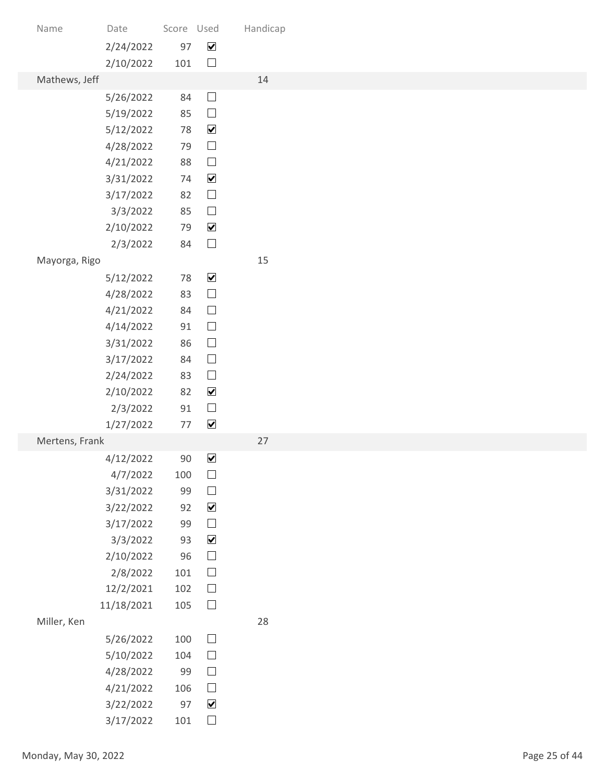| Name                 | Date                   | Score Used |                                          | Handicap |               |
|----------------------|------------------------|------------|------------------------------------------|----------|---------------|
|                      | 2/24/2022              | 97         | $\blacktriangledown$                     |          |               |
| Mathews, Jeff        | 2/10/2022              | 101        | $\Box$                                   | 14       |               |
|                      | 5/26/2022              | 84         | $\hfill \square$                         |          |               |
|                      | 5/19/2022              | 85         | $\hfill \square$                         |          |               |
|                      | 5/12/2022              | 78         | $\blacktriangledown$                     |          |               |
|                      | 4/28/2022              | 79<br>88   | $\hfill \square$<br>$\hfill \square$     |          |               |
|                      | 4/21/2022<br>3/31/2022 | 74         | $\blacktriangledown$                     |          |               |
|                      | 3/17/2022              | 82         | $\Box$                                   |          |               |
|                      | 3/3/2022               | 85         | $\hfill \square$                         |          |               |
|                      | 2/10/2022              | 79         | $\blacktriangledown$                     |          |               |
| Mayorga, Rigo        | 2/3/2022               | 84         | $\Box$                                   | 15       |               |
|                      | 5/12/2022              | 78         | $\blacktriangledown$                     |          |               |
|                      | 4/28/2022              | 83         | $\hfill \square$                         |          |               |
|                      | 4/21/2022              | 84         | $\Box$                                   |          |               |
|                      | 4/14/2022              | 91         | $\Box$                                   |          |               |
|                      | 3/31/2022<br>3/17/2022 | 86<br>84   | $\hfill \square$<br>$\hfill \square$     |          |               |
|                      | 2/24/2022              | 83         | $\hfill \square$                         |          |               |
|                      | 2/10/2022              | 82         | $\blacktriangledown$                     |          |               |
|                      | 2/3/2022               | $91\,$     | $\Box$                                   |          |               |
|                      | 1/27/2022              | 77         | $\blacktriangledown$                     |          |               |
| Mertens, Frank       | 4/12/2022              | 90         | $\blacktriangledown$                     | 27       |               |
|                      | 4/7/2022               | 100        | $\hfill \square$                         |          |               |
|                      | 3/31/2022              | 99         | $\hfill \square$                         |          |               |
|                      | 3/22/2022              | 92         | $\blacktriangledown$                     |          |               |
|                      | 3/17/2022<br>3/3/2022  | 99<br>93   | $\hfill \square$<br>$\blacktriangledown$ |          |               |
|                      | 2/10/2022              | 96         | $\hfill \square$                         |          |               |
|                      | 2/8/2022               | 101        | $\hfill \square$                         |          |               |
|                      | 12/2/2021              | 102        | $\Box$                                   |          |               |
|                      | 11/18/2021             | 105        | $\hfill \square$                         | 28       |               |
| Miller, Ken          | 5/26/2022              | 100        | $\hfill \square$                         |          |               |
|                      | 5/10/2022              | 104        | $\Box$                                   |          |               |
|                      | 4/28/2022              | 99         | $\Box$                                   |          |               |
|                      | 4/21/2022              | 106        | $\Box$                                   |          |               |
|                      | 3/22/2022              | 97         | $\blacktriangledown$                     |          |               |
|                      | 3/17/2022              | 101        | $\Box$                                   |          |               |
| Monday, May 30, 2022 |                        |            |                                          |          | Page 25 of 44 |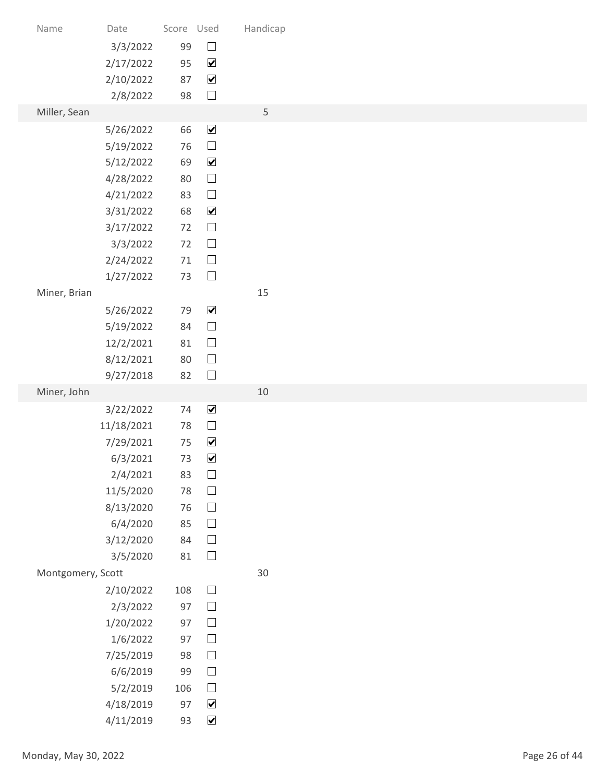| Handicap<br>Date<br>Score Used<br>Name<br>$\hfill \square$<br>99<br>3/3/2022<br>$\blacktriangledown$<br>2/17/2022<br>95<br>$\blacktriangledown$<br>87<br>2/10/2022<br>$\Box$<br>98<br>2/8/2022<br>$\mathsf S$<br>Miller, Sean<br>$\blacktriangledown$<br>66<br>5/26/2022<br>$\hfill \square$<br>5/19/2022<br>76<br>$\blacktriangledown$<br>69<br>5/12/2022<br>$\Box$<br>4/28/2022<br>80<br>$\Box$<br>4/21/2022<br>83<br>$\blacktriangledown$<br>3/31/2022<br>68<br>$\hfill \square$<br>3/17/2022<br>72<br>$\hfill \square$<br>72<br>3/3/2022<br>$\hfill \square$<br>2/24/2022<br>71<br>$\hfill \square$<br>1/27/2022<br>73<br>15<br>Miner, Brian<br>$\blacktriangledown$<br>79<br>5/26/2022<br>$\hfill \square$<br>5/19/2022<br>84<br>$\hfill \square$<br>12/2/2021<br>81<br>$\hfill \square$<br>8/12/2021<br>80<br>$\Box$<br>9/27/2018<br>82<br>Miner, John<br>10<br>$\blacktriangledown$<br>74<br>3/22/2022<br>$\hfill \square$<br>11/18/2021<br>78<br>$\blacktriangledown$<br>7/29/2021<br>75<br>$\blacktriangledown$<br>6/3/2021<br>73<br>$\hfill \square$<br>83<br>2/4/2021<br>$\hfill \square$<br>11/5/2020<br>78<br>$\hfill \square$<br>8/13/2020<br>76<br>$\hfill \square$<br>6/4/2020<br>85<br>$\hfill \square$<br>3/12/2020<br>84<br>$\Box$<br>3/5/2020<br>$81\,$<br>$30$<br>Montgomery, Scott<br>$\hfill \square$<br>2/10/2022<br>108<br>$\hfill \square$<br>2/3/2022<br>97<br>$\Box$<br>97<br>1/20/2022<br>$\hfill \square$<br>1/6/2022<br>97<br>$\Box$<br>7/25/2019<br>98<br>$\Box$<br>6/6/2019<br>99<br>$\Box$<br>5/2/2019<br>106<br>$\blacktriangledown$<br>4/18/2019<br>97<br>$\blacktriangledown$<br>4/11/2019<br>93<br>Page 26 of 44 |  |  |  |
|--------------------------------------------------------------------------------------------------------------------------------------------------------------------------------------------------------------------------------------------------------------------------------------------------------------------------------------------------------------------------------------------------------------------------------------------------------------------------------------------------------------------------------------------------------------------------------------------------------------------------------------------------------------------------------------------------------------------------------------------------------------------------------------------------------------------------------------------------------------------------------------------------------------------------------------------------------------------------------------------------------------------------------------------------------------------------------------------------------------------------------------------------------------------------------------------------------------------------------------------------------------------------------------------------------------------------------------------------------------------------------------------------------------------------------------------------------------------------------------------------------------------------------------------------------------------------------------------------------------------------------------------------------|--|--|--|
|                                                                                                                                                                                                                                                                                                                                                                                                                                                                                                                                                                                                                                                                                                                                                                                                                                                                                                                                                                                                                                                                                                                                                                                                                                                                                                                                                                                                                                                                                                                                                                                                                                                        |  |  |  |
|                                                                                                                                                                                                                                                                                                                                                                                                                                                                                                                                                                                                                                                                                                                                                                                                                                                                                                                                                                                                                                                                                                                                                                                                                                                                                                                                                                                                                                                                                                                                                                                                                                                        |  |  |  |
|                                                                                                                                                                                                                                                                                                                                                                                                                                                                                                                                                                                                                                                                                                                                                                                                                                                                                                                                                                                                                                                                                                                                                                                                                                                                                                                                                                                                                                                                                                                                                                                                                                                        |  |  |  |
|                                                                                                                                                                                                                                                                                                                                                                                                                                                                                                                                                                                                                                                                                                                                                                                                                                                                                                                                                                                                                                                                                                                                                                                                                                                                                                                                                                                                                                                                                                                                                                                                                                                        |  |  |  |
| Monday, May 30, 2022                                                                                                                                                                                                                                                                                                                                                                                                                                                                                                                                                                                                                                                                                                                                                                                                                                                                                                                                                                                                                                                                                                                                                                                                                                                                                                                                                                                                                                                                                                                                                                                                                                   |  |  |  |
|                                                                                                                                                                                                                                                                                                                                                                                                                                                                                                                                                                                                                                                                                                                                                                                                                                                                                                                                                                                                                                                                                                                                                                                                                                                                                                                                                                                                                                                                                                                                                                                                                                                        |  |  |  |
|                                                                                                                                                                                                                                                                                                                                                                                                                                                                                                                                                                                                                                                                                                                                                                                                                                                                                                                                                                                                                                                                                                                                                                                                                                                                                                                                                                                                                                                                                                                                                                                                                                                        |  |  |  |
|                                                                                                                                                                                                                                                                                                                                                                                                                                                                                                                                                                                                                                                                                                                                                                                                                                                                                                                                                                                                                                                                                                                                                                                                                                                                                                                                                                                                                                                                                                                                                                                                                                                        |  |  |  |
|                                                                                                                                                                                                                                                                                                                                                                                                                                                                                                                                                                                                                                                                                                                                                                                                                                                                                                                                                                                                                                                                                                                                                                                                                                                                                                                                                                                                                                                                                                                                                                                                                                                        |  |  |  |
|                                                                                                                                                                                                                                                                                                                                                                                                                                                                                                                                                                                                                                                                                                                                                                                                                                                                                                                                                                                                                                                                                                                                                                                                                                                                                                                                                                                                                                                                                                                                                                                                                                                        |  |  |  |
|                                                                                                                                                                                                                                                                                                                                                                                                                                                                                                                                                                                                                                                                                                                                                                                                                                                                                                                                                                                                                                                                                                                                                                                                                                                                                                                                                                                                                                                                                                                                                                                                                                                        |  |  |  |
|                                                                                                                                                                                                                                                                                                                                                                                                                                                                                                                                                                                                                                                                                                                                                                                                                                                                                                                                                                                                                                                                                                                                                                                                                                                                                                                                                                                                                                                                                                                                                                                                                                                        |  |  |  |
|                                                                                                                                                                                                                                                                                                                                                                                                                                                                                                                                                                                                                                                                                                                                                                                                                                                                                                                                                                                                                                                                                                                                                                                                                                                                                                                                                                                                                                                                                                                                                                                                                                                        |  |  |  |
|                                                                                                                                                                                                                                                                                                                                                                                                                                                                                                                                                                                                                                                                                                                                                                                                                                                                                                                                                                                                                                                                                                                                                                                                                                                                                                                                                                                                                                                                                                                                                                                                                                                        |  |  |  |
|                                                                                                                                                                                                                                                                                                                                                                                                                                                                                                                                                                                                                                                                                                                                                                                                                                                                                                                                                                                                                                                                                                                                                                                                                                                                                                                                                                                                                                                                                                                                                                                                                                                        |  |  |  |
|                                                                                                                                                                                                                                                                                                                                                                                                                                                                                                                                                                                                                                                                                                                                                                                                                                                                                                                                                                                                                                                                                                                                                                                                                                                                                                                                                                                                                                                                                                                                                                                                                                                        |  |  |  |
|                                                                                                                                                                                                                                                                                                                                                                                                                                                                                                                                                                                                                                                                                                                                                                                                                                                                                                                                                                                                                                                                                                                                                                                                                                                                                                                                                                                                                                                                                                                                                                                                                                                        |  |  |  |
|                                                                                                                                                                                                                                                                                                                                                                                                                                                                                                                                                                                                                                                                                                                                                                                                                                                                                                                                                                                                                                                                                                                                                                                                                                                                                                                                                                                                                                                                                                                                                                                                                                                        |  |  |  |
|                                                                                                                                                                                                                                                                                                                                                                                                                                                                                                                                                                                                                                                                                                                                                                                                                                                                                                                                                                                                                                                                                                                                                                                                                                                                                                                                                                                                                                                                                                                                                                                                                                                        |  |  |  |
|                                                                                                                                                                                                                                                                                                                                                                                                                                                                                                                                                                                                                                                                                                                                                                                                                                                                                                                                                                                                                                                                                                                                                                                                                                                                                                                                                                                                                                                                                                                                                                                                                                                        |  |  |  |
|                                                                                                                                                                                                                                                                                                                                                                                                                                                                                                                                                                                                                                                                                                                                                                                                                                                                                                                                                                                                                                                                                                                                                                                                                                                                                                                                                                                                                                                                                                                                                                                                                                                        |  |  |  |
|                                                                                                                                                                                                                                                                                                                                                                                                                                                                                                                                                                                                                                                                                                                                                                                                                                                                                                                                                                                                                                                                                                                                                                                                                                                                                                                                                                                                                                                                                                                                                                                                                                                        |  |  |  |
|                                                                                                                                                                                                                                                                                                                                                                                                                                                                                                                                                                                                                                                                                                                                                                                                                                                                                                                                                                                                                                                                                                                                                                                                                                                                                                                                                                                                                                                                                                                                                                                                                                                        |  |  |  |
|                                                                                                                                                                                                                                                                                                                                                                                                                                                                                                                                                                                                                                                                                                                                                                                                                                                                                                                                                                                                                                                                                                                                                                                                                                                                                                                                                                                                                                                                                                                                                                                                                                                        |  |  |  |
|                                                                                                                                                                                                                                                                                                                                                                                                                                                                                                                                                                                                                                                                                                                                                                                                                                                                                                                                                                                                                                                                                                                                                                                                                                                                                                                                                                                                                                                                                                                                                                                                                                                        |  |  |  |
|                                                                                                                                                                                                                                                                                                                                                                                                                                                                                                                                                                                                                                                                                                                                                                                                                                                                                                                                                                                                                                                                                                                                                                                                                                                                                                                                                                                                                                                                                                                                                                                                                                                        |  |  |  |
|                                                                                                                                                                                                                                                                                                                                                                                                                                                                                                                                                                                                                                                                                                                                                                                                                                                                                                                                                                                                                                                                                                                                                                                                                                                                                                                                                                                                                                                                                                                                                                                                                                                        |  |  |  |
|                                                                                                                                                                                                                                                                                                                                                                                                                                                                                                                                                                                                                                                                                                                                                                                                                                                                                                                                                                                                                                                                                                                                                                                                                                                                                                                                                                                                                                                                                                                                                                                                                                                        |  |  |  |
|                                                                                                                                                                                                                                                                                                                                                                                                                                                                                                                                                                                                                                                                                                                                                                                                                                                                                                                                                                                                                                                                                                                                                                                                                                                                                                                                                                                                                                                                                                                                                                                                                                                        |  |  |  |
|                                                                                                                                                                                                                                                                                                                                                                                                                                                                                                                                                                                                                                                                                                                                                                                                                                                                                                                                                                                                                                                                                                                                                                                                                                                                                                                                                                                                                                                                                                                                                                                                                                                        |  |  |  |
|                                                                                                                                                                                                                                                                                                                                                                                                                                                                                                                                                                                                                                                                                                                                                                                                                                                                                                                                                                                                                                                                                                                                                                                                                                                                                                                                                                                                                                                                                                                                                                                                                                                        |  |  |  |
|                                                                                                                                                                                                                                                                                                                                                                                                                                                                                                                                                                                                                                                                                                                                                                                                                                                                                                                                                                                                                                                                                                                                                                                                                                                                                                                                                                                                                                                                                                                                                                                                                                                        |  |  |  |
|                                                                                                                                                                                                                                                                                                                                                                                                                                                                                                                                                                                                                                                                                                                                                                                                                                                                                                                                                                                                                                                                                                                                                                                                                                                                                                                                                                                                                                                                                                                                                                                                                                                        |  |  |  |
|                                                                                                                                                                                                                                                                                                                                                                                                                                                                                                                                                                                                                                                                                                                                                                                                                                                                                                                                                                                                                                                                                                                                                                                                                                                                                                                                                                                                                                                                                                                                                                                                                                                        |  |  |  |
|                                                                                                                                                                                                                                                                                                                                                                                                                                                                                                                                                                                                                                                                                                                                                                                                                                                                                                                                                                                                                                                                                                                                                                                                                                                                                                                                                                                                                                                                                                                                                                                                                                                        |  |  |  |
|                                                                                                                                                                                                                                                                                                                                                                                                                                                                                                                                                                                                                                                                                                                                                                                                                                                                                                                                                                                                                                                                                                                                                                                                                                                                                                                                                                                                                                                                                                                                                                                                                                                        |  |  |  |
|                                                                                                                                                                                                                                                                                                                                                                                                                                                                                                                                                                                                                                                                                                                                                                                                                                                                                                                                                                                                                                                                                                                                                                                                                                                                                                                                                                                                                                                                                                                                                                                                                                                        |  |  |  |
|                                                                                                                                                                                                                                                                                                                                                                                                                                                                                                                                                                                                                                                                                                                                                                                                                                                                                                                                                                                                                                                                                                                                                                                                                                                                                                                                                                                                                                                                                                                                                                                                                                                        |  |  |  |
|                                                                                                                                                                                                                                                                                                                                                                                                                                                                                                                                                                                                                                                                                                                                                                                                                                                                                                                                                                                                                                                                                                                                                                                                                                                                                                                                                                                                                                                                                                                                                                                                                                                        |  |  |  |
|                                                                                                                                                                                                                                                                                                                                                                                                                                                                                                                                                                                                                                                                                                                                                                                                                                                                                                                                                                                                                                                                                                                                                                                                                                                                                                                                                                                                                                                                                                                                                                                                                                                        |  |  |  |
|                                                                                                                                                                                                                                                                                                                                                                                                                                                                                                                                                                                                                                                                                                                                                                                                                                                                                                                                                                                                                                                                                                                                                                                                                                                                                                                                                                                                                                                                                                                                                                                                                                                        |  |  |  |
|                                                                                                                                                                                                                                                                                                                                                                                                                                                                                                                                                                                                                                                                                                                                                                                                                                                                                                                                                                                                                                                                                                                                                                                                                                                                                                                                                                                                                                                                                                                                                                                                                                                        |  |  |  |
|                                                                                                                                                                                                                                                                                                                                                                                                                                                                                                                                                                                                                                                                                                                                                                                                                                                                                                                                                                                                                                                                                                                                                                                                                                                                                                                                                                                                                                                                                                                                                                                                                                                        |  |  |  |
|                                                                                                                                                                                                                                                                                                                                                                                                                                                                                                                                                                                                                                                                                                                                                                                                                                                                                                                                                                                                                                                                                                                                                                                                                                                                                                                                                                                                                                                                                                                                                                                                                                                        |  |  |  |
|                                                                                                                                                                                                                                                                                                                                                                                                                                                                                                                                                                                                                                                                                                                                                                                                                                                                                                                                                                                                                                                                                                                                                                                                                                                                                                                                                                                                                                                                                                                                                                                                                                                        |  |  |  |
|                                                                                                                                                                                                                                                                                                                                                                                                                                                                                                                                                                                                                                                                                                                                                                                                                                                                                                                                                                                                                                                                                                                                                                                                                                                                                                                                                                                                                                                                                                                                                                                                                                                        |  |  |  |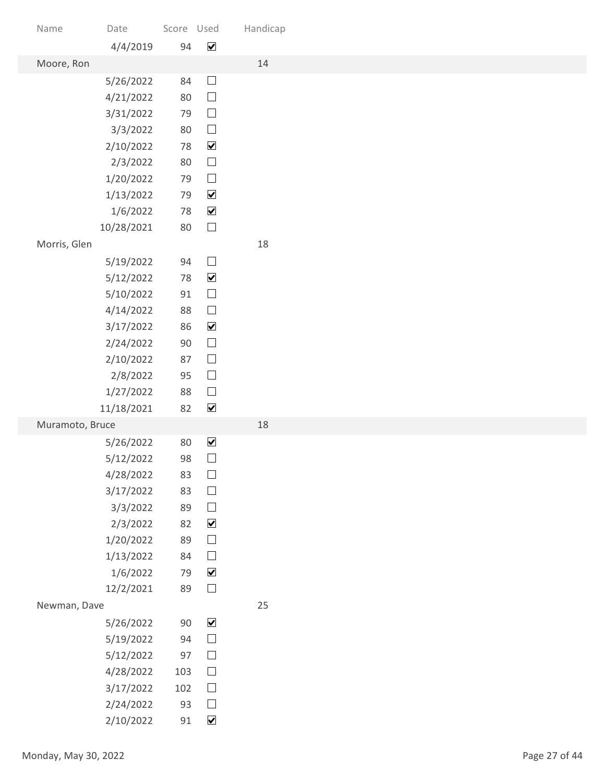| Name                 | Date                   | Score Used |                                              | Handicap |               |
|----------------------|------------------------|------------|----------------------------------------------|----------|---------------|
|                      | 4/4/2019               | 94         | $\blacktriangledown$                         |          |               |
| Moore, Ron           | 5/26/2022              | 84         | $\Box$                                       | 14       |               |
|                      | 4/21/2022              | 80         | $\Box$                                       |          |               |
|                      | 3/31/2022              | 79         | $\hfill \square$                             |          |               |
|                      | 3/3/2022               | 80         | $\hfill \square$                             |          |               |
|                      | 2/10/2022              | 78         | $\blacktriangledown$                         |          |               |
|                      | 2/3/2022               | 80         | $\hfill \square$                             |          |               |
|                      | 1/20/2022              | 79         | $\Box$                                       |          |               |
|                      | 1/13/2022              | 79<br>78   | $\blacktriangledown$<br>$\blacktriangledown$ |          |               |
|                      | 1/6/2022<br>10/28/2021 | 80         | $\Box$                                       |          |               |
| Morris, Glen         |                        |            |                                              | 18       |               |
|                      | 5/19/2022              | 94         | $\hfill \square$                             |          |               |
|                      | 5/12/2022              | 78         | $\blacktriangledown$                         |          |               |
|                      | 5/10/2022              | 91         | $\hfill \square$                             |          |               |
|                      | 4/14/2022              | 88         | $\hfill \square$                             |          |               |
|                      | 3/17/2022              | 86         | $\blacktriangledown$                         |          |               |
|                      | 2/24/2022              | 90<br>87   | $\hfill \square$<br>$\hfill \square$         |          |               |
|                      | 2/10/2022<br>2/8/2022  | 95         | $\hfill \square$                             |          |               |
|                      | 1/27/2022              | 88         | $\Box$                                       |          |               |
|                      | 11/18/2021             | 82         | $\blacktriangledown$                         |          |               |
| Muramoto, Bruce      |                        |            |                                              | 18       |               |
|                      | 5/26/2022              | 80         | $\blacktriangledown$                         |          |               |
|                      | 5/12/2022              | 98         | $\hfill \square$                             |          |               |
|                      | 4/28/2022              | 83         | $\hfill \square$                             |          |               |
|                      | 3/17/2022<br>3/3/2022  | 83<br>89   | $\Box$<br>$\hfill \square$                   |          |               |
|                      | 2/3/2022               | 82         | $\blacktriangledown$                         |          |               |
|                      | 1/20/2022              | 89         | $\hfill \square$                             |          |               |
|                      | 1/13/2022              | 84         | $\hfill \square$                             |          |               |
|                      | 1/6/2022               | 79         | $\blacktriangledown$                         |          |               |
|                      | 12/2/2021              | 89         | $\Box$                                       |          |               |
| Newman, Dave         |                        |            |                                              | 25       |               |
|                      | 5/26/2022              | $90\,$     | $\blacktriangledown$                         |          |               |
|                      | 5/19/2022<br>5/12/2022 | 94<br>97   | $\Box$<br>$\Box$                             |          |               |
|                      | 4/28/2022              | 103        | $\Box$                                       |          |               |
|                      | 3/17/2022              | 102        | $\Box$                                       |          |               |
|                      | 2/24/2022              | 93         | $\Box$                                       |          |               |
|                      | 2/10/2022              | 91         | $\blacktriangledown$                         |          |               |
| Monday, May 30, 2022 |                        |            |                                              |          | Page 27 of 44 |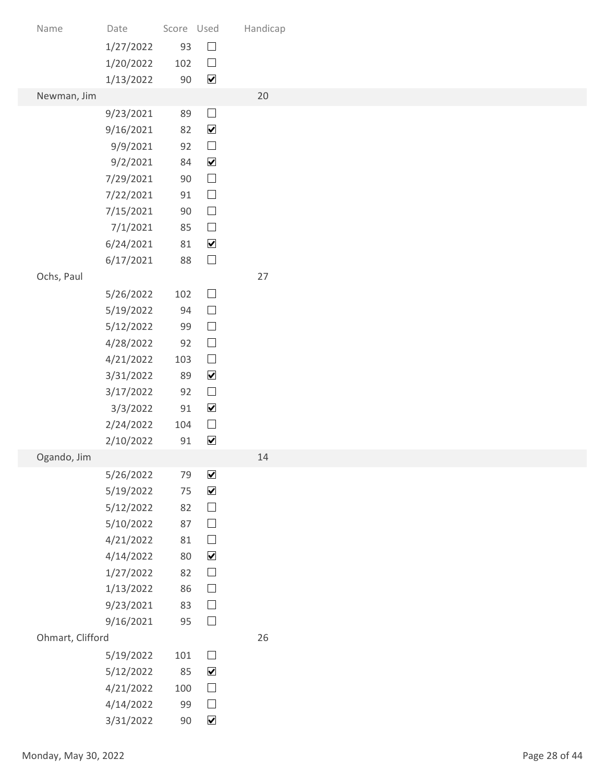| Name                 | Date                   | Score Used   |                                          | Handicap |               |
|----------------------|------------------------|--------------|------------------------------------------|----------|---------------|
|                      | 1/27/2022              | 93           | $\hfill \square$                         |          |               |
|                      | 1/20/2022              | 102          | $\Box$                                   |          |               |
|                      | 1/13/2022              | $90\,$       | $\overline{\mathbf{v}}$                  |          |               |
| Newman, Jim          |                        |              |                                          | 20       |               |
|                      | 9/23/2021<br>9/16/2021 | 89<br>82     | $\Box$<br>$\blacktriangledown$           |          |               |
|                      | 9/9/2021               | 92           | $\Box$                                   |          |               |
|                      | 9/2/2021               | 84           | $\blacktriangledown$                     |          |               |
|                      | 7/29/2021              | 90           | $\Box$                                   |          |               |
|                      | 7/22/2021              | 91           | $\hfill \square$                         |          |               |
|                      | 7/15/2021              | 90           | $\hfill \square$                         |          |               |
|                      | 7/1/2021               | 85           | $\hfill \square$                         |          |               |
|                      | 6/24/2021<br>6/17/2021 | 81<br>88     | $\blacktriangledown$<br>$\hfill \square$ |          |               |
| Ochs, Paul           |                        |              |                                          | 27       |               |
|                      | 5/26/2022              | 102          | $\hfill \square$                         |          |               |
|                      | 5/19/2022              | 94           | $\hfill \square$                         |          |               |
|                      | 5/12/2022              | 99           | $\hfill \square$                         |          |               |
|                      | 4/28/2022              | 92           | $\hfill \square$                         |          |               |
|                      | 4/21/2022              | 103          | $\hfill \square$                         |          |               |
|                      | 3/31/2022              | 89           | $\blacktriangledown$                     |          |               |
|                      | 3/17/2022              | 92<br>$91\,$ | $\hfill \square$<br>$\blacktriangledown$ |          |               |
|                      | 3/3/2022<br>2/24/2022  | 104          | $\hfill \square$                         |          |               |
|                      | 2/10/2022              | 91           | $\blacktriangledown$                     |          |               |
| Ogando, Jim          |                        |              |                                          | 14       |               |
|                      | 5/26/2022              | 79           | $\blacktriangledown$                     |          |               |
|                      | 5/19/2022              | $75\,$       | $\blacktriangledown$                     |          |               |
|                      | 5/12/2022              | 82           | $\hfill \square$                         |          |               |
|                      | 5/10/2022              | 87           | $\hfill \square$                         |          |               |
|                      | 4/21/2022<br>4/14/2022 | 81<br>80     | $\hfill \square$<br>$\blacktriangledown$ |          |               |
|                      | 1/27/2022              | 82           | $\hfill \square$                         |          |               |
|                      | 1/13/2022              | 86           | $\hfill \square$                         |          |               |
|                      | 9/23/2021              | 83           | $\hfill \square$                         |          |               |
|                      | 9/16/2021              | 95           | $\Box$                                   |          |               |
| Ohmart, Clifford     |                        |              |                                          | 26       |               |
|                      | 5/19/2022              | 101          | $\Box$                                   |          |               |
|                      | 5/12/2022              | 85           | $\blacktriangledown$                     |          |               |
|                      | 4/21/2022              | 100          | $\Box$                                   |          |               |
|                      | 4/14/2022<br>3/31/2022 | 99<br>$90\,$ | $\Box$<br>$\blacktriangledown$           |          |               |
|                      |                        |              |                                          |          |               |
| Monday, May 30, 2022 |                        |              |                                          |          | Page 28 of 44 |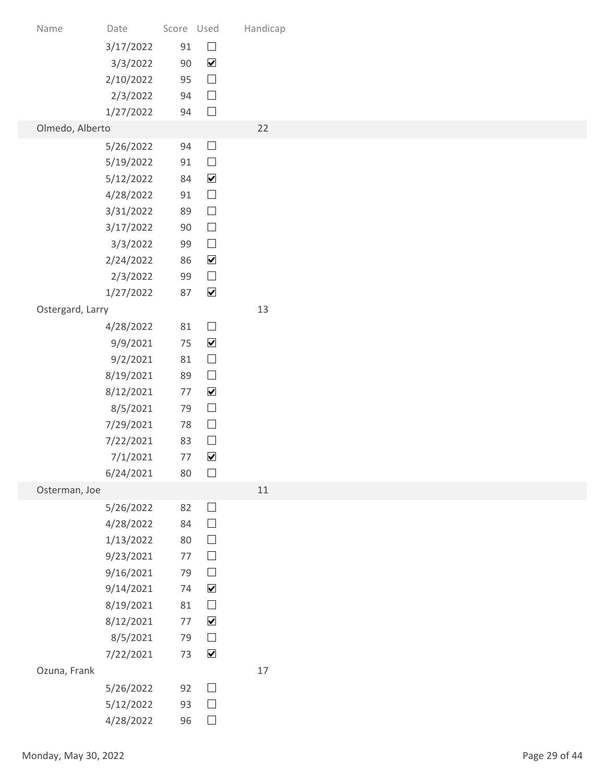| Name                 | Date                   | Score Used   |                                          | Handicap |
|----------------------|------------------------|--------------|------------------------------------------|----------|
|                      | 3/17/2022              | 91           | $\hfill \square$                         |          |
|                      | 3/3/2022<br>2/10/2022  | $90\,$<br>95 | $\blacktriangledown$<br>$\hfill \square$ |          |
|                      | 2/3/2022               | 94           | $\Box$                                   |          |
|                      | 1/27/2022              | 94           | $\Box$                                   |          |
| Olmedo, Alberto      | 5/26/2022              | 94           | $\Box$                                   | 22       |
|                      | 5/19/2022              | 91           | $\Box$                                   |          |
|                      | 5/12/2022              | 84<br>91     | $\blacktriangledown$<br>$\hfill \square$ |          |
|                      | 4/28/2022<br>3/31/2022 | 89           | $\hfill \square$                         |          |
|                      | 3/17/2022              | 90           | $\hfill \square$                         |          |
|                      | 3/3/2022<br>2/24/2022  | 99<br>86     | $\hfill \square$<br>$\blacktriangledown$ |          |
|                      | 2/3/2022               | 99           | $\hfill \square$                         |          |
|                      | 1/27/2022              | 87           | $\blacktriangledown$                     |          |
| Ostergard, Larry     |                        | 81           | $\hfill \square$                         | 13       |
|                      | 4/28/2022<br>9/9/2021  | 75           | $\blacktriangledown$                     |          |
|                      | 9/2/2021               | 81           | $\hfill \square$                         |          |
|                      | 8/19/2021              | 89<br>77     | $\hfill \square$<br>$\blacktriangledown$ |          |
|                      | 8/12/2021<br>8/5/2021  | 79           | $\hfill \square$                         |          |
|                      | 7/29/2021              | 78           | $\hfill \square$                         |          |
|                      | 7/22/2021              | 83<br>77     | $\hfill \square$<br>$\blacktriangledown$ |          |
|                      | 7/1/2021<br>6/24/2021  | 80           | $\Box$                                   |          |
| Osterman, Joe        |                        |              |                                          | 11       |
|                      | 5/26/2022<br>4/28/2022 | 82<br>84     | $\hfill \square$<br>$\hfill \square$     |          |
|                      | 1/13/2022              | 80           | $\hfill \square$                         |          |
|                      | 9/23/2021              | $77$         | $\hfill \square$                         |          |
|                      | 9/16/2021              | 79<br>74     | $\hfill \square$<br>$\blacktriangledown$ |          |
|                      | 9/14/2021<br>8/19/2021 | 81           | $\hfill \square$                         |          |
|                      | 8/12/2021              | 77           | $\blacktriangledown$                     |          |
|                      | 8/5/2021               | 79           | $\hfill \square$                         |          |
| Ozuna, Frank         | 7/22/2021              | 73           | $\blacktriangledown$                     | $17$     |
|                      | 5/26/2022              | 92           | $\Box$                                   |          |
|                      | 5/12/2022              | 93           | $\Box$                                   |          |
|                      | 4/28/2022              | 96           | $\hfill \square$                         |          |
| Monday, May 30, 2022 |                        |              |                                          |          |
|                      |                        |              |                                          |          |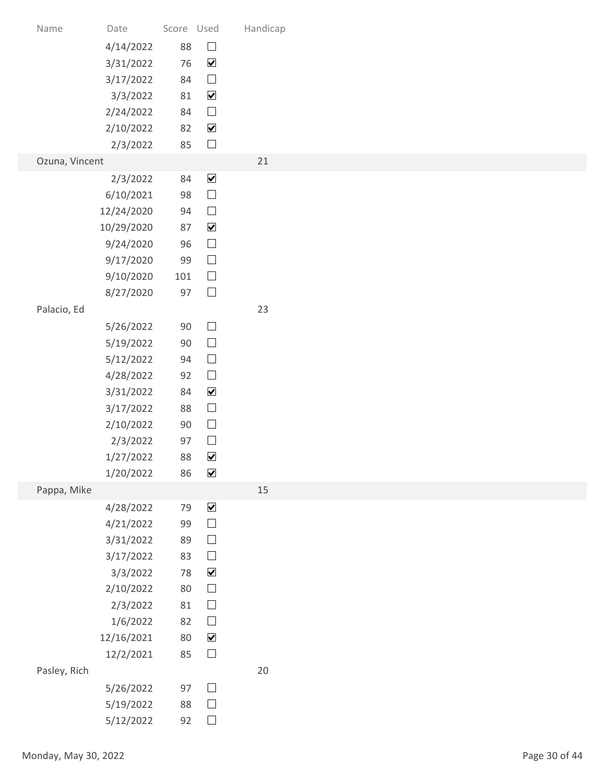| Date<br>Name<br>4/14/2022<br>3/31/2022<br>3/17/2022<br>3/3/2022 | Score Used<br>88<br>76 |                                              |          |               |
|-----------------------------------------------------------------|------------------------|----------------------------------------------|----------|---------------|
|                                                                 |                        |                                              |          |               |
|                                                                 |                        |                                              |          |               |
|                                                                 |                        |                                              |          |               |
|                                                                 |                        |                                              |          |               |
|                                                                 |                        |                                              |          |               |
|                                                                 |                        |                                              |          |               |
|                                                                 |                        |                                              | Handicap |               |
|                                                                 |                        | $\hfill \square$<br>$\blacktriangledown$     |          |               |
|                                                                 | 84                     | $\hfill \square$                             |          |               |
|                                                                 | 81                     | $\blacktriangledown$                         |          |               |
| 2/24/2022                                                       | 84                     | $\hfill \square$                             |          |               |
| 2/10/2022                                                       | 82                     | $\blacktriangledown$                         |          |               |
| 2/3/2022                                                        | 85                     | $\Box$                                       |          |               |
| Ozuna, Vincent                                                  |                        |                                              | 21       |               |
| 2/3/2022                                                        | 84                     | $\blacktriangledown$<br>$\Box$               |          |               |
| 6/10/2021<br>12/24/2020                                         | 98<br>94               | $\hfill \square$                             |          |               |
| 10/29/2020                                                      | 87                     | $\blacktriangledown$                         |          |               |
| 9/24/2020                                                       | 96                     | $\Box$                                       |          |               |
| 9/17/2020                                                       | 99                     | $\hfill \square$                             |          |               |
| 9/10/2020                                                       | 101                    | $\hfill \square$                             |          |               |
| 8/27/2020                                                       | 97                     | $\Box$                                       |          |               |
| Palacio, Ed                                                     |                        |                                              | 23       |               |
| 5/26/2022                                                       | $90\,$<br>$90\,$       | $\hfill \square$<br>$\hfill \square$         |          |               |
| 5/19/2022<br>5/12/2022                                          | 94                     | $\hfill \square$                             |          |               |
| 4/28/2022                                                       | 92                     | $\Box$                                       |          |               |
| 3/31/2022                                                       | 84                     | $\blacktriangledown$                         |          |               |
| 3/17/2022                                                       | 88                     | $\hfill \square$                             |          |               |
| 2/10/2022                                                       | 90                     | $\hfill \square$                             |          |               |
| 2/3/2022                                                        | 97                     | $\Box$                                       |          |               |
| 1/27/2022                                                       | 88                     | $\blacktriangledown$<br>$\blacktriangledown$ |          |               |
| 1/20/2022<br>Pappa, Mike                                        | 86                     |                                              | 15       |               |
| 4/28/2022                                                       | 79                     | $\blacktriangledown$                         |          |               |
| 4/21/2022                                                       | 99                     | $\hfill \square$                             |          |               |
| 3/31/2022                                                       | 89                     | $\hfill \square$                             |          |               |
| 3/17/2022                                                       | 83                     | $\hfill \square$                             |          |               |
| 3/3/2022                                                        | 78                     | $\blacktriangledown$                         |          |               |
| 2/10/2022                                                       | 80                     | $\Box$                                       |          |               |
| 2/3/2022                                                        | 81                     | $\hfill \square$<br>$\hfill \square$         |          |               |
| 1/6/2022<br>12/16/2021                                          | 82<br>80               | $\blacktriangledown$                         |          |               |
| 12/2/2021                                                       | 85                     | $\Box$                                       |          |               |
| Pasley, Rich                                                    |                        |                                              | $20\,$   |               |
| 5/26/2022                                                       | 97                     | $\Box$                                       |          |               |
| 5/19/2022                                                       | 88                     | $\Box$                                       |          |               |
| 5/12/2022                                                       | 92                     | $\hfill \square$                             |          |               |
| Monday, May 30, 2022                                            |                        |                                              |          | Page 30 of 44 |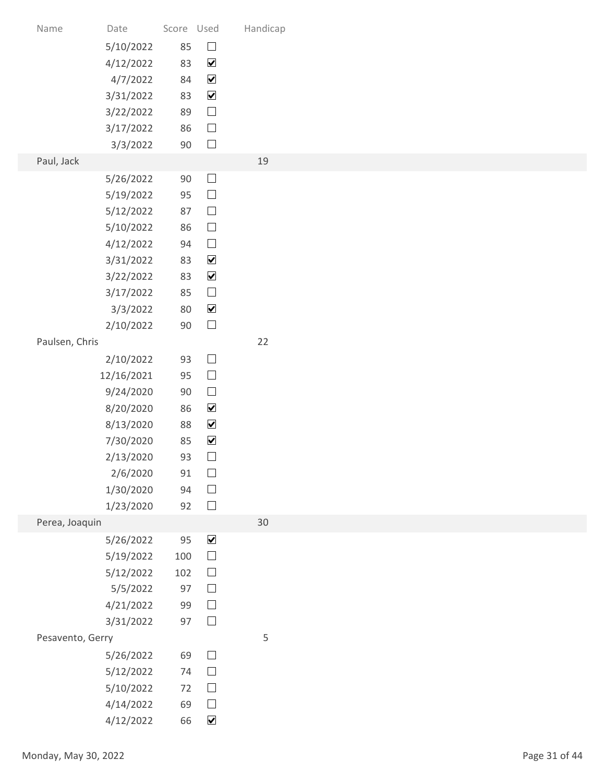| Name                 | Date                   | Score Used |                                              | Handicap |               |
|----------------------|------------------------|------------|----------------------------------------------|----------|---------------|
|                      | 5/10/2022              | 85         | $\hfill \square$                             |          |               |
|                      | 4/12/2022              | 83         | $\blacktriangledown$                         |          |               |
|                      | 4/7/2022<br>3/31/2022  | 84<br>83   | $\blacktriangledown$<br>$\blacktriangledown$ |          |               |
|                      | 3/22/2022              | 89         | $\hfill \square$                             |          |               |
|                      | 3/17/2022              | 86         | $\Box$                                       |          |               |
|                      | 3/3/2022               | $90\,$     | $\Box$                                       |          |               |
| Paul, Jack           |                        |            |                                              | 19       |               |
|                      | 5/26/2022<br>5/19/2022 | 90<br>95   | $\Box$<br>$\Box$                             |          |               |
|                      | 5/12/2022              | 87         | $\hfill \square$                             |          |               |
|                      | 5/10/2022              | 86         | $\Box$                                       |          |               |
|                      | 4/12/2022              | 94         | $\hfill \square$                             |          |               |
|                      | 3/31/2022              | 83         | $\blacktriangledown$                         |          |               |
|                      | 3/22/2022              | 83         | $\blacktriangledown$<br>$\hfill \square$     |          |               |
|                      | 3/17/2022<br>3/3/2022  | 85<br>80   | $\blacktriangledown$                         |          |               |
|                      | 2/10/2022              | $90\,$     | $\hfill \square$                             |          |               |
| Paulsen, Chris       |                        |            |                                              | 22       |               |
|                      | 2/10/2022              | 93         | $\hfill \square$                             |          |               |
|                      | 12/16/2021             | 95         | $\hfill \square$                             |          |               |
|                      | 9/24/2020              | $90\,$     | $\Box$                                       |          |               |
|                      | 8/20/2020              | 86         | $\blacktriangledown$                         |          |               |
|                      | 8/13/2020<br>7/30/2020 | 88<br>85   | $\blacktriangledown$<br>$\blacktriangledown$ |          |               |
|                      | 2/13/2020              | 93         | $\Box$                                       |          |               |
|                      | 2/6/2020               | 91         | $\Box$                                       |          |               |
|                      | 1/30/2020              | 94         | $\hfill \square$                             |          |               |
|                      | 1/23/2020              | 92         | $\Box$                                       |          |               |
| Perea, Joaquin       |                        |            |                                              | 30       |               |
|                      | 5/26/2022<br>5/19/2022 | 95<br>100  | $\blacktriangledown$<br>$\hfill \square$     |          |               |
|                      | 5/12/2022              | 102        | $\hfill \square$                             |          |               |
|                      | 5/5/2022               | 97         | $\hfill \square$                             |          |               |
|                      | 4/21/2022              | 99         | $\hfill \square$                             |          |               |
|                      | 3/31/2022              | 97         | $\Box$                                       |          |               |
| Pesavento, Gerry     |                        |            |                                              | 5        |               |
|                      | 5/26/2022              | 69         | $\Box$                                       |          |               |
|                      | 5/12/2022<br>5/10/2022 | 74<br>$72$ | $\Box$<br>$\Box$                             |          |               |
|                      | 4/14/2022              | 69         | $\Box$                                       |          |               |
|                      | 4/12/2022              | 66         | $\blacktriangledown$                         |          |               |
|                      |                        |            |                                              |          |               |
| Monday, May 30, 2022 |                        |            |                                              |          | Page 31 of 44 |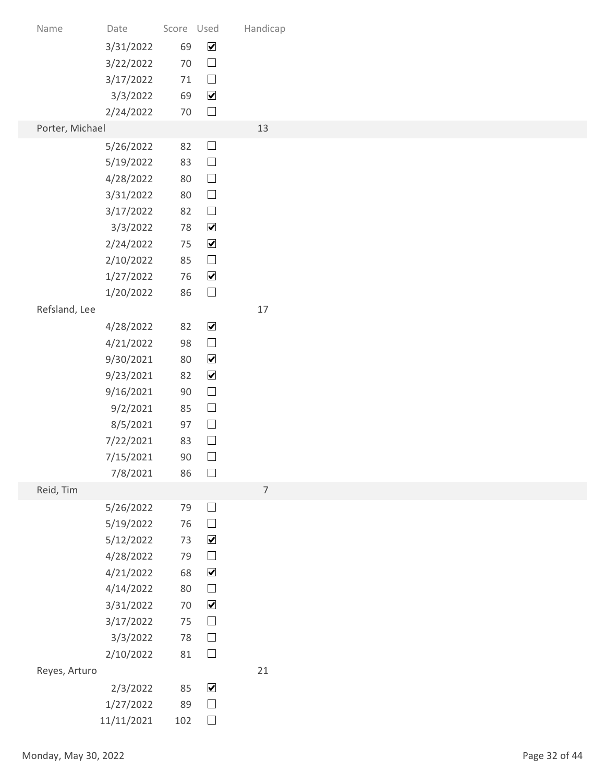|               |                       |                                                                                                                                                                                                                                                                                                                                             | $\hfill \square$     |                                                                                                                                                                                                                                                                                                                                                                                                                                                                                                                                                                                                                                                       |                          |
|---------------|-----------------------|---------------------------------------------------------------------------------------------------------------------------------------------------------------------------------------------------------------------------------------------------------------------------------------------------------------------------------------------|----------------------|-------------------------------------------------------------------------------------------------------------------------------------------------------------------------------------------------------------------------------------------------------------------------------------------------------------------------------------------------------------------------------------------------------------------------------------------------------------------------------------------------------------------------------------------------------------------------------------------------------------------------------------------------------|--------------------------|
|               | 3/17/2022             |                                                                                                                                                                                                                                                                                                                                             | $\hfill \square$     |                                                                                                                                                                                                                                                                                                                                                                                                                                                                                                                                                                                                                                                       |                          |
|               | 3/3/2022              |                                                                                                                                                                                                                                                                                                                                             | $\blacktriangledown$ |                                                                                                                                                                                                                                                                                                                                                                                                                                                                                                                                                                                                                                                       |                          |
|               |                       |                                                                                                                                                                                                                                                                                                                                             |                      |                                                                                                                                                                                                                                                                                                                                                                                                                                                                                                                                                                                                                                                       |                          |
|               |                       |                                                                                                                                                                                                                                                                                                                                             |                      |                                                                                                                                                                                                                                                                                                                                                                                                                                                                                                                                                                                                                                                       |                          |
|               | 5/19/2022             |                                                                                                                                                                                                                                                                                                                                             | $\hfill \square$     |                                                                                                                                                                                                                                                                                                                                                                                                                                                                                                                                                                                                                                                       |                          |
|               | 4/28/2022             |                                                                                                                                                                                                                                                                                                                                             | $\Box$               |                                                                                                                                                                                                                                                                                                                                                                                                                                                                                                                                                                                                                                                       |                          |
|               | 3/31/2022             |                                                                                                                                                                                                                                                                                                                                             | $\Box$               |                                                                                                                                                                                                                                                                                                                                                                                                                                                                                                                                                                                                                                                       |                          |
|               | 3/17/2022             |                                                                                                                                                                                                                                                                                                                                             |                      |                                                                                                                                                                                                                                                                                                                                                                                                                                                                                                                                                                                                                                                       |                          |
|               |                       |                                                                                                                                                                                                                                                                                                                                             |                      |                                                                                                                                                                                                                                                                                                                                                                                                                                                                                                                                                                                                                                                       |                          |
|               |                       |                                                                                                                                                                                                                                                                                                                                             |                      |                                                                                                                                                                                                                                                                                                                                                                                                                                                                                                                                                                                                                                                       |                          |
|               | 1/27/2022             |                                                                                                                                                                                                                                                                                                                                             | $\blacktriangledown$ |                                                                                                                                                                                                                                                                                                                                                                                                                                                                                                                                                                                                                                                       |                          |
|               | 1/20/2022             |                                                                                                                                                                                                                                                                                                                                             | $\hfill \square$     |                                                                                                                                                                                                                                                                                                                                                                                                                                                                                                                                                                                                                                                       |                          |
| Refsland, Lee |                       |                                                                                                                                                                                                                                                                                                                                             |                      | 17                                                                                                                                                                                                                                                                                                                                                                                                                                                                                                                                                                                                                                                    |                          |
|               |                       |                                                                                                                                                                                                                                                                                                                                             |                      |                                                                                                                                                                                                                                                                                                                                                                                                                                                                                                                                                                                                                                                       |                          |
|               |                       |                                                                                                                                                                                                                                                                                                                                             |                      |                                                                                                                                                                                                                                                                                                                                                                                                                                                                                                                                                                                                                                                       |                          |
|               |                       |                                                                                                                                                                                                                                                                                                                                             | $\blacktriangledown$ |                                                                                                                                                                                                                                                                                                                                                                                                                                                                                                                                                                                                                                                       |                          |
|               | 9/16/2021             |                                                                                                                                                                                                                                                                                                                                             | $\Box$               |                                                                                                                                                                                                                                                                                                                                                                                                                                                                                                                                                                                                                                                       |                          |
|               | 9/2/2021              |                                                                                                                                                                                                                                                                                                                                             | $\hfill \square$     |                                                                                                                                                                                                                                                                                                                                                                                                                                                                                                                                                                                                                                                       |                          |
|               | 8/5/2021              |                                                                                                                                                                                                                                                                                                                                             |                      |                                                                                                                                                                                                                                                                                                                                                                                                                                                                                                                                                                                                                                                       |                          |
|               |                       |                                                                                                                                                                                                                                                                                                                                             |                      |                                                                                                                                                                                                                                                                                                                                                                                                                                                                                                                                                                                                                                                       |                          |
|               |                       |                                                                                                                                                                                                                                                                                                                                             |                      |                                                                                                                                                                                                                                                                                                                                                                                                                                                                                                                                                                                                                                                       |                          |
| Reid, Tim     |                       |                                                                                                                                                                                                                                                                                                                                             |                      | $\overline{7}$                                                                                                                                                                                                                                                                                                                                                                                                                                                                                                                                                                                                                                        |                          |
|               | 5/26/2022             |                                                                                                                                                                                                                                                                                                                                             | $\hfill \square$     |                                                                                                                                                                                                                                                                                                                                                                                                                                                                                                                                                                                                                                                       |                          |
|               | 5/19/2022             |                                                                                                                                                                                                                                                                                                                                             | $\Box$               |                                                                                                                                                                                                                                                                                                                                                                                                                                                                                                                                                                                                                                                       |                          |
|               |                       |                                                                                                                                                                                                                                                                                                                                             |                      |                                                                                                                                                                                                                                                                                                                                                                                                                                                                                                                                                                                                                                                       |                          |
|               |                       |                                                                                                                                                                                                                                                                                                                                             |                      |                                                                                                                                                                                                                                                                                                                                                                                                                                                                                                                                                                                                                                                       |                          |
|               |                       |                                                                                                                                                                                                                                                                                                                                             | $\hfill \square$     |                                                                                                                                                                                                                                                                                                                                                                                                                                                                                                                                                                                                                                                       |                          |
|               | 3/31/2022             |                                                                                                                                                                                                                                                                                                                                             | $\blacktriangledown$ |                                                                                                                                                                                                                                                                                                                                                                                                                                                                                                                                                                                                                                                       |                          |
|               | 3/17/2022             |                                                                                                                                                                                                                                                                                                                                             | $\hfill \square$     |                                                                                                                                                                                                                                                                                                                                                                                                                                                                                                                                                                                                                                                       |                          |
|               | 3/3/2022              |                                                                                                                                                                                                                                                                                                                                             |                      |                                                                                                                                                                                                                                                                                                                                                                                                                                                                                                                                                                                                                                                       |                          |
|               |                       |                                                                                                                                                                                                                                                                                                                                             |                      |                                                                                                                                                                                                                                                                                                                                                                                                                                                                                                                                                                                                                                                       |                          |
|               |                       |                                                                                                                                                                                                                                                                                                                                             |                      |                                                                                                                                                                                                                                                                                                                                                                                                                                                                                                                                                                                                                                                       |                          |
|               |                       |                                                                                                                                                                                                                                                                                                                                             |                      |                                                                                                                                                                                                                                                                                                                                                                                                                                                                                                                                                                                                                                                       |                          |
|               |                       |                                                                                                                                                                                                                                                                                                                                             | $\Box$               |                                                                                                                                                                                                                                                                                                                                                                                                                                                                                                                                                                                                                                                       |                          |
|               |                       |                                                                                                                                                                                                                                                                                                                                             |                      |                                                                                                                                                                                                                                                                                                                                                                                                                                                                                                                                                                                                                                                       |                          |
|               |                       |                                                                                                                                                                                                                                                                                                                                             |                      |                                                                                                                                                                                                                                                                                                                                                                                                                                                                                                                                                                                                                                                       | Page 32 of 44            |
|               |                       |                                                                                                                                                                                                                                                                                                                                             |                      |                                                                                                                                                                                                                                                                                                                                                                                                                                                                                                                                                                                                                                                       |                          |
|               | Name<br>Reyes, Arturo | Date<br>3/31/2022<br>3/22/2022<br>2/24/2022<br>Porter, Michael<br>5/26/2022<br>3/3/2022<br>2/24/2022<br>2/10/2022<br>4/28/2022<br>4/21/2022<br>9/30/2021<br>9/23/2021<br>7/22/2021<br>7/15/2021<br>7/8/2021<br>5/12/2022<br>4/28/2022<br>4/21/2022<br>4/14/2022<br>2/10/2022<br>2/3/2022<br>1/27/2022<br>11/11/2021<br>Monday, May 30, 2022 |                      | Score Used<br>$\blacktriangledown$<br>69<br>70<br>71<br>69<br>$\Box$<br>$70\,$<br>$\Box$<br>82<br>83<br>80<br>80<br>$\Box$<br>82<br>$\blacktriangledown$<br>78<br>$\blacktriangledown$<br>75<br>$\hfill \square$<br>85<br>76<br>86<br>$\blacktriangledown$<br>82<br>$\hfill \square$<br>98<br>$\blacktriangledown$<br>80<br>82<br>90<br>85<br>$\hfill \square$<br>97<br>$\Box$<br>83<br>$\hfill \square$<br>$90\,$<br>$\Box$<br>86<br>79<br>76<br>$\blacktriangledown$<br>73<br>$\hfill \square$<br>79<br>$\blacktriangledown$<br>68<br>80<br>70<br>75<br>$\hfill \square$<br>78<br>$\Box$<br>81<br>$\blacktriangledown$<br>85<br>$\Box$<br>89<br>102 | Handicap<br>13<br>$21\,$ |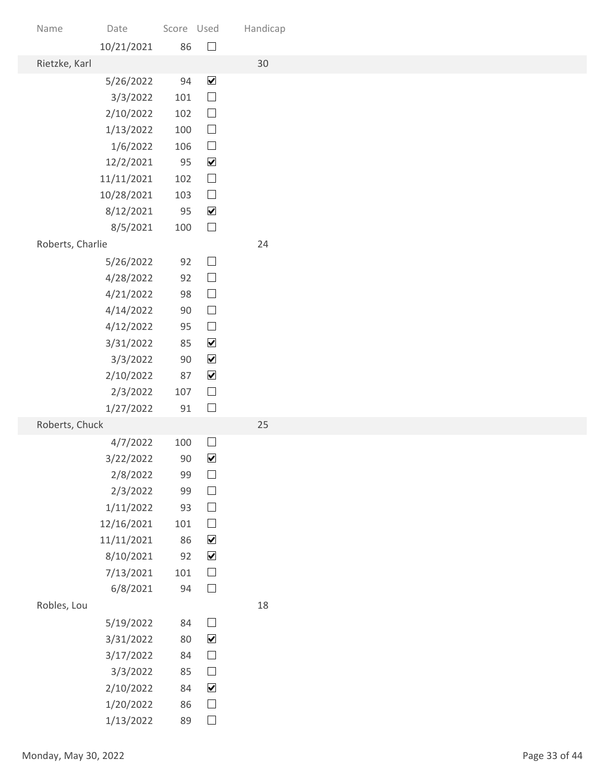| Name                 | Date                    | Score Used   |                                          | Handicap |               |
|----------------------|-------------------------|--------------|------------------------------------------|----------|---------------|
| Rietzke, Karl        | 10/21/2021              | 86           | $\hfill \square$                         | 30       |               |
|                      | 5/26/2022               | 94           | $\blacktriangledown$                     |          |               |
|                      | 3/3/2022                | 101          | $\Box$                                   |          |               |
|                      | 2/10/2022               | 102          | $\hfill \square$                         |          |               |
|                      | 1/13/2022               | 100          | $\Box$                                   |          |               |
|                      | 1/6/2022                | 106          | $\hfill \square$                         |          |               |
|                      | 12/2/2021<br>11/11/2021 | 95<br>102    | $\blacktriangledown$<br>$\Box$           |          |               |
|                      | 10/28/2021              | 103          | $\hfill \square$                         |          |               |
|                      | 8/12/2021               | 95           | $\blacktriangledown$                     |          |               |
|                      | 8/5/2021                | 100          | $\Box$                                   |          |               |
| Roberts, Charlie     |                         |              |                                          | 24       |               |
|                      | 5/26/2022               | 92           | $\hfill \square$                         |          |               |
|                      | 4/28/2022               | 92           | $\hfill \square$                         |          |               |
|                      | 4/21/2022               | 98           | $\hfill \square$                         |          |               |
|                      | 4/14/2022<br>4/12/2022  | $90\,$<br>95 | $\Box$<br>$\hfill \square$               |          |               |
|                      | 3/31/2022               | 85           | $\blacktriangledown$                     |          |               |
|                      | 3/3/2022                | $90\,$       | $\blacktriangledown$                     |          |               |
|                      | 2/10/2022               | 87           | $\blacktriangledown$                     |          |               |
|                      | 2/3/2022                | 107          | $\Box$                                   |          |               |
|                      | 1/27/2022               | $91\,$       | $\Box$                                   |          |               |
| Roberts, Chuck       |                         |              |                                          | 25       |               |
|                      | 4/7/2022                | 100          | $\Box$                                   |          |               |
|                      | 3/22/2022<br>2/8/2022   | 90<br>99     | $\blacktriangledown$<br>$\hfill \square$ |          |               |
|                      | 2/3/2022                | 99           | $\hfill \square$                         |          |               |
|                      | 1/11/2022               | 93           | $\hfill \square$                         |          |               |
|                      | 12/16/2021              | 101          | $\hfill \square$                         |          |               |
|                      | 11/11/2021              | 86           | $\blacktriangledown$                     |          |               |
|                      | 8/10/2021               | 92           | $\blacktriangledown$                     |          |               |
|                      | 7/13/2021               | 101          | $\hfill \square$                         |          |               |
| Robles, Lou          | 6/8/2021                | 94           | $\Box$                                   | 18       |               |
|                      |                         | 84           | $\hfill \square$                         |          |               |
|                      | 5/19/2022<br>3/31/2022  | 80           | $\blacktriangledown$                     |          |               |
|                      | 3/17/2022               | 84           | $\Box$                                   |          |               |
|                      | 3/3/2022                | 85           | $\Box$                                   |          |               |
|                      | 2/10/2022               | 84           | $\blacktriangledown$                     |          |               |
|                      | 1/20/2022               | 86           | $\hfill \square$                         |          |               |
|                      | 1/13/2022               | 89           | $\Box$                                   |          |               |
| Monday, May 30, 2022 |                         |              |                                          |          | Page 33 of 44 |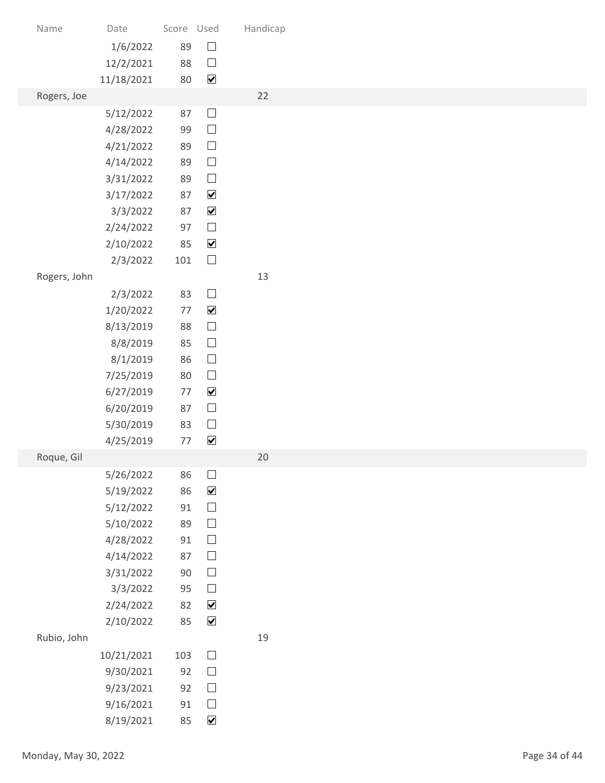| Date<br>Name<br>1/6/2022<br>12/2/2021<br>11/18/2021<br>Rogers, Joe<br>5/12/2022<br>4/28/2022<br>4/21/2022<br>4/14/2022<br>3/31/2022<br>3/17/2022<br>3/3/2022<br>2/24/2022 |                      | Score Used<br>89<br>88<br>80<br>87<br>99<br>89                                           | $\hfill \square$<br>$\Box$<br>$\overline{\mathbf{v}}$<br>$\Box$ | Handicap<br>22                                                         |               |
|---------------------------------------------------------------------------------------------------------------------------------------------------------------------------|----------------------|------------------------------------------------------------------------------------------|-----------------------------------------------------------------|------------------------------------------------------------------------|---------------|
|                                                                                                                                                                           |                      |                                                                                          |                                                                 |                                                                        |               |
|                                                                                                                                                                           |                      |                                                                                          |                                                                 |                                                                        |               |
|                                                                                                                                                                           |                      |                                                                                          |                                                                 |                                                                        |               |
|                                                                                                                                                                           |                      |                                                                                          |                                                                 |                                                                        |               |
|                                                                                                                                                                           |                      |                                                                                          |                                                                 |                                                                        |               |
|                                                                                                                                                                           |                      |                                                                                          |                                                                 |                                                                        |               |
|                                                                                                                                                                           |                      |                                                                                          |                                                                 |                                                                        |               |
|                                                                                                                                                                           |                      |                                                                                          |                                                                 |                                                                        |               |
|                                                                                                                                                                           |                      |                                                                                          |                                                                 |                                                                        |               |
|                                                                                                                                                                           |                      |                                                                                          | $\hfill \square$                                                |                                                                        |               |
|                                                                                                                                                                           |                      |                                                                                          | $\hfill \square$                                                |                                                                        |               |
|                                                                                                                                                                           |                      | 89                                                                                       | $\hfill \square$                                                |                                                                        |               |
|                                                                                                                                                                           |                      | 89<br>87                                                                                 | $\Box$<br>$\blacktriangledown$                                  |                                                                        |               |
|                                                                                                                                                                           |                      | 87                                                                                       | $\blacktriangledown$                                            |                                                                        |               |
|                                                                                                                                                                           |                      | 97                                                                                       | $\Box$                                                          |                                                                        |               |
| 2/10/2022                                                                                                                                                                 |                      | 85                                                                                       | $\blacktriangledown$                                            |                                                                        |               |
| 2/3/2022                                                                                                                                                                  |                      | 101                                                                                      | $\hfill \square$                                                |                                                                        |               |
| Rogers, John                                                                                                                                                              |                      |                                                                                          |                                                                 | 13                                                                     |               |
| 2/3/2022                                                                                                                                                                  |                      | 83                                                                                       | $\hfill \square$                                                |                                                                        |               |
| 1/20/2022<br>8/13/2019                                                                                                                                                    |                      | 77<br>88                                                                                 | $\blacktriangledown$<br>$\hfill \square$                        |                                                                        |               |
| 8/8/2019                                                                                                                                                                  |                      | 85                                                                                       | $\hfill \square$                                                |                                                                        |               |
| 8/1/2019                                                                                                                                                                  |                      | 86                                                                                       | $\hfill \square$                                                |                                                                        |               |
| 7/25/2019                                                                                                                                                                 |                      | 80                                                                                       | $\hfill \square$                                                |                                                                        |               |
| 6/27/2019                                                                                                                                                                 |                      | 77                                                                                       | $\blacktriangledown$                                            |                                                                        |               |
| 6/20/2019                                                                                                                                                                 |                      | 87                                                                                       | $\hfill \square$                                                |                                                                        |               |
| 5/30/2019<br>4/25/2019                                                                                                                                                    |                      | 83<br>77                                                                                 | $\hfill \square$<br>$\blacktriangledown$                        |                                                                        |               |
| Roque, Gil                                                                                                                                                                |                      |                                                                                          |                                                                 | 20                                                                     |               |
| 5/26/2022                                                                                                                                                                 |                      | 86                                                                                       | $\Box$                                                          |                                                                        |               |
| 5/19/2022                                                                                                                                                                 |                      | 86                                                                                       | $\blacktriangledown$                                            |                                                                        |               |
| 5/12/2022                                                                                                                                                                 |                      | 91                                                                                       | $\hfill \square$                                                |                                                                        |               |
| 5/10/2022                                                                                                                                                                 |                      | 89                                                                                       | $\hfill \square$                                                |                                                                        |               |
| 4/28/2022                                                                                                                                                                 |                      | 91<br>87                                                                                 | $\hfill \square$<br>$\hfill \square$                            |                                                                        |               |
| 4/14/2022<br>3/31/2022                                                                                                                                                    |                      | $90\,$                                                                                   | $\hfill \square$                                                |                                                                        |               |
| 3/3/2022                                                                                                                                                                  |                      | 95                                                                                       | $\hfill \square$                                                |                                                                        |               |
|                                                                                                                                                                           |                      | 82                                                                                       | $\blacktriangledown$                                            |                                                                        |               |
|                                                                                                                                                                           |                      | 85                                                                                       | $\blacktriangledown$                                            |                                                                        |               |
| Rubio, John                                                                                                                                                               |                      |                                                                                          |                                                                 | 19                                                                     |               |
|                                                                                                                                                                           |                      | 103                                                                                      |                                                                 |                                                                        |               |
|                                                                                                                                                                           |                      |                                                                                          |                                                                 |                                                                        |               |
|                                                                                                                                                                           |                      |                                                                                          |                                                                 |                                                                        |               |
|                                                                                                                                                                           |                      |                                                                                          |                                                                 |                                                                        |               |
|                                                                                                                                                                           |                      |                                                                                          |                                                                 |                                                                        |               |
|                                                                                                                                                                           |                      |                                                                                          |                                                                 |                                                                        | Page 34 of 44 |
|                                                                                                                                                                           | Monday, May 30, 2022 | 2/24/2022<br>2/10/2022<br>10/21/2021<br>9/30/2021<br>9/23/2021<br>9/16/2021<br>8/19/2021 | 92<br>92<br>91<br>85                                            | $\hfill \square$<br>$\Box$<br>$\Box$<br>$\Box$<br>$\blacktriangledown$ |               |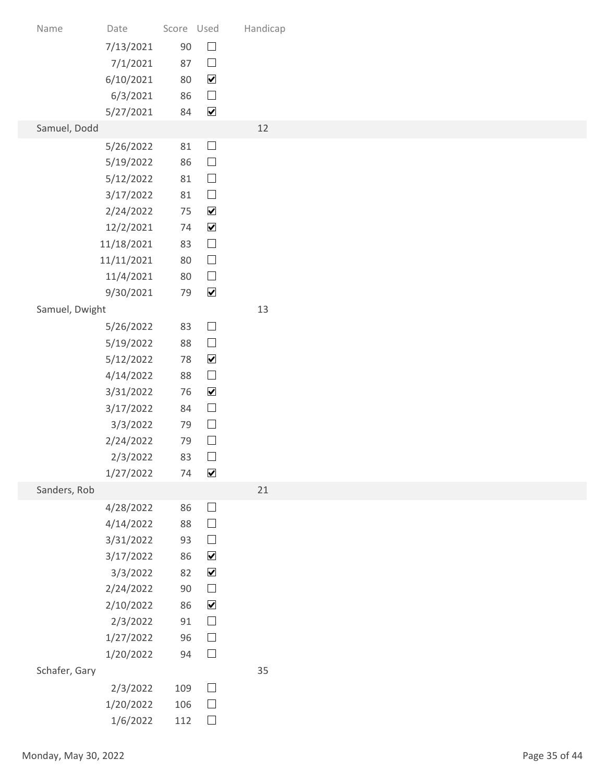| Name                 | Date                     | Score Used   |                                          | Handicap |
|----------------------|--------------------------|--------------|------------------------------------------|----------|
|                      | 7/13/2021                | $90\,$       | $\hfill \square$                         |          |
|                      | 7/1/2021<br>6/10/2021    | 87<br>80     | $\Box$<br>$\blacktriangledown$           |          |
|                      | 6/3/2021                 | 86           | $\hfill \square$                         |          |
| Samuel, Dodd         | 5/27/2021                | 84           | $\blacktriangledown$                     | 12       |
|                      | 5/26/2022                | 81           | $\Box$                                   |          |
|                      | 5/19/2022                | 86           | $\hfill \square$                         |          |
|                      | 5/12/2022<br>3/17/2022   | 81<br>81     | $\Box$<br>$\Box$                         |          |
|                      | 2/24/2022                | 75           | $\blacktriangledown$                     |          |
|                      | 12/2/2021                | 74           | $\blacktriangledown$                     |          |
|                      | 11/18/2021<br>11/11/2021 | 83<br>80     | $\hfill \square$<br>$\hfill \square$     |          |
|                      | 11/4/2021                | 80           | $\hfill \square$                         |          |
|                      | 9/30/2021                | 79           | $\blacktriangledown$                     |          |
| Samuel, Dwight       | 5/26/2022                | 83           | $\hfill \square$                         | 13       |
|                      | 5/19/2022                | 88           | $\hfill \square$                         |          |
|                      | 5/12/2022<br>4/14/2022   | 78<br>88     | $\blacktriangledown$<br>$\hfill \square$ |          |
|                      | 3/31/2022                | 76           | $\blacktriangledown$                     |          |
|                      | 3/17/2022                | 84           | $\hfill \square$                         |          |
|                      | 3/3/2022<br>2/24/2022    | 79<br>79     | $\hfill \square$<br>$\hfill \square$     |          |
|                      | 2/3/2022                 | 83           | $\hfill \square$                         |          |
|                      | 1/27/2022                | 74           | $\blacktriangledown$                     |          |
| Sanders, Rob         | 4/28/2022                | 86           | $\hfill \square$                         | 21       |
|                      | 4/14/2022                | 88           | $\hfill \square$                         |          |
|                      | 3/31/2022<br>3/17/2022   | 93<br>86     | $\hfill \square$<br>$\blacktriangledown$ |          |
|                      | 3/3/2022                 | 82           | $\blacktriangledown$                     |          |
|                      | 2/24/2022                | 90           | $\hfill \square$                         |          |
|                      | 2/10/2022<br>2/3/2022    | 86<br>$91\,$ | $\blacktriangledown$<br>$\hfill \square$ |          |
|                      | 1/27/2022                | 96           | $\hfill \square$                         |          |
|                      | 1/20/2022                | 94           | $\Box$                                   |          |
| Schafer, Gary        | 2/3/2022                 | 109          | $\Box$                                   | 35       |
|                      | 1/20/2022                | 106          | $\Box$                                   |          |
|                      | 1/6/2022                 | 112          | $\Box$                                   |          |
| Monday, May 30, 2022 |                          |              |                                          |          |
|                      |                          |              |                                          |          |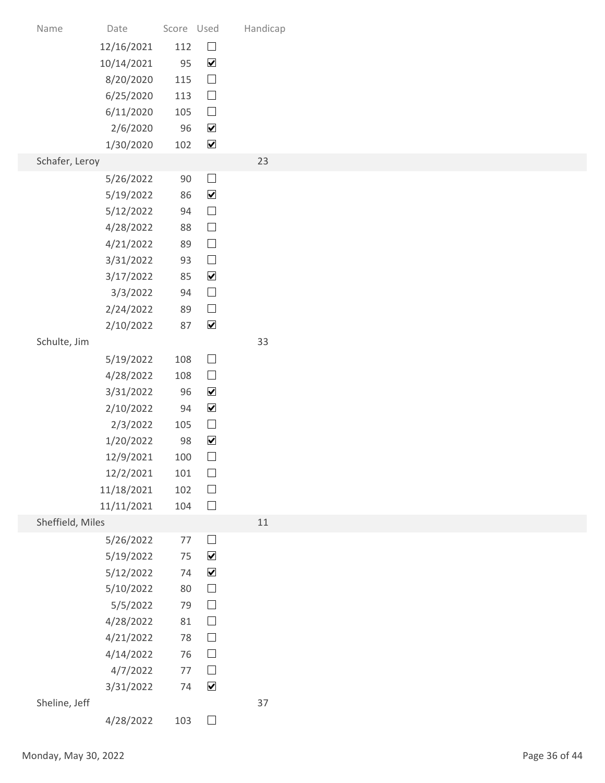| Name                 | Date                    | Score Used   |                                          | Handicap |               |
|----------------------|-------------------------|--------------|------------------------------------------|----------|---------------|
|                      | 12/16/2021              | 112          | $\Box$                                   |          |               |
|                      | 10/14/2021<br>8/20/2020 | 95<br>115    | $\blacktriangledown$<br>$\hfill \square$ |          |               |
|                      | 6/25/2020               | 113          | $\hfill \square$                         |          |               |
|                      | 6/11/2020               | 105          | $\hfill \square$                         |          |               |
|                      | 2/6/2020                | 96           | $\blacktriangledown$                     |          |               |
|                      | 1/30/2020               | 102          | $\blacktriangledown$                     |          |               |
| Schafer, Leroy       |                         |              |                                          | 23       |               |
|                      | 5/26/2022               | 90           | $\Box$                                   |          |               |
|                      | 5/19/2022               | 86           | $\blacktriangledown$                     |          |               |
|                      | 5/12/2022               | 94           | $\hfill \square$                         |          |               |
|                      | 4/28/2022               | 88           | $\Box$                                   |          |               |
|                      | 4/21/2022               | 89           | $\hfill \square$                         |          |               |
|                      | 3/31/2022               | 93           | $\hfill \square$<br>$\blacktriangledown$ |          |               |
|                      | 3/17/2022<br>3/3/2022   | 85<br>94     | $\hfill \square$                         |          |               |
|                      | 2/24/2022               | 89           | $\Box$                                   |          |               |
|                      | 2/10/2022               | 87           | $\blacktriangledown$                     |          |               |
| Schulte, Jim         |                         |              |                                          | 33       |               |
|                      | 5/19/2022               | 108          | $\hfill \square$                         |          |               |
|                      | 4/28/2022               | 108          | $\hfill \square$                         |          |               |
|                      | 3/31/2022               | 96           | $\blacktriangledown$                     |          |               |
|                      | 2/10/2022               | 94           | $\blacktriangledown$                     |          |               |
|                      | 2/3/2022                | 105          | $\Box$                                   |          |               |
|                      | 1/20/2022               | 98           | $\blacktriangledown$                     |          |               |
|                      | 12/9/2021               | 100          | $\Box$                                   |          |               |
|                      | 12/2/2021               | 101          | $\hfill \square$                         |          |               |
|                      | 11/18/2021              | 102          | $\hfill \square$                         |          |               |
|                      | 11/11/2021              | 104          | $\hfill \square$                         |          |               |
| Sheffield, Miles     |                         |              | $\hfill \square$                         | 11       |               |
|                      | 5/26/2022<br>5/19/2022  | 77<br>$75\,$ | $\blacktriangledown$                     |          |               |
|                      | 5/12/2022               | 74           | $\blacktriangledown$                     |          |               |
|                      | 5/10/2022               | 80           | $\hfill \square$                         |          |               |
|                      | 5/5/2022                | 79           | $\hfill \square$                         |          |               |
|                      | 4/28/2022               | $81\,$       | $\hfill \square$                         |          |               |
|                      | 4/21/2022               | 78           | $\hfill \square$                         |          |               |
|                      | 4/14/2022               | 76           | $\Box$                                   |          |               |
|                      | 4/7/2022                |              | 77 $\Box$                                |          |               |
|                      | 3/31/2022               | 74           | $\blacktriangledown$                     |          |               |
| Sheline, Jeff        | 4/28/2022               | 103          | $\Box$                                   | 37       |               |
|                      |                         |              |                                          |          |               |
| Monday, May 30, 2022 |                         |              |                                          |          | Page 36 of 44 |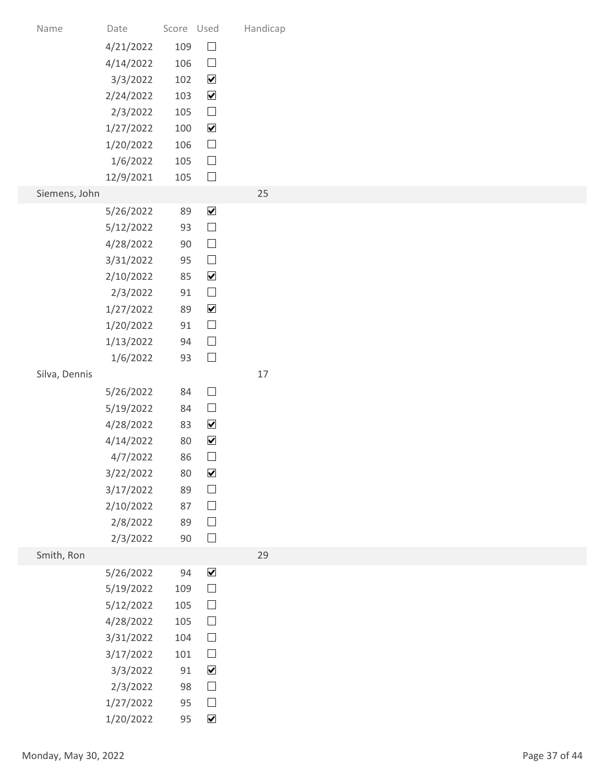| Name                 | Date                   | Score Used   |                                                 | Handicap |               |
|----------------------|------------------------|--------------|-------------------------------------------------|----------|---------------|
|                      | 4/21/2022              | 109          | $\Box$                                          |          |               |
|                      | 4/14/2022              | 106          | $\hfill \square$                                |          |               |
|                      | 3/3/2022<br>2/24/2022  | 102<br>103   | $\overline{\mathbf{v}}$<br>$\blacktriangledown$ |          |               |
|                      | 2/3/2022               | 105          | $\Box$                                          |          |               |
|                      | 1/27/2022              | 100          | $\blacktriangledown$                            |          |               |
|                      | 1/20/2022              | 106          | $\hfill \square$                                |          |               |
|                      | 1/6/2022               | 105          | $\Box$                                          |          |               |
|                      | 12/9/2021              | 105          | $\Box$                                          |          |               |
| Siemens, John        | 5/26/2022              | 89           | $\blacktriangledown$                            | 25       |               |
|                      | 5/12/2022              | 93           | $\Box$                                          |          |               |
|                      | 4/28/2022              | $90\,$       | $\hfill \square$                                |          |               |
|                      | 3/31/2022              | 95           | $\hfill \square$                                |          |               |
|                      | 2/10/2022              | 85           | $\blacktriangledown$                            |          |               |
|                      | 2/3/2022               | 91           | $\hfill \square$                                |          |               |
|                      | 1/27/2022              | 89           | $\blacktriangledown$                            |          |               |
|                      | 1/20/2022<br>1/13/2022 | $91\,$<br>94 | $\Box$<br>$\Box$                                |          |               |
|                      | 1/6/2022               | 93           | $\Box$                                          |          |               |
| Silva, Dennis        |                        |              |                                                 | $17$     |               |
|                      | 5/26/2022              | 84           | $\hfill \square$                                |          |               |
|                      | 5/19/2022              | 84           | $\hfill \square$                                |          |               |
|                      | 4/28/2022              | 83           | $\blacktriangledown$                            |          |               |
|                      | 4/14/2022              | 80<br>86     | $\blacktriangledown$<br>$\hfill \square$        |          |               |
|                      | 4/7/2022<br>3/22/2022  | 80           | $\blacktriangledown$                            |          |               |
|                      | 3/17/2022              | 89           | $\hfill \square$                                |          |               |
|                      | 2/10/2022              | 87           | $\hfill \square$                                |          |               |
|                      | 2/8/2022               | 89           | $\hfill \square$                                |          |               |
|                      | 2/3/2022               | $90\,$       | $\Box$                                          |          |               |
| Smith, Ron           |                        | 94           | $\blacktriangledown$                            | 29       |               |
|                      | 5/26/2022<br>5/19/2022 | 109          | $\hfill \square$                                |          |               |
|                      | 5/12/2022              | 105          | $\hfill \square$                                |          |               |
|                      | 4/28/2022              | 105          | $\Box$                                          |          |               |
|                      | 3/31/2022              | 104          | $\hfill \square$                                |          |               |
|                      | 3/17/2022              | 101          | $\Box$                                          |          |               |
|                      | 3/3/2022               | 91           | $\blacktriangledown$                            |          |               |
|                      | 2/3/2022               | 98           | $\Box$<br>$\hfill \square$                      |          |               |
|                      | 1/27/2022<br>1/20/2022 | 95<br>95     | $\blacktriangledown$                            |          |               |
|                      |                        |              |                                                 |          |               |
| Monday, May 30, 2022 |                        |              |                                                 |          | Page 37 of 44 |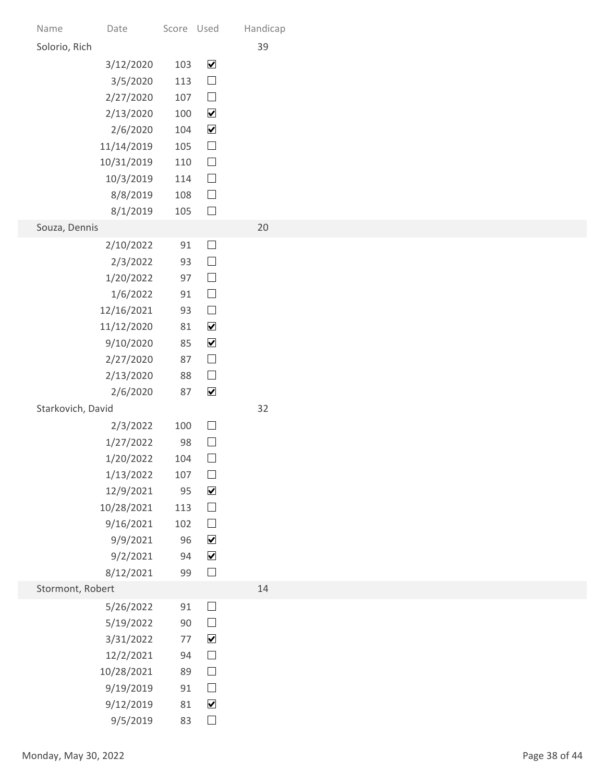| Date<br>Name         |                        | Score Used |                                          | Handicap<br>39 |               |
|----------------------|------------------------|------------|------------------------------------------|----------------|---------------|
| Solorio, Rich        | 3/12/2020              | 103        | $\blacktriangledown$                     |                |               |
|                      | 3/5/2020               | 113        | $\hfill \square$                         |                |               |
|                      | 2/27/2020              | 107        | $\Box$                                   |                |               |
|                      | 2/13/2020              | 100        | $\blacktriangledown$                     |                |               |
|                      | 2/6/2020               | 104        | $\blacktriangledown$                     |                |               |
| 11/14/2019           |                        | 105        | $\hfill \square$                         |                |               |
| 10/31/2019           | 10/3/2019              | 110<br>114 | $\Box$<br>$\Box$                         |                |               |
|                      | 8/8/2019               | 108        | $\Box$                                   |                |               |
|                      | 8/1/2019               | 105        | $\Box$                                   |                |               |
| Souza, Dennis        |                        |            |                                          | 20             |               |
|                      | 2/10/2022              | 91         | $\hfill \square$                         |                |               |
|                      | 2/3/2022               | 93<br>97   | $\hfill \square$<br>$\hfill \square$     |                |               |
|                      | 1/20/2022<br>1/6/2022  | 91         | $\hfill \square$                         |                |               |
| 12/16/2021           |                        | 93         | $\hfill \square$                         |                |               |
| 11/12/2020           |                        | 81         | $\blacktriangledown$                     |                |               |
|                      | 9/10/2020              | 85         | $\blacktriangledown$                     |                |               |
|                      | 2/27/2020              | 87         | $\hfill \square$                         |                |               |
|                      | 2/13/2020              | 88         | $\hfill \square$<br>$\blacktriangledown$ |                |               |
| Starkovich, David    | 2/6/2020               | 87         |                                          | 32             |               |
|                      | 2/3/2022               | 100        | $\hfill \square$                         |                |               |
|                      | 1/27/2022              | 98         | $\hfill \square$                         |                |               |
|                      | 1/20/2022              | 104        | $\Box$                                   |                |               |
|                      | 1/13/2022              | 107        | $\hfill \square$                         |                |               |
|                      | 12/9/2021              | 95         | $\blacktriangledown$                     |                |               |
| 10/28/2021           | 9/16/2021              | 113<br>102 | $\hfill \square$<br>$\hfill \square$     |                |               |
|                      | 9/9/2021               | 96         | $\blacktriangledown$                     |                |               |
|                      | 9/2/2021               | 94         | $\blacktriangledown$                     |                |               |
|                      | 8/12/2021              | 99         | $\hfill \square$                         |                |               |
| Stormont, Robert     |                        |            |                                          | 14             |               |
|                      | 5/26/2022              | 91<br>90   | $\Box$<br>$\hfill \square$               |                |               |
|                      | 5/19/2022<br>3/31/2022 | 77         | $\blacktriangledown$                     |                |               |
|                      | 12/2/2021              | 94         | $\Box$                                   |                |               |
|                      | 10/28/2021             | 89         | $\Box$                                   |                |               |
|                      | 9/19/2019              | 91         | $\Box$                                   |                |               |
|                      | 9/12/2019              | 81         | $\blacktriangledown$                     |                |               |
|                      | 9/5/2019               | 83         | $\hfill \square$                         |                |               |
| Monday, May 30, 2022 |                        |            |                                          |                | Page 38 of 44 |
|                      |                        |            |                                          |                |               |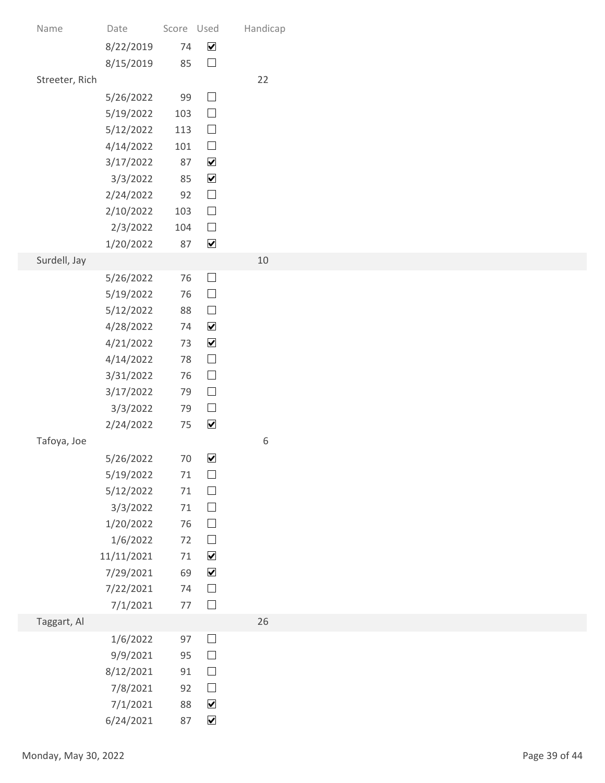| Name                 | Date<br>8/22/2019      | Score Used<br>74 | $\blacktriangledown$                         | Handicap |
|----------------------|------------------------|------------------|----------------------------------------------|----------|
|                      | 8/15/2019              | 85               | $\hfill \square$                             |          |
| Streeter, Rich       |                        |                  |                                              | 22       |
|                      | 5/26/2022<br>5/19/2022 | 99<br>103        | $\Box$<br>$\hfill \square$                   |          |
|                      | 5/12/2022              | 113              | $\Box$                                       |          |
|                      | 4/14/2022              | 101              | $\hfill \square$                             |          |
|                      | 3/17/2022              | 87<br>85         | $\blacktriangledown$<br>$\blacktriangledown$ |          |
|                      | 3/3/2022<br>2/24/2022  | 92               | $\hfill \square$                             |          |
|                      | 2/10/2022              | 103              | $\Box$                                       |          |
|                      | 2/3/2022               | 104              | $\Box$                                       |          |
| Surdell, Jay         | 1/20/2022              | 87               | $\blacktriangledown$                         | 10       |
|                      | 5/26/2022              | $76\,$           | $\hfill \square$                             |          |
|                      | 5/19/2022              | 76               | $\hfill \square$                             |          |
|                      | 5/12/2022<br>4/28/2022 | 88<br>74         | $\hfill \square$<br>$\blacktriangledown$     |          |
|                      | 4/21/2022              | 73               | $\blacktriangledown$                         |          |
|                      | 4/14/2022              | 78               | $\hfill \square$                             |          |
|                      | 3/31/2022              | 76               | $\hfill \square$<br>$\hfill \square$         |          |
|                      | 3/17/2022<br>3/3/2022  | 79<br>79         | $\hfill \square$                             |          |
|                      | 2/24/2022              | 75               | $\blacktriangledown$                         |          |
| Tafoya, Joe          |                        |                  |                                              | 6        |
|                      | 5/26/2022<br>5/19/2022 | 70<br>71         | $\blacktriangledown$<br>$\hfill \square$     |          |
|                      | 5/12/2022              | $71\,$           | $\hfill \square$                             |          |
|                      | 3/3/2022               | 71               | $\hfill \square$                             |          |
|                      | 1/20/2022              | 76<br>72         | $\hfill \square$<br>$\hfill \square$         |          |
|                      | 1/6/2022<br>11/11/2021 | $71\,$           | $\blacktriangledown$                         |          |
|                      | 7/29/2021              | 69               | $\blacktriangledown$                         |          |
|                      | 7/22/2021              | 74<br>$77$       | $\Box$<br>$\hfill \square$                   |          |
| Taggart, Al          | 7/1/2021               |                  |                                              | 26       |
|                      | 1/6/2022               | 97               | $\Box$                                       |          |
|                      | 9/9/2021               | 95               | $\Box$                                       |          |
|                      | 8/12/2021<br>7/8/2021  | 91<br>92         | $\Box$<br>$\Box$                             |          |
|                      | 7/1/2021               | 88               | $\blacktriangledown$                         |          |
|                      | 6/24/2021              | 87               | $\blacktriangledown$                         |          |
| Monday, May 30, 2022 |                        |                  |                                              |          |
|                      |                        |                  |                                              |          |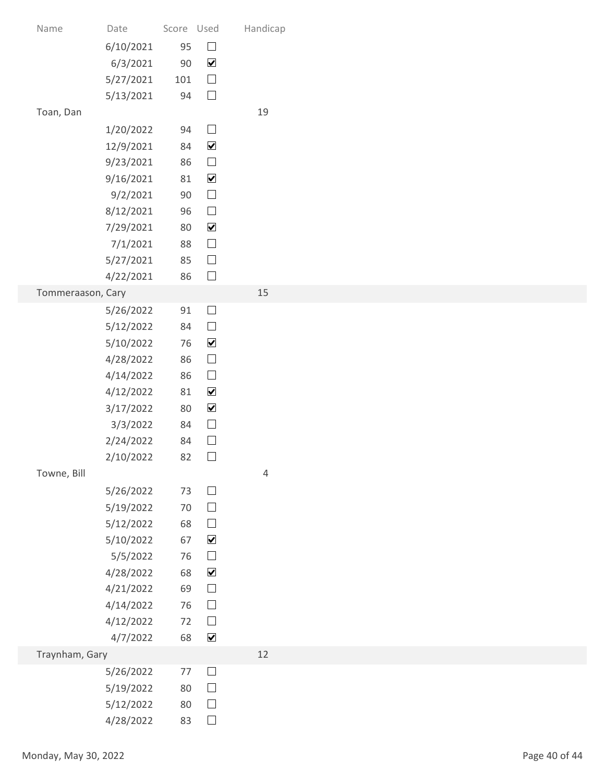| Name                 | Date                   | Score Used   |                                       | Handicap       |               |
|----------------------|------------------------|--------------|---------------------------------------|----------------|---------------|
|                      | 6/10/2021              | 95           | $\hfill \square$                      |                |               |
|                      | 6/3/2021               | $90\,$       | $\blacktriangledown$                  |                |               |
|                      | 5/27/2021              | 101          | $\hfill \square$                      |                |               |
|                      | 5/13/2021              | 94           | $\Box$                                |                |               |
| Toan, Dan            |                        |              |                                       | 19             |               |
|                      | 1/20/2022              | 94           | $\Box$                                |                |               |
|                      | 12/9/2021              | 84           | $\blacktriangledown$                  |                |               |
|                      | 9/23/2021              | 86           | $\hfill \square$                      |                |               |
|                      | 9/16/2021<br>9/2/2021  | 81<br>$90\,$ | $\blacktriangledown$<br>$\Box$        |                |               |
|                      | 8/12/2021              | 96           | $\Box$                                |                |               |
|                      | 7/29/2021              | 80           | $\blacktriangledown$                  |                |               |
|                      | 7/1/2021               | 88           | $\hfill \square$                      |                |               |
|                      | 5/27/2021              | 85           | $\hfill \square$                      |                |               |
|                      | 4/22/2021              | 86           | $\hfill \square$                      |                |               |
| Tommeraason, Cary    |                        |              |                                       | 15             |               |
|                      | 5/26/2022              | 91<br>84     | $\Box$<br>$\Box$                      |                |               |
|                      | 5/12/2022<br>5/10/2022 | 76           | $\blacktriangledown$                  |                |               |
|                      | 4/28/2022              | 86           | $\hfill \square$                      |                |               |
|                      | 4/14/2022              | 86           | $\hfill \square$                      |                |               |
|                      | 4/12/2022              | 81           | $\blacktriangledown$                  |                |               |
|                      | 3/17/2022              | 80           | $\blacktriangledown$                  |                |               |
|                      | 3/3/2022               | 84           | $\hfill \square$                      |                |               |
|                      | 2/24/2022              | 84           | $\Box$                                |                |               |
| Towne, Bill          | 2/10/2022              | 82           | $\Box$                                | $\overline{4}$ |               |
|                      | 5/26/2022              | 73           | $\hfill \square$                      |                |               |
|                      | 5/19/2022              | 70           | $\hfill \square$                      |                |               |
|                      | 5/12/2022              | 68           | $\hfill \square$                      |                |               |
|                      | 5/10/2022              | 67           | $\blacktriangledown$                  |                |               |
|                      | 5/5/2022               | 76           | $\hfill \square$                      |                |               |
|                      | 4/28/2022              | 68           | $\blacktriangledown$                  |                |               |
|                      | 4/21/2022              | 69<br>76     | $\hfill \square$<br>$\hfill \square$  |                |               |
|                      | 4/14/2022<br>4/12/2022 | 72           | $\hfill \square$                      |                |               |
|                      | 4/7/2022               | 68           | $\blacktriangledown$                  |                |               |
| Traynham, Gary       |                        |              |                                       | 12             |               |
|                      | 5/26/2022              | 77           | $\begin{array}{c} \hline \end{array}$ |                |               |
|                      | 5/19/2022              | 80           | $\Box$                                |                |               |
|                      | 5/12/2022              | 80           | $\Box$                                |                |               |
|                      | 4/28/2022              | 83           | $\hfill \square$                      |                |               |
| Monday, May 30, 2022 |                        |              |                                       |                | Page 40 of 44 |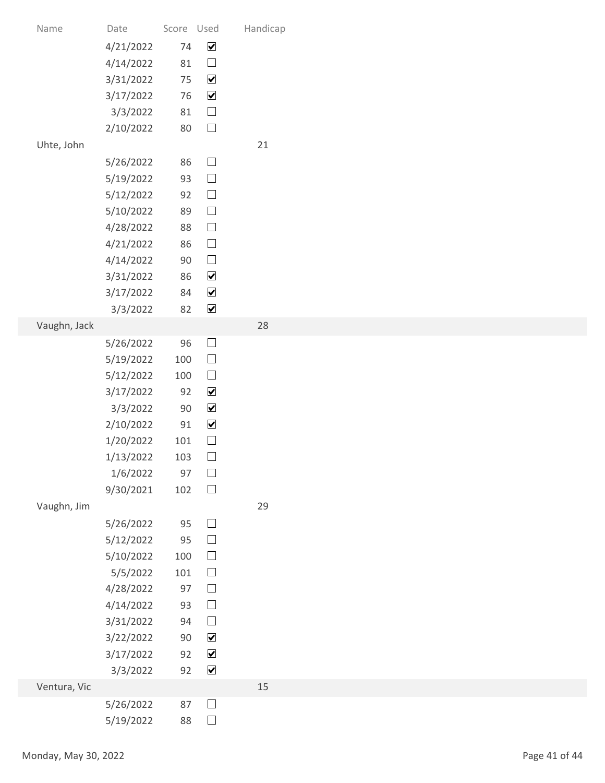| Name                 | Date                   | Score Used |                            | Handicap |               |
|----------------------|------------------------|------------|----------------------------|----------|---------------|
|                      | 4/21/2022              | 74         | $\blacktriangledown$       |          |               |
|                      | 4/14/2022              | 81         | $\Box$                     |          |               |
|                      | 3/31/2022              | 75         | $\blacktriangledown$       |          |               |
|                      | 3/17/2022              | 76         | $\blacktriangledown$       |          |               |
|                      | 3/3/2022               | $81\,$     | $\Box$                     |          |               |
|                      | 2/10/2022              | 80         | $\hfill \square$           |          |               |
| Uhte, John           |                        |            |                            | 21       |               |
|                      | 5/26/2022<br>5/19/2022 | 86<br>93   | $\Box$<br>$\hfill \square$ |          |               |
|                      | 5/12/2022              | 92         | $\Box$                     |          |               |
|                      | 5/10/2022              | 89         | $\Box$                     |          |               |
|                      | 4/28/2022              | 88         | $\Box$                     |          |               |
|                      | 4/21/2022              | 86         | $\hfill \square$           |          |               |
|                      | 4/14/2022              | 90         | $\Box$                     |          |               |
|                      | 3/31/2022              | 86         | $\blacktriangledown$       |          |               |
|                      | 3/17/2022              | 84         | $\blacktriangledown$       |          |               |
|                      | 3/3/2022               | 82         | $\blacktriangledown$       |          |               |
| Vaughn, Jack         |                        | 96         | $\Box$                     | 28       |               |
|                      | 5/26/2022<br>5/19/2022 | 100        | $\Box$                     |          |               |
|                      | 5/12/2022              | 100        | $\Box$                     |          |               |
|                      | 3/17/2022              | 92         | $\blacktriangledown$       |          |               |
|                      | 3/3/2022               | $90\,$     | $\blacktriangledown$       |          |               |
|                      | 2/10/2022              | 91         | $\blacktriangledown$       |          |               |
|                      | 1/20/2022              | 101        | $\hfill \square$           |          |               |
|                      | 1/13/2022              | 103        | $\Box$                     |          |               |
|                      | 1/6/2022               | 97         | $\hfill \square$           |          |               |
|                      | 9/30/2021              | 102        | $\Box$                     |          |               |
| Vaughn, Jim          |                        |            | $\Box$                     | 29       |               |
|                      | 5/26/2022<br>5/12/2022 | 95<br>95   | $\hfill \square$           |          |               |
|                      | 5/10/2022              | 100        | $\Box$                     |          |               |
|                      | 5/5/2022               | 101        | $\Box$                     |          |               |
|                      | 4/28/2022              | 97         | $\Box$                     |          |               |
|                      | 4/14/2022              | 93         | $\Box$                     |          |               |
|                      | 3/31/2022              | 94         | $\Box$                     |          |               |
|                      | 3/22/2022              | $90\,$     | $\blacktriangledown$       |          |               |
|                      | 3/17/2022              | 92         | $\blacktriangledown$       |          |               |
|                      | 3/3/2022               |            | 92 $\sqrt{ }$              | $15\,$   |               |
| Ventura, Vic         | 5/26/2022              | 87         | $\hfill \square$           |          |               |
|                      | 5/19/2022              | 88         | $\Box$                     |          |               |
|                      |                        |            |                            |          |               |
|                      |                        |            |                            |          | Page 41 of 44 |
| Monday, May 30, 2022 |                        |            |                            |          |               |
|                      |                        |            |                            |          |               |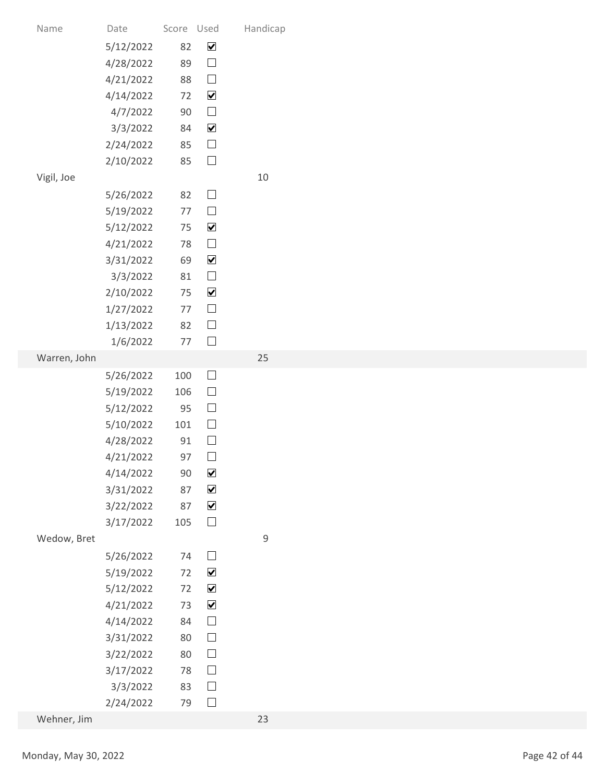| Name                 | Date                   | Score Used |                                              | Handicap    |               |
|----------------------|------------------------|------------|----------------------------------------------|-------------|---------------|
|                      | 5/12/2022              | 82         | $\blacktriangledown$                         |             |               |
|                      | 4/28/2022              | 89         | $\hfill \square$                             |             |               |
|                      | 4/21/2022              | 88         | $\hfill \square$                             |             |               |
|                      | 4/14/2022              | 72         | $\blacktriangledown$                         |             |               |
|                      | 4/7/2022               | $90\,$     | $\hfill \square$                             |             |               |
|                      | 3/3/2022               | 84         | $\blacktriangledown$                         |             |               |
|                      | 2/24/2022              | 85         | $\hfill \square$<br>$\Box$                   |             |               |
| Vigil, Joe           | 2/10/2022              | 85         |                                              | $10\,$      |               |
|                      | 5/26/2022              | 82         | $\Box$                                       |             |               |
|                      | 5/19/2022              | 77         | $\Box$                                       |             |               |
|                      | 5/12/2022              | 75         | $\blacktriangledown$                         |             |               |
|                      | 4/21/2022              | 78         | $\Box$                                       |             |               |
|                      | 3/31/2022              | 69         | $\blacktriangledown$                         |             |               |
|                      | 3/3/2022               | 81         | $\hfill \square$                             |             |               |
|                      | 2/10/2022              | 75         | $\blacktriangledown$                         |             |               |
|                      | 1/27/2022<br>1/13/2022 | 77<br>82   | $\hfill \square$<br>$\Box$                   |             |               |
|                      | 1/6/2022               | 77         | $\hfill \square$                             |             |               |
| Warren, John         |                        |            |                                              | 25          |               |
|                      | 5/26/2022              | 100        | $\Box$                                       |             |               |
|                      | 5/19/2022              | 106        | $\hfill \square$                             |             |               |
|                      | 5/12/2022              | 95         | $\hfill \square$                             |             |               |
|                      | 5/10/2022              | 101        | $\hfill \square$                             |             |               |
|                      | 4/28/2022              | 91<br>97   | $\Box$<br>$\Box$                             |             |               |
|                      | 4/21/2022<br>4/14/2022 | $90\,$     | $\blacktriangledown$                         |             |               |
|                      | 3/31/2022              | 87         | $\blacktriangledown$                         |             |               |
|                      | 3/22/2022              | 87         | $\blacktriangledown$                         |             |               |
|                      | 3/17/2022              | 105        | $\hfill \square$                             |             |               |
| Wedow, Bret          |                        |            |                                              | $\mathsf 9$ |               |
|                      | 5/26/2022              | 74         | $\hfill \square$                             |             |               |
|                      | 5/19/2022              | 72         | $\blacktriangledown$                         |             |               |
|                      | 5/12/2022              | 72<br>73   | $\blacktriangledown$<br>$\blacktriangledown$ |             |               |
|                      | 4/21/2022<br>4/14/2022 | 84         | $\hfill \square$                             |             |               |
|                      | 3/31/2022              | 80         | $\hfill \square$                             |             |               |
|                      | 3/22/2022              | $80\,$     | $\hfill \square$                             |             |               |
|                      | 3/17/2022              | 78         | $\Box$                                       |             |               |
|                      | 3/3/2022               | 83         | $\Box$                                       |             |               |
|                      | 2/24/2022              | 79         | $\Box$                                       |             |               |
| Wehner, Jim          |                        |            |                                              | 23          |               |
|                      |                        |            |                                              |             |               |
| Monday, May 30, 2022 |                        |            |                                              |             | Page 42 of 44 |
|                      |                        |            |                                              |             |               |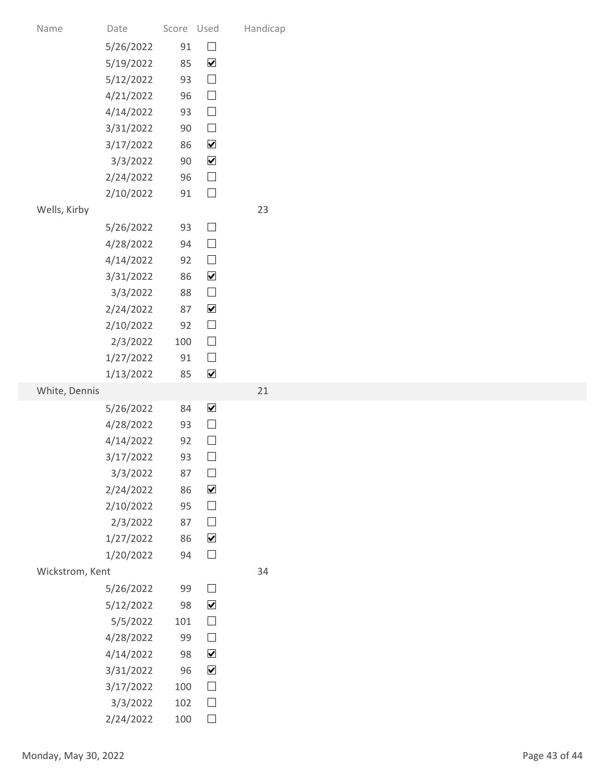| Name                 | Date                   | Score Used   |                                              | Handicap |               |
|----------------------|------------------------|--------------|----------------------------------------------|----------|---------------|
|                      | 5/26/2022              | $91\,$       | $\hfill \square$                             |          |               |
|                      | 5/19/2022              | 85           | $\blacktriangledown$                         |          |               |
|                      | 5/12/2022              | 93           | $\hfill \square$                             |          |               |
|                      | 4/21/2022              | 96           | $\hfill \square$                             |          |               |
|                      | 4/14/2022              | 93           | $\hfill \square$                             |          |               |
|                      | 3/31/2022              | $90\,$       | $\hfill \square$                             |          |               |
|                      | 3/17/2022<br>3/3/2022  | 86<br>$90\,$ | $\blacktriangledown$<br>$\blacktriangledown$ |          |               |
|                      | 2/24/2022              | 96           | $\hfill \square$                             |          |               |
|                      | 2/10/2022              | 91           | $\Box$                                       |          |               |
| Wells, Kirby         |                        |              |                                              | 23       |               |
|                      | 5/26/2022              | 93           | $\hfill \square$                             |          |               |
|                      | 4/28/2022              | 94           | $\hfill \square$                             |          |               |
|                      | 4/14/2022              | 92           | $\hfill \square$                             |          |               |
|                      | 3/31/2022              | 86           | $\blacktriangledown$                         |          |               |
|                      | 3/3/2022               | 88           | $\hfill \square$<br>$\blacktriangledown$     |          |               |
|                      | 2/24/2022<br>2/10/2022 | 87<br>92     | $\Box$                                       |          |               |
|                      | 2/3/2022               | 100          | $\hfill \square$                             |          |               |
|                      | 1/27/2022              | 91           | $\hfill \square$                             |          |               |
|                      | 1/13/2022              | 85           | $\blacktriangledown$                         |          |               |
| White, Dennis        |                        |              |                                              | 21       |               |
|                      | 5/26/2022              | 84           | $\blacktriangledown$                         |          |               |
|                      | 4/28/2022              | 93           | $\Box$                                       |          |               |
|                      | 4/14/2022<br>3/17/2022 | 92<br>93     | $\Box$<br>$\hfill \square$                   |          |               |
|                      | 3/3/2022               | 87           | $\Box$                                       |          |               |
|                      | 2/24/2022              | 86           | $\blacktriangledown$                         |          |               |
|                      | 2/10/2022              | 95           | $\hfill \square$                             |          |               |
|                      | 2/3/2022               | 87           | $\hfill \square$                             |          |               |
|                      | 1/27/2022              | 86           | $\blacktriangledown$                         |          |               |
|                      | 1/20/2022              | 94           | $\hfill \square$                             |          |               |
| Wickstrom, Kent      |                        |              |                                              | 34       |               |
|                      | 5/26/2022<br>5/12/2022 | 99<br>98     | $\hfill \square$<br>$\blacktriangledown$     |          |               |
|                      | 5/5/2022               | 101          | $\hfill \square$                             |          |               |
|                      | 4/28/2022              | 99           | $\hfill \square$                             |          |               |
|                      | 4/14/2022              | 98           | $\blacktriangledown$                         |          |               |
|                      | 3/31/2022              | 96           | $\blacktriangledown$                         |          |               |
|                      | 3/17/2022              | 100          | $\hfill \square$                             |          |               |
|                      | 3/3/2022               | 102          | $\Box$                                       |          |               |
|                      | 2/24/2022              | 100          | $\Box$                                       |          |               |
| Monday, May 30, 2022 |                        |              |                                              |          | Page 43 of 44 |
|                      |                        |              |                                              |          |               |
|                      |                        |              |                                              |          |               |